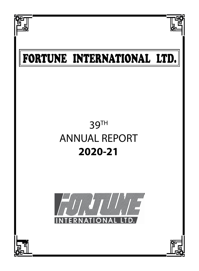



## 39TH ANNUAL REPORT **2020-21**



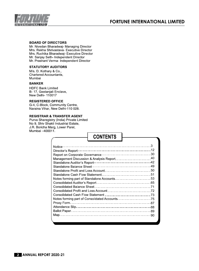

#### **BOARD OF DIRECTORS**

Mr. Nivedan Bharadwaj- Managing Director Mrs. Rekha Shrivastava- Executive Director Mrs. Ruchika Bharadwaj- Executive Director Mr. Sanjay Seth- Independent Director Mr. Prashant Verma- Independent Director

#### **STATUTORY AUDITORS**

M/s. D. Kothary & Co., Chartered Accountants, Mumbai

#### **BANKER**

**HDFC Bank Limited** B- 17, Geetanjali Enclave, New Delhi-110017

#### **REGISTERED OFFICE**

G-4, C-Block, Community Centre, Naraina Vihar, New Delhi-110 028.

#### **REGISTRAR & TRANSFER AGENT**

Purva Sharegistry (India) Private Limited No 9, Shiv Shakti Industrial Estate, J.R. Boricha Marg, Lower Parel, Mumbai -400011.

## **CONTENTS**

| Management Discussion & Analysis Report40      |  |
|------------------------------------------------|--|
|                                                |  |
|                                                |  |
|                                                |  |
|                                                |  |
| Notes forming part of Standalone Accounts 53   |  |
|                                                |  |
|                                                |  |
|                                                |  |
|                                                |  |
| Notes forming part of Consolidated Accounts 75 |  |
|                                                |  |
|                                                |  |
|                                                |  |
|                                                |  |
|                                                |  |
|                                                |  |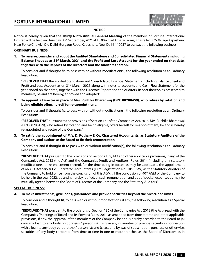

#### **NOTICE**

Notice is hereby given that the **Thirty Ninth Annual General Meeting** of the members of Fortune International Limited will be held on Thursday, 30<sup>th</sup> September, 2021 at 10:00 a.m at Amarai Farms, Khasra No. 375, Village Kapashera, Near Police Chowki, Old Delhi-Gurgaon Road, Kapashera, New Delhi-110037 to transact the following business:

#### **ORDINARY BUSINESS:**

**1. To receive, consider and adopt the Audited Standalone and Consolidated Financial Statements including Balance Sheet as at 31st March, 2021 and the Profit and Loss Account for the year ended on that date, together with the Reports of the Directors and the Auditors thereon.**

To consider and if thought fit, to pass with or without modification(s), the following resolution as an Ordinary Resolution:

"**RESOLVED THAT** the audited Standalone and Consolidated Financial Statements including Balance Sheet and Profit and Loss Account as on 31<sup>st</sup> March, 2021 along with notes to accounts and Cash Flow Statement for the year ended on that date, together with the Directors' Report and the Auditors' Report thereon as presented to members, be and are hereby, approved and adopted".

**2. To appoint a Director in place of Mrs. Ruchika Bharadwaj (DIN: 00288459), who retires by rotation and being eligible offers herself for re-appointment.**

To consider and if thought fit, to pass with or without modification(s), the following resolution as an Ordinary Resolution:

"**RESOLVED THAT** pursuant to the provisions of Section 152 of the Companies Act, 2013, Mrs. Ruchika Bharadwaj (DIN: 00288459), who retires by rotation and being eligible, offers herself for re-appointment, be and is hereby re-appointed as director of the Company."

**3. To ratify the appointment of M/s. D. Kothary & Co, Chartered Accountants, as Statutory Auditors of the Company and authorise the Board to fix their remuneration**

To consider and if thought fit to pass with or without modification(s), the following resolution as an Ordinary Resolution:

**"RESOLVED THAT** pursuant to the provisions of Sections 139, 142 and other applicable provisions, if any, of the Companies Act, 2013 (the Act) and the Companies (Audit and Auditors) Rules, 2014 (including any statutory modification(s) or re-enactment thereof, for the time being in force), as may be applicable, the appointment of M/s. D. Kothary & Co., Chartered Accountants (Firm Registration No. 105335W) as the Statutory Auditors of the Company to hold office from the conclusion of this AGM till the conclusion of 40<sup>th</sup> AGM of the Company to be held in the year 2022, be and is hereby ratified, at such remuneration and out of pocket expenses as may be mutually agreed between the Board of Directors of the Company and the Statutory Auditors."

#### **SPECIAL BUSINESS:**

#### **4. To make investments, give loans, guarantees and provide securities beyond the prescribed limits**

To consider and if thought fit, to pass with or without modifications, if any, the following resolution as a Special Resolution:

**"RESOLVED THAT** pursuant to the provisions of Section 186 of the Companies Act, 2013 (the Act), read with the Companies (Meetings of Board and its Powers) Rules, 2014 as amended from time to time and other applicable provisions, if any, the approval of the members of the Company be and is hereby accorded to the Board to (a) give any loan to any body corporate(s) / person (s); (b) give any guarantee or provide security in connection with a loan to any body corporate(s) / person (s); and (c) acquire by way of subscription, purchase or otherwise, securities of any body corporate from time to time in one or more trenches as the Board of Directors as in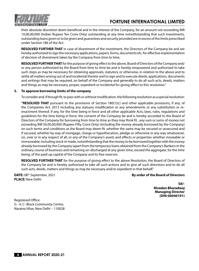



their absolute discretion deem beneficial and in the interest of the Company, for an amount not exceeding INR 10,00,00,000 (Indian Rupees Ten Crore Only) outstanding at any time notwithstanding that such investments, outstanding loans given or to be given and guarantees and security provided are in excess of the limits prescribed under Section 186 of the Act.

**RESOLVED FURTHER THAT** in case of divestment of the investment, the Directors of the Company be and are hereby authorized to sign the necessary applications, papers, forms, documents etc. for effective implementation of decision of divestment taken by the Company from time to time.

**RESOLVED FURTHER THAT** for the purpose of giving effect to the above, Board of Directors of the Company and/ or any person authorized by the Board from time to time be and is hereby empowered and authorised to take such steps as may be necessary for obtaining approvals, statutory or otherwise, in relation to the above and to settle all matters arising out of and incidental thereto and to sign and to execute deeds, applications, documents and writings that may be required, on behalf of the Company and generally to do all such acts, deeds, matters and things as may be necessary, proper, expedient or incidental for giving effect to this resolution."

#### **5. To approve borrowing limits of the company**

To consider and, if though fit, to pass with or without modification, the following resolution as a special resolution:

**"RESOLVED THAT** pursuant to the provisions of Section 180(1)(c) and other applicable provisions, if any, of the Companies Act, 2013 including any statuary modification or any amendments or any substitution or reenactment thereof, if any, for the time being in force and all other applicable Acts, laws, rules, regulations and guidelines for the time being in force; the consent of the Company be and is hereby accorded to the Board of Directors of the Company for borrowing from time to time as they may think fit , any sum or sums of money not exceeding INR 50,00,00,000 (Rupees Fifty Crore Only) (including the money already borrowed by the Company) on such terms and conditions as the Board may deem fit ,whether the same may be secured or unsecured and if secured, whether by way of mortgage, charge or hypothecation, pledge or otherwise in any way whatsoever, on, over or in any respect of all, or any of the Company's assets and effects or properties whether moveable or immoveable, including stock-in-trade, notwithstanding that the money to be borrowed together with the money already borrowed by the Company (apart from the temporary loans obtained from the Company's Bankers in the ordinary course of business) and remaining un-discharged at any given time, exceed the aggregate, for the time being, of the paid-up capital of the Company and its free reserves.

**RESOLVED FURTHER THAT** for the purpose of giving effect to the above Resolution, the Board of Directors of the Company be and is hereby authorised to take all such actions and to give all such directions and to do all such acts, deeds, matters and things as may be necessary and/or expedient in that behalf."

**PLACE:** New Delhi

#### **DATE:**  $08<sup>th</sup> September$ , 2021 **By order of the Board of Directors**

 **Sd/- Nivedan Bharadwaj Managing Director (DIN-00040191)**

Registered Office: G - 4, C- Block Community Centre, Naraina Vihar, New Delhi – 110028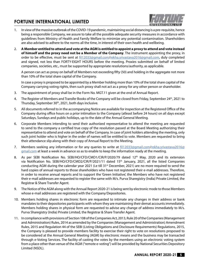

- 1. In view of the massive outbreak of the COVID-19 pandemic, maintaining social distancing is a pre-requisite, hence being a responsible Company, we assure to take all the possible adequate security measures in accordance with guidelines from Ministry of Health and Family Welfare to minimize any potential contamination. Shareholders are also advised to adhere to the norms all the time, in interest of their own health and wellbeing.
- 2. **A Member entitled to attend and vote at the AGM is entitled to appoint a proxy to attend and vote instead of himself and the proxy need not be a Member of the Company**. The instrument appointing the proxy, in order to be effective, must be sent at fil12033@gmail.com/rekha.srivastava2016@gmail.com, duly completed and signed, not less than FORTY-EIGHT HOURS before the meeting. Proxies submitted on behalf of limited companies, societies, etc., must be supported by appropriate resolutions/authority, as applicable.

A person can act as proxy on behalf of Members not exceeding fifty (50) and holding in the aggregate not more than 10% of the total share capital of the Company.

In case a proxy is proposed to be appointed by a Member holding more than 10% of the total share capital of the Company carrying voting rights, then such proxy shall not act as a proxy for any other person or shareholder.

- 3. The appointment of proxy shall be in the Form No. MGT.11 given at the end of Annual Report.
- 4. The Register of Members and Transfer Books of the Company will be closed from Friday, September 24<sup>th</sup>, 2021 to Thursday, September 30<sup>th</sup>, 2021, both days inclusive.
- 5. All documents referred to in the accompanying Notice are available for inspection at the Registered Office of the Company during office hours on a prior intimation to the Company (atleast before 24 hours) on all days except Saturdays, Sundays and public holidays, up to the date of the Annual General Meeting.
- 6. Corporate Members intending to send their authorized representative to attend the meeting are requested to send to the company a certified true copy of the resolution passed at the Board Meeting authorizing their representative to attend and vote on behalf of the Company. In case of joint holders attending the meeting, only such joint holder who is higher in the order of names will be entitled to vote. Members are requested to bring their attendance slip along with their copy of Annual Report to the Meeting.
- 7. Members seeking any information or for any queries to write at fil12033@gmail.com/rekha.srivastava2016@ gmail.com at least a week in advance so as to enable to keep the information ready at the meeting.
- 8. As per SEBI Notification No. SEBI/HO/CFD/CMD1/CIR/P/2020/79 dated 12<sup>th</sup> May, 2020 and its extension via Notification No. SEBI/HO/CFD/CMD2/CIR/P/2021/11 dated 15<sup>th</sup> January, 2021, all the listed Companies conducting AGM during the calendar year 2021 (i.e till 31<sup>st</sup> December, 2021) are no more required to send the hard copies of annual reports to those shareholders who have not registered their e-mail addresses. Therefore, in order to receive annual reports and to support the 'Green Initiative', the Members who have not registered their e-mail addresses are requested to register the same with M/s. Purva Sharegistry (India) Private Limited, the Registrar & Share Transfer Agent.
- 9. The Notice of the AGM along with the Annual Report 2020-21 is being sent by electronic mode to those Members whose e-mail addresses are registered with the Company/Depositories.
- 10. Members holding shares in electronic form are requested to intimate any changes in their address or bank mandates to their depositories participants with whom they are maintaining their demat accounts immediately. Members holding shares in physical form are requested to advise any change of address immediately to M/s. Purva Sharegistry (India) Private Limited, the Registrar & Share Transfer Agent.
- 11. In compliance with provisions of Section 108 of the Companies Act, 2013, Rule 20 of the Companies (Management and Administration) Rules, 2014 as amended by the Companies (Management and Administration) Amendment Rules, 2015 and Regulation 44 of the SEBI (Listing Obligations and Disclosure Requirements) Regulations, 2015, the Company is pleased to provide members facility to exercise their right to vote on resolutions proposed to be considered at the Annual General Meeting (AGM) by electronic means and the business may be transacted through e-Voting Services. The facility of casting the votes by the members using an electronic voting system from a place other than venue of the AGM ("remote e-voting") will be provided by National Securities Depository Limited (NSDL).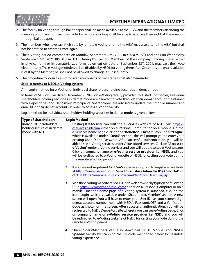

- 12. The facility for voting through ballot paper shall be made available at the AGM and the members attending the meeting who have not cast their vote by remote e-voting shall be able to exercise their right at the meeting through ballot paper.
- 13. The members who have cast their vote by remote e-voting prior to the AGM may also attend the AGM but shall not be entitled to cast their vote again.
- 14. The e-voting period commences on Monday, September 27<sup>th</sup>, 2021 (09:00 a.m. IST) and ends on Wednesday, September 29<sup>th</sup>, 2021 (05:00 p.m. IST). During this period, Members of the Company, holding shares either in physical form or in dematerialized form, as on cut-off date of September 23rd, 2021, may cast their vote electronically. The e-voting module shall be disabled by NSDL for voting thereafter. Once the vote on a resolution is cast by the Member, he shall not be allowed to change it subsequently.
- 15. The procedure to login to e-Voting website consists of two steps as detailed hereunder:

#### **Step 1: Access to NSDL e-Voting system**

A) Login method for e-Voting for Individual shareholders holding securities in demat mode

In terms of SEBI circular dated December 9, 2020 on e-Voting facility provided by Listed Companies, Individual shareholders holding securities in demat mode are allowed to vote through their demat account maintained with Depositories and Depository Participants. Shareholders are advised to update their mobile number and email Id in their demat accounts in order to access e-Voting facility.

Login method for Individual shareholders holding securities in demat mode is given below:

| <b>Type of shareholders</b>                                               |    | <b>Login Method</b>                                                                                                                                                                                                                                                                                                                                                                                                                                                                                                                                                                                                                                                                                                                                                                                                     |
|---------------------------------------------------------------------------|----|-------------------------------------------------------------------------------------------------------------------------------------------------------------------------------------------------------------------------------------------------------------------------------------------------------------------------------------------------------------------------------------------------------------------------------------------------------------------------------------------------------------------------------------------------------------------------------------------------------------------------------------------------------------------------------------------------------------------------------------------------------------------------------------------------------------------------|
| Individual Shareholders<br>holding securities in demat<br>mode with NSDL. | 1. | Existing <b>IDeAS</b> user can visit the e-Services website of NSDL Viz. https://<br>eservices.nsdl.com either on a Personal Computer or on a mobile. On the<br>e-Services home page click on the "Beneficial Owner" icon under "Login"<br>which is available under 'IDeAS' section, this will prompt you to enter your<br>existing User ID and Password. After successful authentication, you will be<br>able to see e-Voting services under Value added services. Click on "Access to<br>e-Voting" under e-Voting services and you will be able to see e-Voting page.<br>Click on company name or e-Voting service provider i.e. NSDL and you<br>will be re-directed to e-Voting website of NSDL for casting your vote during<br>the remote e-Voting period.                                                          |
|                                                                           | 2. | If you are not registered for IDeAS e-Services, option to register is available<br>at https://eservices.nsdl.com. Select "Register Online for IDeAS Portal" or<br>click at https://eservices.nsdl.com/SecureWeb/IdeasDirectReq.jsp                                                                                                                                                                                                                                                                                                                                                                                                                                                                                                                                                                                      |
|                                                                           | 3. | Visit the e-Voting website of NSDL. Open web browser by typing the following<br>URL: https://www.evoting.nsdl.com/ either on a Personal Computer or on a<br>mobile. Once the home page of e-Voting system is launched, click on the<br>icon "Login" which is available under 'Shareholder/Member' section. A new<br>screen will open. You will have to enter your User ID (i.e. your sixteen digit<br>demat account number hold with NSDL), Password/OTP and a Verification<br>Code as shown on the screen. After successful authentication, you will be<br>redirected to NSDL Depository site wherein you can see e-Voting page. Click<br>on company name or e-Voting service provider i.e. NSDL and you will<br>be redirected to e-Voting website of NSDL for casting your vote during the<br>remote e-Voting period. |
|                                                                           | 4. | Shareholders/Members can also download NSDL Mobile App "NSDL<br><b>Speede</b> " facility by scanning the QR code mentioned below for seamless<br>voting experience.                                                                                                                                                                                                                                                                                                                                                                                                                                                                                                                                                                                                                                                     |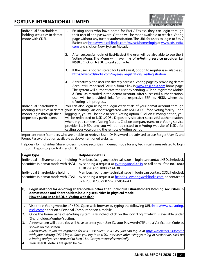

| Individual Shareholders<br>holding securities in demat<br>mode with CDSL | Existing users who have opted for Easi / Easiest, they can login through<br>1.<br>their user id and password. Option will be made available to reach e-Voting<br>page without any further authentication. The URL for users to login to Easi /<br>Easiest are https://web.cdslindia.com/myeasi/home/login or www.cdslindia.<br>com and click on New System Myeasi.                                                            |  |  |  |  |  |
|--------------------------------------------------------------------------|-------------------------------------------------------------------------------------------------------------------------------------------------------------------------------------------------------------------------------------------------------------------------------------------------------------------------------------------------------------------------------------------------------------------------------|--|--|--|--|--|
|                                                                          | After successful login of Easi/Easiest the user will be also able to see the E<br>2.<br>Voting Menu. The Menu will have links of e-Voting service provider i.e.<br>NSDL. Click on NSDL to cast your vote.                                                                                                                                                                                                                     |  |  |  |  |  |
|                                                                          | If the user is not registered for Easi/Easiest, option to register is available at<br>3.<br>https://web.cdslindia.com/myeasi/Registration/EasiRegistration                                                                                                                                                                                                                                                                    |  |  |  |  |  |
|                                                                          | Alternatively, the user can directly access e-Voting page by providing demat<br>4.<br>Account Number and PAN No. from a link in www.cdslindia.com home page.<br>The system will authenticate the user by sending OTP on registered Mobile<br>& Email as recorded in the demat Account. After successful authentication,<br>user will be provided links for the respective ESP i.e. NSDL where the<br>e-Voting is in progress. |  |  |  |  |  |
| Individual Shareholders<br>(holding securities in demat                  | You can also login using the login credentials of your demat account through<br>your Depository Participant registered with NSDL/CDSL for e-Voting facility, upon                                                                                                                                                                                                                                                             |  |  |  |  |  |
| mode) login through their                                                | logging in, you will be able to see e-Voting option. Click on e-Voting option, you                                                                                                                                                                                                                                                                                                                                            |  |  |  |  |  |
| depository participants                                                  | will be redirected to NSDL/CDSL Depository site after successful authentication,                                                                                                                                                                                                                                                                                                                                              |  |  |  |  |  |
|                                                                          | wherein you can see e-Voting feature. Click on company name or e-Voting service<br>provider i.e. NSDL and you will be redirected to e-Voting website of NSDL for<br>casting your vote during the remote e-Voting period                                                                                                                                                                                                       |  |  |  |  |  |

Important note: Members who are unable to retrieve User ID/ Password are advised to use Forget User ID and Forget Password option available at abovementioned website.

Helpdesk for Individual Shareholders holding securities in demat mode for any technical issues related to login through Depository i.e. NSDL and CDSL.

| Login type                         | Helpdesk details                                                                                             |
|------------------------------------|--------------------------------------------------------------------------------------------------------------|
|                                    | Individual Shareholders holding Members facing any technical issue in login can contact NSDL helpdesk        |
|                                    | securities in demat mode with NSDL by sending a request at evoting@nsdl.co.in or call at toll free no.: 1800 |
|                                    | 1020 990 and 1800 22 44 30                                                                                   |
| Individual Shareholders holding    | Members facing any technical issue in login can contact CDSL helpdesk                                        |
| securities in demat mode with CDSL | by sending a request at helpdesk.evoting@cdslindia.com or contact at                                         |
|                                    | 022- 23058738 or 022-23058542-43                                                                             |

#### **B) Login Method for e-Voting shareholders other than Individual shareholders holding securities in demat mode and shareholders holding securities in physical mode. How to Log-in to NSDL e-Voting website?**

1. Visit the e-Voting website of NSDL. Open web browser by typing the following URL: https://www.evoting. nsdl.com/ either on a Personal Computer or on a mobile.

- 2. Once the home page of e-Voting system is launched, click on the icon "Login" which is available under 'Shareholder/Member' section.
- 3. A new screen will open. You will have to enter your User ID, your Password/OTP and a Verification Code as shown on the screen.

*Alternatively, if you are registered for NSDL eservices i.e. IDEAS, you can log-in at https://eservices.nsdl.com/ with your existing IDEAS login. Once you log-in to NSDL eservices after using your log-in credentials, click on e-Voting and you can proceed to Step 2 i.e. Cast your vote electronically.*

4. Your User ID details are given below :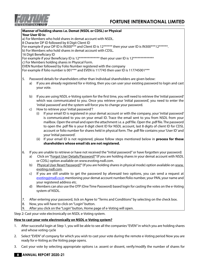

|    |    | Manner of holding shares i.e. Demat (NSDL or CDSL) or Physical                                                                                                               |
|----|----|------------------------------------------------------------------------------------------------------------------------------------------------------------------------------|
|    |    | Your User ID is:                                                                                                                                                             |
|    |    | a) For Members who hold shares in demat account with NSDL.                                                                                                                   |
|    |    | 8 Character DP ID followed by 8 Digit Client ID                                                                                                                              |
|    |    | For example if your DP ID is IN300*** and Client ID is 12****** then your user ID is IN300***12******                                                                        |
|    |    | b) For Members who hold shares in demat account with CDSL.                                                                                                                   |
|    |    | 16 Digit Beneficiary ID                                                                                                                                                      |
|    |    | For example if your Beneficiary ID is 12************** then your user ID is 12**************                                                                                 |
|    |    | c) For Members holding shares in Physical Form.                                                                                                                              |
|    |    | EVEN Number followed by Folio Number registered with the company                                                                                                             |
|    |    | For example if folio number is 001*** and EVEN is 117745 then user ID is 117745001***                                                                                        |
| 5. |    | Password details for shareholders other than Individual shareholders are given below:                                                                                        |
|    | a) | If you are already registered for e-Voting, then you can user your existing password to login and cast                                                                       |
|    |    | your vote.                                                                                                                                                                   |
|    | b) | If you are using NSDL e-Voting system for the first time, you will need to retrieve the 'initial password'                                                                   |
|    |    | which was communicated to you. Once you retrieve your 'initial password', you need to enter the<br>'initial password' and the system will force you to change your password. |
|    | C) | How to retrieve your 'initial password'?                                                                                                                                     |
|    |    | If your email ID is registered in your demat account or with the company, your 'initial password'<br>(i)                                                                     |
|    |    |                                                                                                                                                                              |
|    |    | is communicated to you on your email ID. Trace the email sent to you from NSDL from your                                                                                     |
|    |    | mailbox. Open the email and open the attachment i.e. a .pdf file. Open the .pdf file. The password                                                                           |
|    |    | to open the .pdf file is your 8 digit client ID for NSDL account, last 8 digits of client ID for CDSL                                                                        |
|    |    | account or folio number for shares held in physical form. The .pdf file contains your 'User ID' and<br>your 'initial password'.                                              |
|    |    | (ii) If your email ID is not registered, please follow steps mentioned below in process for those                                                                            |
|    |    | shareholders whose email ids are not registered.                                                                                                                             |
| 6. |    | If you are unable to retrieve or have not received the "Initial password" or have forgotten your password:                                                                   |
|    | a) | Click on "Forgot User Details/Password?" (If you are holding shares in your demat account with NSDL                                                                          |
|    |    | or CDSL) option available on www.evoting.nsdl.com.                                                                                                                           |
|    | b) | Physical User Reset Password?" (If you are holding shares in physical mode) option available on www.                                                                         |
|    |    | evoting.nsdl.com.                                                                                                                                                            |
|    | C) | If you are still unable to get the password by aforesaid two options, you can send a request at                                                                              |
|    |    | evoting@nsdl.co.in mentioning your demat account number/folio number, your PAN, your name and                                                                                |
|    |    | your registered address etc.                                                                                                                                                 |
|    | d) | Members can also use the OTP (One Time Password) based login for casting the votes on the e-Voting                                                                           |
|    |    | system of NSDL.                                                                                                                                                              |
|    |    |                                                                                                                                                                              |
| 7. |    | After entering your password, tick on Agree to "Terms and Conditions" by selecting on the check box.                                                                         |
| 8. |    | Now, you will have to click on "Login" button.                                                                                                                               |
| 9. |    | After you click on the "Login" button, Home page of e-Voting will open.                                                                                                      |
|    |    | Step 2: Cast your vote electronically on NSDL e-Voting system.                                                                                                               |
|    |    | How to cast your vote electronically on NSDL e-Voting system?                                                                                                                |
|    |    | After successful login at Step 1, you will be able to see all the companies "EVEN" in which you are holding shares                                                           |

- and whose voting cycle 2. Select "EVEN" of company for which you wish to cast your vote during the remote e-Voting period Now you are ready for e-Voting as the Voting page opens.
- 3. Cast your vote by selecting appropriate options i.e. assent or dissent, verify/modify the number of shares for

#### **8 ANNUAL REPORT 2020-21**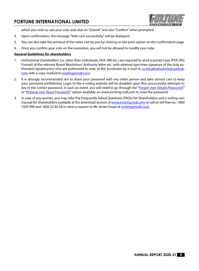

which you wish to cast your vote and click on "Submit" and also "Confirm" when prompted.

- 4. Upon confirmation, the message "Vote cast successfully" will be displayed.
- 5. You can also take the printout of the votes cast by you by clicking on the print option on the confirmation page.
- 6. Once you confirm your vote on the resolution, you will not be allowed to modify your vote.

#### **General Guidelines for shareholders**

- 1. Institutional shareholders (i.e. other than individuals, HUF, NRI etc.) are required to send scanned copy (PDF/JPG Format) of the relevant Board Resolution/ Authority letter etc. with attested specimen signature of the duly authorized signatory(ies) who are authorized to vote, to the Scrutinizer by e-mail to cs.vishakhaharbola@outlook. com with a copy marked to evoting@nsdl.co.in.
- 2. It is strongly recommended not to share your password with any other person and take utmost care to keep your password confidential. Login to the e-voting website will be disabled upon five unsuccessful attempts to key in the correct password. In such an event, you will need to go through the "Forgot User Details/Password?" or "Physical User Reset Password?" option available on www.evoting.nsdl.com to reset the password.
- 3. In case of any queries, you may refer the Frequently Asked Questions (FAQs) for Shareholders and e-voting user manual for Shareholders available at the download section of www.evoting.nsdl.com or call on toll free no.: 1800 1020 990 and 1800 22 44 30 or send a request to Mr. Aman Goyal at evoting@nsdl.co.in.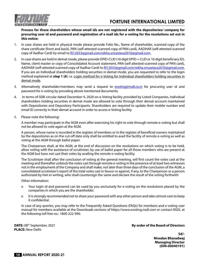

**Process for those shareholders whose email ids are not registered with the depositories/ company for procuring user id and password and registration of e mail ids for e-voting for the resolutions set out in this notice**:

- 1. In case shares are held in physical mode please provide Folio No., Name of shareholder, scanned copy of the share certificate (front and back), PAN (self-attested scanned copy of PAN card), AADHAR (self-attested scanned copy of Aadhar Card) by email to fil12033@gmail.com/rekha.srivastava2016@gmail.com.
- 2. In case shares are held in demat mode, please provide DPID-CLID (16 digit DPID + CLID or 16 digit beneficiary ID), Name, client master or copy of Consolidated Account statement, PAN (self attested scanned copy of PAN card), AADHAR (self-attested scanned copy of Aadhar Card) to fil12033@gmail.com/rekha.srivastava2016@gmail.com. If you are an Individual shareholders holding securities in demat mode, you are requested to refer to the login method explained at **step 1 (A**) i.e. Login method for e-Voting for Individual shareholders holding securities in demat mode.
- 3. Alternatively shareholder/members may send a request to evoting@nsdl.co.in for procuring user id and password for e-voting by providing above mentioned documents.
- 4. In terms of SEBI circular dated December 9, 2020 on e-Voting facility provided by Listed Companies, Individual shareholders holding securities in demat mode are allowed to vote through their demat account maintained with Depositories and Depository Participants. Shareholders are required to update their mobile number and email ID correctly in their demat account in order to access e-Voting facility.
- 5. Please note the following:

A member may participate in the AGM even after exercising his right to vote through remote e-voting but shall not be allowed to vote again at the AGM.

A person, whose name is recorded in the register of members or in the register of beneficial owners maintained by the depositories as on the cut-off date only shall be entitled to avail the facility of remote e-voting as well as voting at the AGM through ballot paper.

The Chairperson shall, at the AGM, at the end of discussion on the resolutions on which voting is to be held, allow voting with the assistance of scrutinizer, by use of ballot paper for all those members who are present at the AGM but have not cast their votes by availing the remote e-voting facility.

The Scrutinizer shall after the conclusion of voting at the general meeting, will first count the votes cast at the meeting and thereafter unblock the votes cast through remote e-voting in the presence of at least two witnesses not in the employment of the Company and shall make, not later than three days of the conclusion of the AGM, a consolidated scrutinizer's report of the total votes cast in favour or against, if any, to the Chairperson or a person authorized by him in writing, who shall countersign the same and declare the result of the voting forthwith

Other information:

- o Your login id and password can be used by you exclusively for e-voting on the resolutions placed by the companies in which you are the shareholder.
- o It is strongly recommended not to share your password with any other person and take utmost care to keep it confidential.

In case of any queries, you may refer to the Frequently Asked Questions (FAQs) for members and e-voting user manual for members available at the Downloads sections of https://www.evoting.nsdl.com or contact NSDL at the following toll free no.: 1800-222-990.

**PLACE:** New Delhi

**DATE:**  $08<sup>th</sup>$  September, 2021 **By order of the Board of Directors** 

 **Sd/- Nivedan Bharadwaj Managing Director (DIN-00040191)**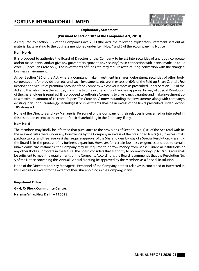

#### **Explanatory Statement**

#### **(Pursuant to section 102 of the Companies Act, 2013)**

As required by section 102 of the Companies Act, 2013 (the Act), the following explanatory statement sets out all material facts relating to the business mentioned under Item Nos. 4 and 5 of the accompanying Notice:

#### **Item No. 4:**

It is proposed to authorise the Board of Directors of the Company to invest into securities of any body corporate and/or make loan(s) and/or give any guarantee(s)/provide any security(ies) in connection with loan(s) made up to 10 crore (Rupees Ten Crore only). The investments of funds etc. may require restructuring/conversion with the changed business environment.

As per Section 186 of the Act, where a Company make investment in shares, debentures, securities of other body corporates and/or provide loan etc. and such investments etc. are in excess of 60% of the Paid up Share Capital , Fee Reserves and Securities premium Account of the Company whichever is more as prescribed under Section 186 of the Act and the rules made thereunder, from time to time in one or more tranches, approval by way of Special Resolution of the shareholders is required. It is proposed to authorise Company to give loan, guarantee and make investment up to a maximum amount of 10 crore (Rupees Ten Crore only) notwithstanding that investments along with company's existing loans or guarantee(s)/ security(ies) or investments shall be in excess of the limits prescribed under Section 186 aforesaid.

None of the Directors and Key Managerial Personnel of the Company or their relatives is concerned or interested in this resolution except to the extent of their shareholding in the Company, if any.

#### **Item No. 5**

The members may kindly be informed that pursuance to the provisions of Section 180 (1) (c) of the Act, read with be the relevant rules there under any borrowings by the Company in excess of the prescribed limits (i.e., in excess of its paid-up capital and free reserves) shall require approval of the Shareholders by way of a Special Resolution. Presently, the Board is in the process of its business expansion. However, for certain business exigencies and due to certain unavoidable circumstances, the Company may be required to borrow money from Banks/ Financial Institutions or any other Bodies Corporate in the future. The Board considers that authority to borrow money up to Rs 50 Crore shall be sufficient to meet the requirements of the Company. Accordingly, the Board recommends that the Resolution No. 5 of the Notice convening this Annual General Meeting be approved by the Members as a Special Resolution.

None of the Directors and Key Managerial Personnel of the Company or their relatives is concerned or interested in this Resolution except to the extent of their shareholding in the Company, if any.

#### **Registered Office:**

**G - 4, C- Block Community Centre, Naraina Vihar,New Delhi – 110028**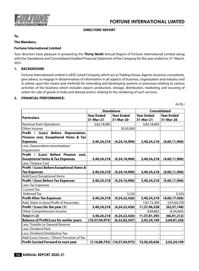

#### **DIRECTORS' REPORT**

**To,**

#### **The Members,**

#### **Fortune International Limited**

Your directors have pleasure in presenting the **Thirty Ninth** Annual Report of Fortune International Limited along with the Standalone and Consolidated Audited Financial Statement of the Company for the year ended on 31<sup>st</sup> March, 2021.

#### **1. BACKGROUND**

Fortune International Limited is a BSE Listed Company which act as Trading House, Agents, business consultants, give advice, to engage in dissemination of information in all aspects of business, organization and industry and to advise upon the means and methods for extending and developing systems or processes relating to various activities of the business which includes export, production, storage, distribution, marketing and securing of orders for sale of goods in India and abroad and/or relating to the rendering of such services.

#### **2. FINANCIAL PERFORMANCE:**

**Standalone Consolidated Particulars Year Ended 31-Mar-21 Year Ended 31-Mar-20 Year Ended 31-Mar-21 Year Ended 31-Mar-20** Revenue from Operations 1982 - 3,82,18,085 - 3,82,18,085 Other Income 25,95,000 **Profit / (Loss) Before Depreciation, Finance cost, Exceptional Items & Tax Expenses 3,40,24,218 (4,24,16,906) 3,40,24,218 (4,60,11,906)** Less: Depreciation/amortization/ Impairment - - - - **Profit / (Loss) Before Finance cost, Exceptional Items & Tax Expenses 3,40,24,218 (4,24,16,906) 3,40,24,218 (4,60,11,906)** Less- Finance Cost **Profit / (Loss) Before Exceptional Items & Tax Expenses 3,40,24,218 (4,24,16,906) 3,40,24,218 (4,60,11,906)** Add/(Less) Exceptional Items **Profit / (loss) Before Tax Expenses 3,40,24,218 (4,24,16,906) 3,40,24,218 (4,60,11,906)** Less: Tax Expenses Current Tax  $\begin{vmatrix} \cdot & \cdot & \cdot \\ \cdot & \cdot & \cdot \end{vmatrix}$  -  $\begin{vmatrix} \cdot & \cdot & \cdot \\ \cdot & \cdot & \cdot \end{vmatrix}$  -Deferred Tax **- 5,520** - 5,520 **Profit After Tax Expenses 3,40,24,218 (4,24,22,426) 3,40,24,218 (4,60,17,426)** Add: Share in (loss)/Profit of Associates - - - - - - - 7,87,72,309 3,97,60,278 **Profit / (Loss) for the year (1) 3,40,24,218 (4,24,22,426) 11,27,96,528 (62,57,148)** Other Comprehensive Income - - 9,84,865 (4,34,064) **Total (1+2) 3,40,24,218 (4,24,22,426) 11,37,81,393 (66,91,212) Balance of Profit/Loss for earlier years (10,57,04,973) (6,32,82,547) 2,02,24,109 2,64,81,256** Less: Transfer to General Reserve Less: Dividend Paid - - - - Less: Dividend Distribution Tax - - - - Add/(Less): Excess / (Short) Provision of Tax **Profit Carried Forward to next year (7,16,80,755) (10,57,04,973) 13,30,20,636 2,02,24,109**

 *(in Rs.)*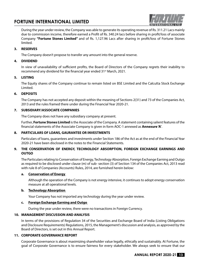

During the year under review, the Company was able to generate its operating revenue of Rs. 311.21 Lacs mainly due to commission income, therefore earned a Profit of Rs. 340.24 lacs before sharing in profit/loss of associate Company **"Fortune Stones Limited"** and of Rs. 1,127.96 Lacs after sharing in profit/loss of Fortune Stones limited.

#### **3. RESERVES**

The Company doesn't propose to transfer any amount into the general reserve.

#### **4. DIVIDEND**

In view of unavailability of sufficient profits, the Board of Directors of the Company regrets their inability to recommend any dividend for the financial year ended 31<sup>st</sup> March, 2021.

#### **5. LISTING**

The Equity shares of the Company continue to remain listed on BSE Limited and the Calcutta Stock Exchange Limited.

#### **6. DEPOSITS**

The Company has not accepted any deposit within the meaning of Sections 2(31) and 73 of the Companies Act, 2013 and the rules framed there under during the Financial Year 2020-21.

#### **7. SUBSIDIARY/ASSOCIATE COMPANIES**

The Company does not have any subsidiary company at present.

Further, **Fortune Stones Limited** is the Associate of the Company. A statement containing salient features of the financial statements of the Associate Company is given in form AOC-1 annexed as **Annexure 'A'**.

#### **8. PARTICULARS OF LOANS, GAURANTEE OR INVESTMENTS**

Particulars of loans, guarantees and investments under Section 186 of the Act as at the end of the Financial Year 2020-21 have been disclosed in the notes to the Financial Statements.

#### **9. THE CONSERVATION OF ENERGY, TECHNOLOGY ABSORPTION, FOREIGN EXCHANGE EARNINGS AND OUTGO**

The Particulars relating to Conservation of Energy, Technology Absorption, Foreign Exchange Earning and Outgo as required to be disclosed under clause (m) of sub- section (3) of Section 134 of the Companies Act, 2013 read with rule 8 of Companies (Accounts) Rules, 2014, are furnished herein below:

#### **a. Conservation of Energy**

Although the operation of the Company is not energy intensive, it continues to adopt energy conservation measure at all operational levels.

#### **b. Technology Absorption**

Your Company has not imported any technology during the year under review.

#### **c. Foreign Exchange Earning and Outgo**

During the year under review, there were no transactions in Foreign Currency.

#### **10. MANAGEMENT DISCUSSION AND ANALYSIS**

In terms of the provisions of Regulation 34 of the Securities and Exchange Board of India (Listing Obligations and Disclosure Requirements) Regulations, 2015, the Management's discussion and analysis, as approved by the Board of Directors, is set out in this Annual Report.

#### **11. CORPORATE GOVERNANCE REPORT**

Corporate Governance is about maximizing shareholder value legally, ethically and sustainably. At Fortune, the goal of Corporate Governance is to ensure fairness for every stakeholder. We always seek to ensure that our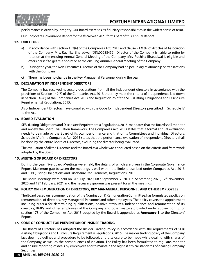

performance is driven by integrity. Our Board exercises its fiduciary responsibilities in the widest sense of term.

Our Corporate Governance Report for the fiscal year 2021 forms part of this Annual Report.

#### **12. DIRECTORS**

- a) In accordance with section 152(6) of the Companies Act, 2013 and clause 91 & 92 of Articles of Association of the Company, Mrs. Ruchika Bharadwaj (DIN:00288459), Director of the Company is liable to retire by rotation at the ensuing Annual General Meeting of the Company. Mrs. Ruchika Bharadwaj is eligible and offers herself to get re-appointed at the ensuing Annual General Meeting of the Company.
- b) During the year, the Non-Executive Directors of the Company had no pecuniary relationship or transactions with the Company.
- c) There has been no change in the Key Managerial Personnel during the year.

#### **13. DECLARATION BY INDEPENDENT DIRECTORS**

The Company has received necessary declarations from all the independent directors in accordance with the provisions of Section 149(7) of the Companies Act, 2013 that they meet the criteria of independence laid down in Section 149(6) of the Companies Act, 2013 and Regulation 25 of the SEBI (Listing Obligations and Disclosure Requirements) Regulations, 2015.

Also, Independent Directors have complied with the Code for Independent Directors prescribed in Schedule IV to the Act.

#### **14. BOARD EVALUATION**

SEBI (Listing Obligations and Disclosure Requirements) Regulations, 2015, mandates that the Board shall monitor and review the Board Evaluation framework. The Companies Act, 2013 states that a formal annual evaluation needs to be made by the Board of its own performance and that of its Committees and individual Directors. Schedule IV of the Companies Act, 2013 states that the performance evaluation of Independent Directors shall be done by the entire Board of Directors, excluding the director being evaluated.

The evaluation of all the Directors and the Board as a whole was conducted based on the criteria and framework adopted by the Board.

#### **15. MEETING OF BOARD OF DIRECTORS**

During the year, Five Board Meetings were held, the details of which are given in the Corporate Governance Report. Maximum gap between the meetings is well within the limits prescribed under Companies Act, 2013 and SEBI (Listing Obligations and Disclosure Requirements) Regulations, 2015.

The Board Meetings were held on 31<sup>st</sup> July, 2020, 08<sup>th</sup> September, 2020, 15<sup>th</sup> September, 2020, 12<sup>th</sup> November, 2020 and 12<sup>th</sup> February, 2021 and the necessary quorum was present for all the meetings.

#### **16. POLICY ON REMUNERATION OF DIRECTORS, KEY MANAGERIAL PERSONNEL AND OTHER EMPLOYEES**

The Board based on recommendation of the Nomination & Remuneration Committee, has formulated a policy on remuneration, of directors, Key Managerial Personnel and other employees. The policy covers the appointment including criteria for determining qualifications, positive attributes, independence and remuneration of its directors, KMPs and other employees of the Company and other matters provided under sub-section (3) of section 178 of the Companies Act, 2013 adopted by the Board is appended as **Annexure-B** to the Directors' Report.

#### **17. CODE OF CONDUCT FOR PREVENTION OF INSIDER TRADING**

The Board of Directors has adopted the Insider Trading Policy in accordance with the requirements of SEBI (Listing Obligations and Disclosure Requirements) Regulations, 2015. The insider trading policy of the Company lays down guidelines and procedure to be followed, and disclosure to be made while dealing with shares of the Company, as well as the consequences of violation. The Policy has been formulated to regulate, monitor and ensure reporting of deals by employees and to maintain the highest ethical standards of dealing Company Securities.

#### **14 ANNUAL REPORT 2020-21**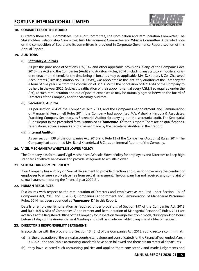

#### **18. COMMITTEES OF THE BOARD**

Currently there are 5 Committees: The Audit Committee, The Nomination and Remuneration Committee, The Stakeholders Relationship Committee, Risk Management Committee and Whistle Committee. A detailed note on the composition of Board and its committees is provided in Corporate Governance Report, section of this Annual Report.

#### **19. AUDITORS**

#### **(i) Statutory Auditors**

As per the provisions of Sections 139, 142 and other applicable provisions, if any, of the Companies Act, 2013 (the Act) and the Companies (Audit and Auditors) Rules, 2014 (including any statutory modification(s) or re-enactment thereof, for the time being in force), as may be applicable, M/s. D. Kothary & Co., Chartered Accountants (Firm Registration No. 105335W), was appointed as the Statutory Auditors of the Company for a term of five years i.e. from the conclusion of 35<sup>th</sup> AGM till the conclusion of 40<sup>th</sup> AGM of the Company to be held in the year 2022, (subject to ratification of their appointment at every AGM, if so required under the Act), at such remuneration and out of pocket expenses as may be mutually agreed between the Board of Directors of the Company and the Statutory Auditors.

#### **(ii) Secretarial Auditor**

As per section 204 of the Companies Act, 2013, and the Companies (Appointment and Remuneration of Managerial Personnel) Rules 2014, the Company had appointed M/s. Vishakha Harbola & Associates, Practicing Company Secretary, as Secretarial Auditor for carrying out the secretarial audit. The Secretarial Audit Report in the prescribed form is annexed as "**Annexure- C"** to this report. There are no qualifications, reservations, adverse remarks or disclaimer made by the Secretarial Auditors in their report.

#### **(iii) Internal Auditor**

As per section 138 of the Companies Act, 2013 and Rule 13 of the Companies (Accounts) Rules, 2014. The Company had appointed M/s. Bansi Khandelwal & Co. as an Internal Auditor of the Company.

#### **20. VIGIL MECHANISM/ WHISTLE BLOWER POLICY**

The Company has formulated Vigil Mechanism /Whistle Blower Policy for employees and Directors to keep high standards of ethical behaviour and provide safeguards to whistle blower.

#### **21**. **SEXUAL HARASSMENT POLICY**

Your Company has a Policy on Sexual Harassment to provide direction and rules for governing the conduct of employees to ensure a work place free from sexual harassment. The Company has not received any complaint of sexual harassment during the financial year 2020-21.

#### **22. HUMAN RESOURCES**

Disclosures with respect to the remuneration of Directors and employees as required under Section 197 of Companies Act, 2013 and Rule 5 (1) Companies (Appointment and Remuneration of Managerial Personnel) Rules, 2014 has been appended as "**Annexure- D"** to this Report.

Details of employee remuneration as required under provisions of Section 197 of the Companies Act, 2013 and Rule 5(2) & 5(3) of Companies (Appointment and Remuneration of Managerial Personnel) Rules, 2014 are available at the Registered Office of the Company for inspection through electronic mode, during working hours before 21 days of the Annual General Meeting and shall be made available to any shareholder on request.

#### **23. DIRECTOR'S RESPONSIBILITY STATEMENT:**

In accordance with the provisions of Section 134(3)(c) of the Companies Act, 2013, your directors confirm that:

- (a) in the preparation of the annual accounts (standalone and consolidated) for the Financial Year ended March 31, 2021, the applicable accounting standards have been followed and there are no material departures;
- (b) they have selected such accounting policies and applied them consistently and made judgements and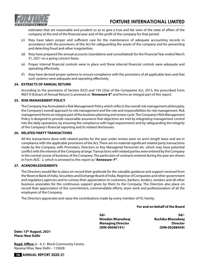

estimates that are reasonable and prudent so as to give a true and fair view of the state of affairs of the company at the end of the financial year and of the profit of the company for that period;

- (c) they have taken proper and sufficient care for the maintenance of adequate accounting records in accordance with the provisions of this Act for safeguarding the assets of the company and for preventing and detecting fraud and other irregularities;
- (d) they have prepared the annual accounts (standalone and consolidated) for the Financial Year ended March 31, 2021 on a going concern basis;
- (e) Proper internal financial controls were in place and these internal financial controls were adequate and operating effectively.
- (f) they have devised proper systems to ensure compliance with the provisions of all applicable laws and that such systems were adequate and operating effectively.

#### **24. EXTRACTS OF ANNUAL RETURN**

According to the provisions of Section 92(3) and 134 (3)(a) of the Companies Act, 2013, the prescribed Form MGT-9 (Extract of Annual Return) is annexed as "**Annexure-E"** and forms an integral part of this report.

#### **25. RISK MANAGEMENT POLICY**

The Company has formulated a Risk Management Policy which reflects the overall risk management philosophy, the Company's overall approach to risk management and the role and responsibilities for risk management. Risk management forms an integral part of the business planning and review cycle. The Company's Risk Management Policy is designed to provide reasonable assurance that objectives are met by integrating management control into the daily operations, by ensuring the compliance with legal requirements and by safeguarding the integrity of the Company's financial reporting and its related disclosures.

#### **26. RELATED PARTY TRANSACTIONS**

All the transactions done with related parties for the year under review were on arm's length basis and are in compliance with the applicable provisions of the Act. There are no material significant related party transactions made by the Company with Promoters, Directors or Key Managerial Personnel etc. which may have potential conflict with the interest of the Company at large. Transactions with related parties were entered by the Company in the normal course of business of the Company. The particulars of contracts entered during the year are shown in Form AOC- 2, which is annexed to this report as "**Annexure- F"**.

#### **27. ACKNOWLEDGEMENTS**

The Directors would like to place on record their gratitude for the valuable guidance and support received from the Reserve Bank of India, Securities and Exchange Board of India, Registrar of Companies and other government and regulatory agencies and to convey their appreciation to customers, bankers, lenders, vendors and all other business associates for the continuous support given by them to the Company. The Directors also place on record their appreciation of the commitment, commendable efforts, team work and professionalism of all the employees of the Company.

The Directors appreciate and value the contributions made by every member of FIL Family.

#### **For and on behalf of the Board**

**Sd/- Sd/- Nivedan Bharadwaj Ruchika Bharadwaj Managing Director Director (DIN-00040191) (DIN-00288459)**

**Date: 13th August, 2021 Place: New Delhi** 

**Regd. Office:** G - 4, C- Block Community Centre, Naraina Vihar, New Delhi – 110028

**16 ANNUAL REPORT 2020-21**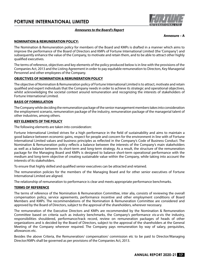

#### *Annexures to the Board's Report*

#### **Annexure – A**

#### **NOMINATION & REMUNERATION POLICY:**

The Nomination & Remuneration policy for members of the Board and KMPs is drafted in a manner which aims to improve the performance of the Board of Directors and KMPs of Fortune International Limited (the 'Company') and subsequently enhance the value of the Company, to motivate and retain them, and to be able to attract other highly qualified executives.

The terms of reference, objectives and key elements of the policy produced below is in line with the provisions of the Companies Act, 2013 and the Listing Agreement in order to pay equitable remuneration to Directors, Key Managerial Personnel and other employees of the Company.

#### **OBJECTIVES OF NOMINATION & REMUNERATION POLICY**

The objective of Nomination & Remuneration policy of Fortune International Limited is to attract, motivate and retain qualified and expert individuals that the Company needs in order to achieve its strategic and operational objectives, whilst acknowledging the societal context around remuneration and recognizing the interests of stakeholders of Fortune International Limited.

#### **BASIS OF FORMULATION**

The Company while deciding the remuneration package of the senior management members takes into consideration the employment scenario, remuneration package of the industry, remuneration package of the managerial talent of other industries, among others.

#### **KEY ELEMENTS OF THE POLICY**

The following elements are taken into consideration:

Fortune International Limited strives for a high performance in the field of sustainability and aims to maintain a good balance between economic gains, respect for people and concern for the environment in line with of Fortune International Limited values and business principles as reflected in the Company's Code of Business Conduct. The Nomination & Remuneration policy reflects a balance between the interests of the Company's main stakeholders as well as a balance between its short-term and long-term strategy. As a result, the structure of the remuneration package for the Managing Board and KMPs is designed to balance short-term operational performance with the medium and long-term objective of creating sustainable value within the Company, while taking into account the interests of its stakeholders.

To ensure that highly skilled and qualified senior executives can be attracted and retained.

The remuneration policies for the members of the Managing Board and for other senior executives of Fortune International Limited are aligned.

The relationship of remuneration to performance is clear and meets appropriate performance benchmarks.

#### **TERMS OF REFERENCE**

The terms of reference of the Nomination & Remuneration Committee, inter alia, consists of reviewing the overall compensation policy, service agreements, performance incentive and other employment conditions of Board Members and KMPs. The recommendations of the Nomination & Remuneration Committee are considered and approved by the Board of Directors, subject to the approval of the shareholders, wherever necessary.

The remuneration of the Executive Directors and KMPs are recommended by the Nomination & Remuneration Committee based on criteria such as industry benchmarks, the Company's performance vis-a-vis the industry, responsibilities shouldered, performance/track record, review on remuneration packages of heads of other organizations and is decided by the Board of Directors, subject to the approval of the shareholders at the General Meeting of the Company wherever required. The Company pays remuneration by way of salary, perquisites, allowances etc.

Besides the above Criteria, the Remuneration/ compensation/ commission etc to be paid to Director/Managing Director/KMPs shall be governed as per provisions of the Companies Act, 2013.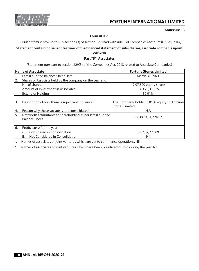

#### **Annexure - B**

#### **Form AOC-1**

(Pursuant to first proviso to sub-section (3) of section 129 read with rule 5 of Companies (Accounts) Rules, 2014)

#### **Statement containing salient features of the financial statement of subsidiaries/associate companies/joint ventures**

#### **Part "B": Associates**

(Statement pursuant to section 129(3) of the Companies Act, 2013 related to Associate Companies)

|               | <b>Name of Associate</b>                                                             | <b>Fortune Stones Limited</b>                                 |  |  |  |
|---------------|--------------------------------------------------------------------------------------|---------------------------------------------------------------|--|--|--|
|               | Latest audited Balance Sheet Date                                                    | March 31, 2021                                                |  |  |  |
| 2.            | Shares of Associate held by the company on the year end                              |                                                               |  |  |  |
|               | No. of shares                                                                        | 17,97,500 equity shares                                       |  |  |  |
|               | Amount of Investment in Associates                                                   | Rs. 3,70,31,025                                               |  |  |  |
|               | <b>Extend of Holding</b>                                                             | 36.01%                                                        |  |  |  |
|               |                                                                                      |                                                               |  |  |  |
| 3.            | Description of how there is significant influence                                    | The Company holds 36.01% equity in Fortune<br>Stones Limited. |  |  |  |
| <sup>4.</sup> | Reason why the associate is not consolidated                                         | N.A                                                           |  |  |  |
| 5.            | Net worth attributable to shareholding as per latest audited<br><b>Balance Sheet</b> | Rs. 38.33.11.724.07                                           |  |  |  |
|               |                                                                                      |                                                               |  |  |  |
| 6.            | Profit/(Loss) for the year                                                           |                                                               |  |  |  |
|               | Considered in Consolidation                                                          | Rs. 7,87,72,309                                               |  |  |  |
|               | ii.<br>Not Considered in Consolidation                                               | Nil                                                           |  |  |  |

1. Names of associates or joint ventures which are yet to commence operations. Nil

2. Names of associates or joint ventures which have been liquidated or sold during the year. Nil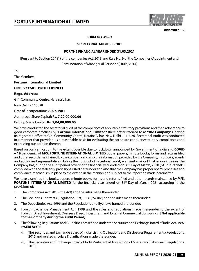

**Annexure – C**

#### **FORM NO. MR- 3**

#### **SECRETARIAL AUDIT REPORT**

#### **FOR THE FINANCIAL YEAR ENDED 31.03.2021**

[Pursuant to Section 204 (1) of the companies Act, 2013 and Rule No. 9 of the Companies (Appointment and Remuneration of Managerial Personnel) Rule, 2014]

To,

The Members,

**Fortune International Limited**

#### **CIN: L52324DL1981PLC012033**

#### **Regd. Address:**

G-4, Community Centre, Naraina Vihar,

New Delhi - 110028

Date of Incorporation: **20.07.1981**

Authorized Share Capital**: Rs. 7,20,00,000.00**

Paid up Share Capital**: Rs. 7,04,00,000.00**

We have conducted the secretarial audit of the compliance of applicable statutory provisions and then adherence to good corporate practices by "**Fortune International Limited"** (hereinafter referred to as **"the Company")**, having its registered office at G-4, Community Centre, Naraina Vihar, New Delhi - 110028. Secretarial Audit was conducted in a manner that provided us a reasonable basis for evaluating the corporate conducts/statutory compliances and expressing our opinion thereon.

Based on our verification, to the extent possible due to lockdown announced by Government of India and **COVID – 19** pandemic, of **M/S. FORTUNE INTERNATIONAL LIMITED** books, papers, minute books, forms and returns filed and other records maintained by the company and also the information provided by the Company, its officers, agents and authorized representatives during the conduct of secretarial audit, we hereby report that in our opinion, the Company has, during the audit period covering the financial year ended on 31st Day of March, 2020 **("Audit Period")** complied with the statutory provisions listed hereunder and also that the Company has proper board-processes and compliance-mechanism in place to the extent, in the manner and subject to the reporting made hereinafter:

We have examined the books, papers, minute books, forms and returns filed and other records maintained by **M/S. FORTUNE INTERNATIONAL LIMITED** for the financial year ended on 31<sup>st</sup> Day of March, 2021 according to the provisions of:

- 1. The Companies Act, 2013 (the Act) and the rules made thereunder;
- 2. The Securities Contracts (Regulation) Act, 1956 ("SCRA") and the rules made thereunder;
- 3. The Depositories Act, 1996 and the Regulations and Bye-laws framed thereunder;
- 4. Foreign Exchange Management Act, 1999 and the rules and regulations made thereunder to the extent of Foreign Direct Investment, Overseas Direct Investment and External Commercial Borrowings; **[Not applicable to the Company during the Audit Period]**
- 5. The following Regulations and Guidelines prescribed under the Securities and Exchange Board of India Act, 1992 **("SEBI Act") :** -
	- **(i)** The Securities and Exchange Board of India (Listing Obligations and Disclosures Requirements) Regulations, 2015 and related circulars & clarifications made thereunder;
	- **(ii)** The Securities and Exchange Board of India (Substantial Acquisition of Shares and Takeovers) Regulations, 2011;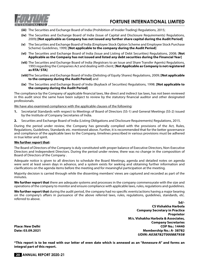

- **(iii)** The Securities and Exchange Board of India (Prohibition of Insider Trading) Regulations, 2015;
- **(iv)** The Securities and Exchange Board of India (Issue of Capital and Disclosure Requirements) Regulations, 2009**; [Not applicable as Company has not issued any further share capital during the Audit Period]**
- **(v)** The Securities and Exchange Board of India (Employee Stock Option Scheme and Employee Stock Purchase Scheme) Guidelines, 1999; **[Not applicable to the company during the Audit Period]**
- **(vi)** The Securities and Exchange Board of India (Issue and Listing of Debt Securities) Regulations, 2008; [**Not Applicable as the Company has not issued and listed any debt securities during the Financial Year]**
- **(vii)** The Securities and Exchange Board of India (Registrars to an Issue and Share Transfer Agents) Regulations, 1993 regarding the Companies Act and dealing with client; [**Not Applicable as Company is not registered as RTA/ STA]**
- **(viii)**The Securities and Exchange Board of India (Delisting of Equity Shares) Regulations, 2009; **[Not applicable to the company during the Audit Period]** and
- **(ix)** The Securities and Exchange Board of India (Buyback of Securities) Regulations, 1998. **[Not applicable to the company during the Audit Period]**

The compliance by the Company of applicable financial laws, like direct and indirect tax laws, has not been reviewed in this audit since the same have been subject to review by the statutory financial auditor and other designated professionals.

We have also examined compliance with the applicable clauses of the following:

- **1.** Secretarial Standards with respect to Meetings of Board of Directors (SS-1) and General Meetings (SS-2) issued by the Institute of Company Secretaries of India.
- **2.** Securities and Exchange Board of India (Listing Obligations and Disclosure Requirements) Regulations, 2015.

During the period under review, the Company has generally complied with the provisions of the Act, Rules, Regulations, Guidelines, Standards etc. mentioned above. Further, it is recommended that for the better governance and compliance of the applicable laws to the Company, timelines prescribed in various provisions must be adhered in true letter and spirit.

#### **We further report that:**

The Board of Directors of the Company is duly constituted with proper balance of Executive Directors, Non-Executive Directors and Independent Directors. During the period under review, there was no change in the composition of Board of Directors of the Company .

Adequate notice is given to all directors to schedule the Board Meetings, agenda and detailed notes on agenda were sent at least seven days in advance, and a system exists for seeking and obtaining further information and clarifications on the agenda items before the meeting and for meaningful participation at the meeting.

Majority decision is carried through while the dissenting members' views are captured and recorded as part of the minutes.

**We further report that** there are adequate systems and processes in the company commensurate with the size and operations of the company to monitor and ensure compliance with applicable laws, rules, regulations and guidelines.

**We further report that** during the audit period, the company had no specific events/actions having a major bearing on the company's affairs in pursuance of the above referred laws, rules, regulations, guidelines, standards, etc. referred to above.

 **Sd/- CS Vishakha Harbola Company Secretary in Practice Proprietor M/s. Vishakha Harbola & Associates, Company Secretaries Place: New Delhi COP No.: 14440 Date: 03.09.2021 Membership No.: A- 38782** *UDIN: A038782T000887938*

**\*This report is to be read with our letter of even date which is annexed as an "Annexure-A" and forms an integral part of this report.**

**20 ANNUAL REPORT 2020-21**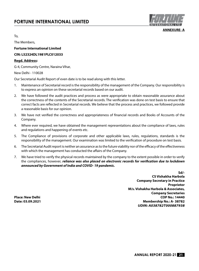

**ANNEXURE- A**

To,

The Members,

**Fortune International Limited**

#### **CIN: L52324DL1981PLC012033**

#### **Regd. Address:**

G-4, Community Centre, Naraina Vihar,

New Delhi - 110028

Our Secretarial Audit Report of even date is to be read along with this letter.

- 1. Maintenance of Secretarial record is the responsibility of the management of the Company. Our responsibility is to express an opinion on these secretarial records based on our audit.
- 2. We have followed the audit practices and process as were appropriate to obtain reasonable assurance about the correctness of the contents of the Secretarial records. The verification was done on test basis to ensure that correct facts are reflected in Secretarial records. We believe that the process and practices, we followed provide a reasonable basis for our opinion.
- 3. We have not verified the correctness and appropriateness of financial records and Books of Accounts of the Company.
- 4. Where ever required, we have obtained the management representations about the compliance of laws, rules and regulations and happening of events etc.
- 5. The Compliance of provisions of corporate and other applicable laws, rules, regulations, standards is the responsibility of the management. Our examination was limited to the verification of procedure on test basis.
- 6. The Secretarial Audit report is neither an assurance as to the future viability nor of the efficacy of the effectiveness with which the management has conducted the affairs of the Company.
- 7. We have tried to verify the physical records maintained by the company to the extent possible in order to verify the compliances, however, *reliance was also placed on electronic records for verification due to lockdown announced by Government of India and COVID- 19 pandemic.*

**Sd/- CS Vishakha Harbola Company Secretary in Practice Proprietor M/s. Vishakha Harbola & Associates, Company Secretaries Place: New Delhi COP No.: 14440 Date: 03.09.2021 Membership No.: A- 38782** *UDIN: A038782T000887938*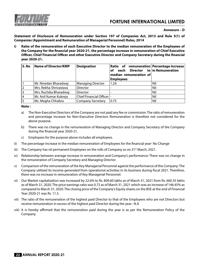

#### **Annexure – D**

**Statement of Disclosure of Remuneration under Section 197 of Companies Act, 2013 and Rule 5(1) of Companies (Appointment and Remuneration of Managerial Personnel) Rules, 2014** 

**i) Ratio of the remuneration of each Executive Director to the median remuneration of the Employees of the Company for the financial year 2020-21, the percentage increase in remuneration of Chief Executive Officer, Chief Financial Officer and other Executive Director and Company Secretary during the financial year 2020-21.** 

| S. No | <b>Name of Director/KMP</b> | <b>Designation</b>          | Ratio of remuneration Percentage increase<br>Director<br>each<br>оf<br>median remuneration of<br><b>Employees</b> | to $\,$ in Remuneration |
|-------|-----------------------------|-----------------------------|-------------------------------------------------------------------------------------------------------------------|-------------------------|
|       | Mr. Nivedan Bharadwaj       | <b>Managing Director</b>    | 1.24                                                                                                              | Nil                     |
|       | Mrs. Rekha Shrivastava      | Director                    |                                                                                                                   | Nil                     |
|       | Mrs. Ruchika Bharadwaj      | Director                    |                                                                                                                   | Nil                     |
|       | Mr. Anil Kumar Kukreja      | Chief Financial Officer   - |                                                                                                                   | Nil                     |
|       | Ms. Megha Chhabra           | <b>Company Secretary</b>    | 0.75                                                                                                              | Nil                     |

**Note :** 

- a) The Non-Executive Directors of the Company are not paid any fee or commission. The ratio of remuneration and percentage increase for Non-Executive Directors Remuneration is therefore not considered for the above purpose.
- b) There was no change in the remuneration of Managing Director and Company Secretary of the Company during the financial year 2020-21.
- c) Employees for the purpose above includes all employees.
- ii) The percentage increase in the median remuneration of Employees for the financial year- No Change
- iii) The Company has nil permanent Employees on the rolls of Company as on  $31<sup>st</sup>$  March, 2021.
- iv) Relationship between average increase in remuneration and Company's performance: There was no change in the remuneration of Company Secretary and Managing Director.
- v) Comparison of the remuneration of the Key Managerial Personnel against the performance of the Company: The Company utilized its income generated from operational activities in its business during fiscal 2021. Therefore, there was no increase in remuneration of Key Managerial Personnel.
- vi) Our Market capitalization was increased by 22.6% to Rs. 809.60 lakhs as of March 31, 2021 from Rs. 660.35 lakhs as of March 31, 2020. The price earnings ratio was 0.72 as of March 31, 2021 which was an increase of 146.45% as compared to March 31, 2020. The closing price of the Company's Equity shares on the BSE at the end of Financial Year 2020-21 was Rs. 11.5.
- vii) The ratio of the remuneration of the highest paid Director to that of the Employees who are not Directors but receive remuneration in excess of the highest paid Director during the year : N.A
- viii) It is hereby affirmed that the remuneration paid during the year is as per the Remuneration Policy of the Company.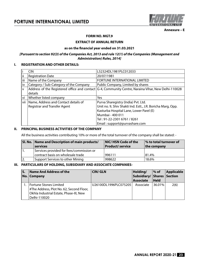

**Annexure – E**

#### **FORM NO. MGT.9**

#### **EXTRACT OF ANNUAL RETURN**

#### **as on the financial year ended on 31.03.2021**

#### *[Pursuant to section 92(3) of the Companies Act, 2013 and rule 12(1) of the Companies (Management and Administration) Rules, 2014]*

#### **I. REGISTRATION AND OTHER DETAILS:**

|              | CIN                                    | L52324DL1981PLC012033                                                                               |
|--------------|----------------------------------------|-----------------------------------------------------------------------------------------------------|
| ii           | <b>Registration Date</b>               | 20/07/1981                                                                                          |
| iii          | Name of the Company                    | FORTUNE INTERNATIONAL LIMITED                                                                       |
| iv           | Category / Sub-Category of the Company | Public Company, Limited by shares                                                                   |
| $\mathsf{v}$ |                                        | Address of the Registered office and contact G-4, Community Centre, Naraina Vihar, New Delhi-110028 |
|              | details                                |                                                                                                     |
| vi           | Whether listed company                 | Yes                                                                                                 |
| vii          | Name, Address and Contact details of   | Purva Sharegistry (India) Pvt. Ltd.                                                                 |
|              | Registrar and Transfer Agent           | Unit no. 9, Shiv Shakti Ind. Estt., J.R. Boricha Marg, Opp.                                         |
|              |                                        | Kasturba Hospital Lane, Lower Parel (E)                                                             |
|              |                                        | Mumbai - 400 011                                                                                    |
|              |                                        | Tel: 91-22-2301 6761 / 8261                                                                         |
|              |                                        | Email: support@purvashare.com                                                                       |

#### **II. PRINCIPAL BUSINESS ACTIVITIES OF THE COMPANY**

All the business activities contributing 10% or more of the total turnover of the company shall be stated: -

| <b>SI. No. Name and Description of main products/</b><br>  services | $\overline{\phantom{a}}$ NIC/HSN Code of the<br><b>Product</b> /service | $\,$ % to total turnover of<br>the company |
|---------------------------------------------------------------------|-------------------------------------------------------------------------|--------------------------------------------|
| Services provided for fees/commission or                            |                                                                         |                                            |
| contract basis on wholesale trade                                   | 996111                                                                  | 81.4%                                      |
| Support Services to other Mining                                    | 998622                                                                  | 18.6%                                      |

#### **III. PARTICULARS OF HOLDING, SUBSIDIARY AND ASSOCIATE COMPANIES-**

| ls. | Name And Address of the<br>No. Company                             | <b>CIN/GLN</b>        | Holding/<br>Subsidiary/ Shares Section<br><b>Associate</b> | $\frac{9}{6}$ of<br><b>Held</b> | <b>Applicable</b> |
|-----|--------------------------------------------------------------------|-----------------------|------------------------------------------------------------|---------------------------------|-------------------|
|     | Fortune Stones Limited<br>#The Address, Plot No. 62, Second Floor, | U26100DL1996PLC075205 | Associate                                                  | 36.01%                          | 2(6)              |
|     |                                                                    |                       |                                                            |                                 |                   |
|     | Okhla Industrial Estate, Phase-III, New                            |                       |                                                            |                                 |                   |
|     | Delhi-110020                                                       |                       |                                                            |                                 |                   |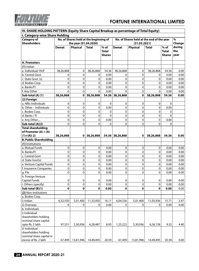

| IV. SHARE HOLDING PATTERN (Equity Share Capital Breakup as percentage of Total Equity)     |              |                       |                                        |                                         |                 |                                                           |              |                                         |                       |
|--------------------------------------------------------------------------------------------|--------------|-----------------------|----------------------------------------|-----------------------------------------|-----------------|-----------------------------------------------------------|--------------|-----------------------------------------|-----------------------|
| i. Category-wise Share Holding                                                             |              |                       |                                        |                                         |                 |                                                           |              |                                         |                       |
| <b>Category of</b><br><b>Shareholders</b>                                                  |              | the year (01.04.2020) | No. of Shares held at the beginning of |                                         |                 | No. of Shares held at the end of the year<br>(31.03.2021) |              |                                         | $\%$<br>Change        |
|                                                                                            | <b>Demat</b> | <b>Physical</b>       | <b>Total</b>                           | $%$ of<br><b>Total</b><br><b>Shares</b> | Demat           | <b>Physical</b>                                           | <b>Total</b> | $%$ of<br><b>Total</b><br><b>Shares</b> | during<br>the<br>year |
| A. Promoters                                                                               |              |                       |                                        |                                         |                 |                                                           |              |                                         |                       |
| $(1)$ Indian                                                                               |              |                       |                                        |                                         |                 |                                                           |              |                                         |                       |
| a. Individual/HUF                                                                          | 38,26,868    | 0                     | 38,26,868                              | 54.36                                   | 38,26,868       | 0                                                         | 38,26,868    | 54.36                                   | 0.00                  |
| b. Central Govt.                                                                           | 0            | $\mathbf 0$           | 0                                      | 0.00                                    | 0               | 0                                                         | 0            | 0.00                                    | 0.00                  |
| c. State Govt. (s)                                                                         | 0            | 0                     | 0                                      | 0.00                                    | 0               | 0                                                         | 0            | 0.00                                    | 0.00                  |
| d. Bodies Corp.                                                                            | 0            | 0                     | $\mathbf 0$                            | 0.00                                    | $\mathbf 0$     | 0                                                         | 0            | 0.00                                    | 0.00                  |
| e. Banks/Fl                                                                                | 0            | 0                     | $\mathbf 0$                            | 0.00                                    | $\mathbf 0$     | 0                                                         | 0            | 0.00                                    | 0.00                  |
| f. Any Other                                                                               | 0            | 0                     | 0                                      | 0.00                                    | 0               | 0                                                         | 0            | 0.00                                    | 0.00                  |
| Sub-total (A) (1)                                                                          | 38,26,868    | 0                     | 38,26,868                              |                                         | 54.36 38,26,868 | 0                                                         | 38,26,868    | 54.36                                   | 0.00                  |
| (2) Foreign                                                                                |              |                       |                                        |                                         |                 |                                                           |              |                                         |                       |
| a. NRIs-Individuals                                                                        | 0            | 0                     | 0                                      | 0                                       | 0               | 0                                                         | 0            | 0                                       |                       |
| b. Other - Individuals                                                                     | 0            | 0                     | 0                                      | 0.00                                    | 0               | 0                                                         | 0            | 0.00                                    |                       |
| c. Bodies Corp.                                                                            | 0            | 0                     | 0                                      | 0                                       | $\mathbf 0$     | 0                                                         | 0            | 0                                       |                       |
| $\overline{d}$ . Banks / Fl                                                                | 0            | 0                     | 0                                      | 0                                       | $\mathbf 0$     | 0                                                         | 0            | $\Omega$                                |                       |
| e. Any Other                                                                               | 0            | 0                     | 0                                      | 0.00                                    | $\mathbf 0$     | 0                                                         | 0            | 0.00                                    |                       |
| Sub-total (A)(2)                                                                           | $\mathbf 0$  | $\mathbf 0$           | $\mathbf 0$                            | $\mathbf 0$                             | $\mathbf 0$     | 0                                                         | $\Omega$     | $\mathbf{0}$                            |                       |
| <b>Total shareholding</b>                                                                  |              |                       |                                        |                                         |                 |                                                           |              |                                         |                       |
| of Promoter $(A) = (A)$                                                                    |              |                       |                                        |                                         |                 |                                                           |              |                                         |                       |
| $(1)+(A)(2)$                                                                               | 38,26,868    | $\mathbf{0}$          | 38,26,868                              |                                         | 54.36 38.26.868 | 0                                                         | 38,26,868    | 54.36                                   | 0.00                  |
| <b>B. Public Shareholding</b>                                                              |              |                       |                                        |                                         |                 |                                                           |              |                                         |                       |
| (1) Institutions                                                                           |              |                       |                                        |                                         |                 |                                                           |              |                                         |                       |
| a. Mutual Funds                                                                            | 0            | 0                     | 0                                      | 0.00                                    | 0               | 0                                                         | 0            | 0.00                                    | 0.00                  |
| b. Banks/Fl                                                                                | 0            | 0                     | 0                                      | 0.00                                    | $\mathbf 0$     | 0                                                         | 0            | 0.00                                    | 0.00                  |
| c. Central Govt                                                                            | 0            | 0                     | $\mathbf 0$                            | 0.00                                    | $\pmb{0}$       | 0                                                         | 0            | 0.00                                    | 0.00                  |
| d. State Govt(s)                                                                           | 0            | 0                     | 0                                      | 0.00                                    | $\pmb{0}$       | 0                                                         | 0            | 0.00                                    | 0.00                  |
| e. Venture Capital Funds                                                                   | 0            | 0                     | $\mathbf 0$                            | 0.00                                    | $\mathbf 0$     | 0                                                         | 0            | 0.00                                    | 0.00                  |
| f. Insurance Companies                                                                     | 0            | 0                     | $\pmb{0}$                              | 0.00                                    | $\pmb{0}$       | 0                                                         | 0            | 0.00                                    | 0.00                  |
| q. Flls                                                                                    | $\mathbf{0}$ | 0                     | $\mathbf{0}$                           | 0.00                                    | $\mathbf 0$     | 0                                                         | 0            | 0.00                                    | 0.00                  |
| h. Foreign Venture<br>Capital Funds                                                        | 0            | 0                     | 0                                      | 0.00                                    | 0               | 0                                                         | 0            | 0.00                                    | 0.00                  |
| i. Others (specify)                                                                        | 0            | 0                     | 0                                      | 0.00                                    | $\mathbf 0$     | 0                                                         | 0            | 0.00                                    | 0.00                  |
| Sub-total (B)(1)                                                                           | 0            | 0                     | 0                                      | 0.00                                    | 0               | 0                                                         | 0            | 0.00                                    | 0.00                  |
| (2) Non-Institutions                                                                       |              |                       |                                        |                                         |                 |                                                           |              |                                         |                       |
| a. Bodies Corp.                                                                            |              |                       |                                        |                                         |                 |                                                           |              |                                         |                       |
| i) Indian                                                                                  | 6,32,550     | 5,01,400              | 11,33,950                              | 16.11                                   | 6,04,536        | 5,01,400                                                  | 11,05,936    | 15.71                                   | 2.47                  |
| ii) Overseas                                                                               | 0            | 0                     | 0                                      | 0.00                                    | 0               | 0                                                         | 0            | 0.00                                    | 0.00                  |
| b. Individuals                                                                             |              |                       |                                        |                                         |                 |                                                           |              |                                         |                       |
| i) Individual<br>shareholders holding<br>nominal share capital<br>upto Rs. 2 lakh          | 97,551       | 5,30,936              | 6,28,487                               | 8.93                                    | 1,25,222        | 5,30,936                                                  | 6,56,158     | 9.32                                    | 4.40                  |
| ii) Individual<br>shareholders holding<br>nominal share capital in<br>excess of Rs. 2 lakh | 67,499       | 13,81,996             | 14,49,495                              | 20.59                                   | 67,499          | 13,81,996                                                 | 14,49,495    | 20.59                                   | 0.00                  |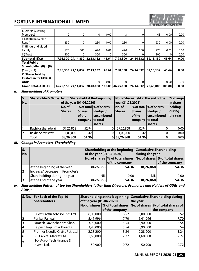

| c. Others (Clearing             |          |           |                               |        |           |           |           |        |       |
|---------------------------------|----------|-----------|-------------------------------|--------|-----------|-----------|-----------|--------|-------|
| Members)                        |          | 0         | 0                             | 0.00   | 43        | 0         | 43        | 0.00   | 0.00  |
| i) NRI (Repat & Non             |          |           |                               |        |           |           |           |        |       |
| Repat)                          | 230      | 0         | 230                           | 0.00   | 230       | 0         | 230       | 0.00   | 0.001 |
| l ii) Hindu Undivided           |          |           |                               |        |           |           |           |        |       |
| Family                          | 170      | 500       | 670                           | 0.01   | 470       | 500       | 970       | 0.01   | 0.001 |
| iii) Trust                      | 300      | 0         | 300                           |        | 300       | O         | 300       | 0      | 0.00  |
| Sub-total (B)(2)                | 7,98,300 | 24,14,832 | 32,13,132                     | 45.64  | 7,98,300  | 24,14,832 | 32,13,132 | 45.64  | 0.00  |
| <b>Total Public</b>             |          |           |                               |        |           |           |           |        |       |
| Shareholding $(B) = (B)$        |          |           |                               |        |           |           |           |        |       |
| $(1) + (B)(2)$                  | 7,98,300 | 24,14,832 | 32,13,132                     | 45.64  | 7,98,300  | 24,14,832 | 32,13,132 | 45.64  | 0.00  |
| C. Shares held by               |          |           |                               |        |           |           |           |        |       |
| <b>Custodian for GDRs &amp;</b> |          |           |                               |        |           |           |           |        |       |
| <b>ADRs</b>                     |          | 0         |                               | 0.00   | 0         | 0         |           | 0.00   | 0.00  |
| <b>Grand Total (A+B+C)</b>      |          |           | 46,25,168 24,14,832 70,40,000 | 100.00 | 46,25,168 | 24,14,832 | 70,40,000 | 100.00 | 0.00  |

#### *ii. Shareholding of Promoters*

| $\overline{\mathsf{s}}$ . |                   | Shareholder's Name   No. of Shares held at the beginning |                          |            | No. of Shares held at the end of the |                               |                                 | $\%$ change |
|---------------------------|-------------------|----------------------------------------------------------|--------------------------|------------|--------------------------------------|-------------------------------|---------------------------------|-------------|
| No.                       |                   |                                                          | of the year (01.04.2020) |            |                                      | in share<br>vear (31.03.2021) |                                 |             |
|                           |                   | No. of                                                   | % of total   % of Shares |            | No. of                               |                               | <b>% of total   % of Shares</b> | holding     |
|                           |                   | <b>Shares</b>                                            | <b>Shares</b>            | Pledged/   | <b>Shares</b>                        | <b>Shares</b>                 | Pledged/                        | during      |
|                           |                   |                                                          | of the                   | encumbered |                                      | of the                        | encumbered                      | the year    |
|                           |                   |                                                          | company                  | to total   |                                      | company                       | to total                        |             |
|                           |                   |                                                          |                          | shares     |                                      |                               | shares                          |             |
|                           | Ruchika Bharadwaj | 37,26,868                                                | 52.94                    | 0          | 37,26,868                            | 52.94                         |                                 | 0.00        |
| $ 2\rangle$               | Rekha Shrivastava | 1.00.000                                                 | 1.42                     | 0          | 1,00,000                             | 1.42                          |                                 | 0.00        |
|                           | Total             | 38,26,868                                                | 54.36                    |            | 0 38,26,868                          | 54.36                         | 0                               | 0.00        |

#### *iii. Change in Promoters' Shareholding*

| IS.<br>No. |                                 | Shareholding at the beginning   Cumulative Shareholding<br>of the year (01.04.2020) |                                                                                                        | during the year |                |
|------------|---------------------------------|-------------------------------------------------------------------------------------|--------------------------------------------------------------------------------------------------------|-----------------|----------------|
|            |                                 |                                                                                     | No. of shares $\mid$ % of total shares $\mid$ No. of shares $\mid$ % of total shares<br>of the company |                 | of the company |
|            | At the beginning of the year    | 38,26,868                                                                           | 54.36                                                                                                  | 38,26,868       | 54.36          |
|            | Increase/Decrease in Promoter's |                                                                                     |                                                                                                        |                 |                |
|            | Share holding during the year   | <b>NIL</b>                                                                          | 0.00                                                                                                   | nil             | 0.00           |
|            | At the End of the year          | 38,26,868                                                                           | 54.36                                                                                                  | 38,26,868       | 54.36          |

#### *iv. Shareholding Pattern of top ten Shareholders (other than Directors, Promoters and Holders of GDRs and ADRs):*

|   | S. No.   For Each of the Top 10<br><b>Shareholders</b> | of the year (01.04.2020) |                | Shareholding at the beginning Cumulative Shareholding during<br>the year |                                                                        |  |
|---|--------------------------------------------------------|--------------------------|----------------|--------------------------------------------------------------------------|------------------------------------------------------------------------|--|
|   |                                                        |                          |                |                                                                          | No. of shares  % of total shares   No. of shares  % of total shares of |  |
|   |                                                        |                          | of the company |                                                                          | the company                                                            |  |
|   | Quest Profin Advisor Pvt. Ltd.                         | 6,00,000                 | 8.52           | 6,00,000                                                                 | 8.52                                                                   |  |
|   | Pankaj Paliwal                                         | 5,41,996                 | 7.70           | 5,41,996                                                                 | 7.70                                                                   |  |
|   | Nimesh Navinchandra Shah                               | 3,90,000                 | 5.54           | 3,90,000                                                                 | 5.54                                                                   |  |
|   | Kalpesh Rajkumar Koradia                               | 3,90,000                 | 5.54           | 3,90,000                                                                 | 5.54                                                                   |  |
|   | Premier Needle Crafts Pvt. Ltd.                        | 2,28,200                 | 3.24           | 2,28,200                                                                 | 3.24                                                                   |  |
| 6 | SBI Capital Market Ltd.                                | 1,60,000                 | 2.27           | 1,60,000                                                                 | 2.27                                                                   |  |
|   | ITC- Agro- Tech Finance &                              |                          |                |                                                                          |                                                                        |  |
|   | Invest. Ltd.                                           | 50,900                   | 0.72           | 50,900                                                                   | 0.72                                                                   |  |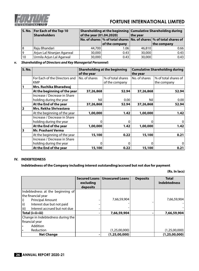

|    | S. No. For Each of the Top 10<br><b>Shareholders</b> | of the year (01.04.2020) |                | Shareholding at the beginning Cumulative Shareholding during<br>the year |                                                                                                    |  |
|----|------------------------------------------------------|--------------------------|----------------|--------------------------------------------------------------------------|----------------------------------------------------------------------------------------------------|--|
|    |                                                      |                          |                |                                                                          | $\vert$ No. of shares $\vert$ % of total shares $\vert$ No. of shares $\vert$ % of total shares of |  |
|    |                                                      |                          | of the company |                                                                          | the company                                                                                        |  |
| 8  | Raju Bhandari                                        | 44,700                   | 1.06           | 46,810                                                                   | 0.66                                                                                               |  |
| 9  | Arjun Lal Niranjan Agarwal                           | 30,000                   | 0.43           | 30,000                                                                   | 0.43                                                                                               |  |
| 10 | Urmila Arjun Lal Agarwal                             | 30,000                   | 0.43           | 30,000                                                                   | 0.43                                                                                               |  |

*v. Shareholding of Directors and Key Managerial Personnel:*

| <b>S. No.</b>           |                               | <b>Shareholding at the beginning</b> |                   | <b>Cumulative Shareholding during</b> |                      |  |
|-------------------------|-------------------------------|--------------------------------------|-------------------|---------------------------------------|----------------------|--|
|                         |                               | of the year                          |                   | the year                              |                      |  |
|                         | For Each of the Directors and | No. of shares                        | % of total shares | No. of shares                         | % of total shares of |  |
|                         | <b>KMP</b>                    |                                      | of the company    |                                       | the company          |  |
|                         | Mrs. Ruchika Bharadwaj        |                                      |                   |                                       |                      |  |
|                         | At the beginning of the year  | 37,26,868                            | 52.94             | 37,26,868                             | 52.94                |  |
|                         | Increase / Decrease in Share  |                                      |                   |                                       |                      |  |
|                         | holding during the year       | Nil                                  | 0.00              | Nil                                   | 0.00                 |  |
|                         | At the End of the year        | 37,26,868                            | 52.94             | 37,26,868                             | 52.94                |  |
| $\overline{\mathbf{2}}$ | Mrs. Rekha Shrivastava        |                                      |                   |                                       |                      |  |
|                         | At the beginning of the year  | 1,00,000                             | 1.42              | 1,00,000                              | 1.42                 |  |
|                         | Increase / Decrease in Share  |                                      |                   |                                       |                      |  |
|                         | holding during the year       |                                      |                   |                                       |                      |  |
|                         | At the End of the year        | 1,00,000                             | 1.42              | 1,00,000                              | 1.42                 |  |
| $\overline{\mathbf{3}}$ | <b>Mr. Prashant Verma</b>     |                                      |                   |                                       |                      |  |
|                         | At the beginning of the year  | 15,100                               | 0.22              | 15,100                                | 0.21                 |  |
|                         | Increase / Decrease in Share  |                                      |                   |                                       |                      |  |
|                         | holding during the year       | O                                    | 0                 | U                                     |                      |  |
|                         | At the End of the year        | 15,100                               | 0.22              | 15,100                                | 0.21                 |  |

#### **IV. INDEBTEDNESS**

#### **Indebtedness of the Company including interest outstanding/accrued but not due for payment**

 **(Rs. In lacs)**

|                                       | excluding<br>deposits | Secured Loans   Unsecured Loans | <b>Deposits</b> | <b>Total</b><br><b>Indebtedness</b> |
|---------------------------------------|-----------------------|---------------------------------|-----------------|-------------------------------------|
| Indebtedness at the beginning of      |                       |                                 |                 |                                     |
| the financial year                    |                       |                                 |                 |                                     |
| $\vert$ i)<br><b>Principal Amount</b> |                       | 7,66,59,904                     |                 | 7,66,59,904                         |
| l ii)<br>Interest due but not paid    |                       |                                 |                 |                                     |
| iii)<br>Interest accrued but not due  |                       |                                 |                 |                                     |
| Total (i+ii+iii)                      |                       | 7,66,59,904                     |                 | 7,66,59,904                         |
| Change in Indebtedness during the     |                       |                                 |                 |                                     |
| financial year                        |                       |                                 |                 |                                     |
| Addition<br>۱.                        |                       |                                 |                 |                                     |
| Reduction<br>I۰                       |                       | (1,25,00,000)                   |                 | (1,25,00,000)                       |
| <b>Net Change</b>                     |                       | (1, 25, 00, 000)                |                 | (1,25,00,000)                       |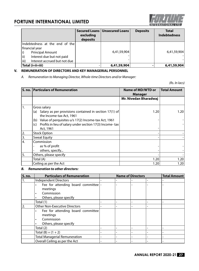

|                                              | excluding<br>deposits | Secured Loans   Unsecured Loans | <b>Deposits</b> | <b>Total</b><br><b>Indebtedness</b> |
|----------------------------------------------|-----------------------|---------------------------------|-----------------|-------------------------------------|
| Indebtedness at the end of the               |                       |                                 |                 |                                     |
| financial year                               |                       |                                 |                 |                                     |
| $\vert i \rangle$<br><b>Principal Amount</b> |                       | 6,41,59,904                     |                 | 6,41,59,904                         |
| $\vert$ ii)<br>Interest due but not paid     |                       |                                 |                 |                                     |
| $\vert$ iii)<br>Interest accrued but not due |                       |                                 |                 |                                     |
| Total (i+ii+iii)                             |                       | 6,41,59,904                     |                 | 6,41,59,904                         |

#### **V. REMUNERATION OF DIRECTORS AND KEY MANAGERIAL PERSONNEL**

*A. Remuneration to Managing Director, Whole-time Directors and/or Manager:*

 *(Rs. In lacs)*

|                  | S. no. Particulars of Remuneration                                                        | Name of MD/WTD or<br><b>Manager</b> | <b>Total Amount</b> |
|------------------|-------------------------------------------------------------------------------------------|-------------------------------------|---------------------|
|                  |                                                                                           | Mr. Nivedan Bharadwaj               |                     |
| $\overline{1}$ . | Gross salary                                                                              |                                     |                     |
|                  | Salary as per provisions contained in section 17(1) of<br>(a)<br>the Income-tax Act, 1961 | 1.20                                | 1.20                |
|                  | Value of perquisites u/s 17(2) Income-tax Act, 1961<br>(b)                                |                                     |                     |
|                  | Profits in lieu of salary under section 17(3) Income-tax<br>(c)                           |                                     |                     |
|                  | Act, 1961                                                                                 |                                     |                     |
|                  | <b>Stock Option</b>                                                                       |                                     |                     |
| $\frac{2}{3}$ .  | Sweat Equity                                                                              |                                     |                     |
| 4.               | Commission                                                                                |                                     |                     |
|                  | as % of profit                                                                            |                                     |                     |
|                  | others, specify                                                                           |                                     |                     |
| 5.               | Others, please specify                                                                    |                                     |                     |
|                  | Total (A)                                                                                 | 1.20                                | 1.20                |
|                  | Ceiling as per the Act                                                                    | 1.20                                | 1.20                |

#### *B. Remuneration to other directors:*

| S. no. | <b>Particulars of Remuneration</b>     |                          | <b>Name of Directors</b> |  |  | <b>Total Amount</b> |
|--------|----------------------------------------|--------------------------|--------------------------|--|--|---------------------|
| 1.     | Independent Directors                  |                          |                          |  |  |                     |
|        | Fee for attending board committee  -   |                          |                          |  |  |                     |
|        | meetings                               |                          |                          |  |  |                     |
|        | Commission                             |                          |                          |  |  |                     |
|        | Others, please specify                 |                          |                          |  |  |                     |
|        | Total (1)                              |                          |                          |  |  |                     |
| 2.     | <b>Other Non-Executive Directors</b>   | $\overline{\phantom{0}}$ |                          |  |  |                     |
|        | Fee for attending board committee<br>٠ |                          |                          |  |  |                     |
|        | meetings                               |                          |                          |  |  |                     |
|        | Commission                             |                          |                          |  |  |                     |
|        | Others, please specify                 |                          |                          |  |  |                     |
|        | Total (2)                              | $\overline{\phantom{0}}$ |                          |  |  |                     |
|        | Total $(B) = (1 + 2)$                  |                          |                          |  |  |                     |
|        | <b>Total Managerial Remuneration</b>   | $\overline{\phantom{0}}$ |                          |  |  |                     |
|        | Overall Ceiling as per the Act         | $\overline{\phantom{0}}$ |                          |  |  |                     |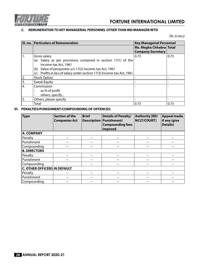

#### *C. REMUNERATION TO KEY MANAGERIAL PERSONNEL OTHER THAN MD/MANAGER/WTD*

*(Rs. In lacs)*

|    | <b>SI. no. Particulars of Remuneration</b>                                | <b>Key Managerial Personnel</b> |      |  |
|----|---------------------------------------------------------------------------|---------------------------------|------|--|
|    |                                                                           | Ms. Megha Chhabra Total         |      |  |
|    |                                                                           | <b>Company Secretary</b>        |      |  |
| 1. | Gross salary                                                              | 0.73                            | 0.73 |  |
|    | Salary as per provisions contained in section 17(1) of the<br>(a)         |                                 |      |  |
|    | Income-tax Act. 1961                                                      |                                 |      |  |
|    | Value of perquisites u/s 17(2) Income-tax Act, 1961<br>(b)                |                                 |      |  |
|    | Profits in lieu of salary under section 17(3) Income-tax Act, 1961<br>(c) |                                 |      |  |
| 2. | <b>Stock Option</b>                                                       |                                 |      |  |
| 3. | Sweat Equity                                                              |                                 |      |  |
| 4. | Commission                                                                |                                 |      |  |
|    | as % of profit                                                            |                                 |      |  |
|    | others, specify                                                           |                                 |      |  |
| 5. | Others, please specify                                                    |                                 |      |  |
|    | Total                                                                     | 0.73                            | 0.73 |  |

#### **VI. PENALTIES/PUNISHMENT/COMPOUNDING OF OFFENCES:**

| <b>Type</b>                         | <b>Section of the</b><br><b>Companies Act</b> | <b>Brief</b> | <b>Details of Penalty/</b><br><b>Description Punishment/</b><br><b>Compounding fees</b><br>imposed | <b>Authority [RD/</b><br><b>NCLT/COURT1</b> | Appeal made,<br>if any (give<br><b>Details</b> ) |  |  |
|-------------------------------------|-----------------------------------------------|--------------|----------------------------------------------------------------------------------------------------|---------------------------------------------|--------------------------------------------------|--|--|
| <b>A. COMPANY</b>                   |                                               |              |                                                                                                    |                                             |                                                  |  |  |
| Penalty                             |                                               | --           | --                                                                                                 |                                             |                                                  |  |  |
| Punishment                          |                                               |              | --                                                                                                 |                                             |                                                  |  |  |
| Compounding                         |                                               |              | --                                                                                                 |                                             |                                                  |  |  |
| <b>B. DIRECTORS</b>                 |                                               |              |                                                                                                    |                                             |                                                  |  |  |
| Penalty                             | --                                            | --           | --                                                                                                 |                                             |                                                  |  |  |
| Punishment                          | --                                            | --           | --                                                                                                 | --                                          |                                                  |  |  |
| Compounding                         |                                               |              | --                                                                                                 | --                                          |                                                  |  |  |
| <b>C. OTHER OFFICERS IN DEFAULT</b> |                                               |              |                                                                                                    |                                             |                                                  |  |  |
| Penalty                             |                                               |              |                                                                                                    |                                             |                                                  |  |  |
| Punishment                          |                                               |              | --                                                                                                 |                                             |                                                  |  |  |
| Compounding                         |                                               |              |                                                                                                    |                                             |                                                  |  |  |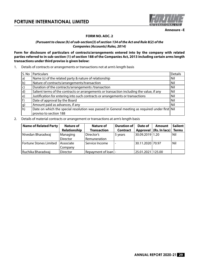

**Annexure –E**

#### **FORM NO. AOC. 2**

#### *(Pursuant to clause (h) of sub-section(3) of section 134 of the Act and Rule 8(2) of the Companies (Accounts) Rules, 2014)*

**Form for disclosure of particulars of contracts/arrangements entered into by the company with related parties referred to in sub-section (1) of section 188 of the Companies Act, 2013 including certain arms length transactions under third proviso is given below:**

1. Details of contracts or arrangements or transactions not at arm's length basis

| S. No          | Particulars                                                                                    | <b>Details</b> |
|----------------|------------------------------------------------------------------------------------------------|----------------|
| $\boxed{a}$    | Name (s) of the related party & nature of relationship                                         | Nil            |
| <sub>b</sub>   | Nature of contracts/arrangements/transaction                                                   | Nil            |
| $\overline{c}$ | Duration of the contracts/arrangements/transaction                                             | Nil            |
| $ d\rangle$    | Salient terms of the contracts or arrangements or transaction including the value, if any      | Nil            |
| $\boxed{e}$    | Justification for entering into such contracts or arrangements or transactions                 | Nil            |
| f              | Date of approval by the Board                                                                  | Nil            |
| g)             | Amount paid as advances, if any                                                                | Nil            |
| $ h\rangle$    | Date on which the special resolution was passed in General meeting as required under first Nil |                |
|                | proviso to section 188                                                                         |                |

2. Details of material contracts or arrangement or transactions at arm's length basis

| Name of Related Party   | Nature of       | Nature of            | <b>Duration of</b> | Date of            | Amount                     | Sailent      |
|-------------------------|-----------------|----------------------|--------------------|--------------------|----------------------------|--------------|
|                         | Relationship    | <b>Transaction</b>   | Contract           |                    | Approval $ (Rs. In lacs) $ | <b>Terms</b> |
| Nivedan Bharadwaj       | Managing        | Director's           | 5 years            | 30.09.2019 1.20    |                            | Nil          |
|                         | Director        | Remuneration         |                    |                    |                            |              |
| Fortune Stones Limited_ | Associate       | Service Income       |                    | 30.11.2020   70.97 |                            | Nil          |
|                         | Company         |                      |                    |                    |                            |              |
| Ruchika Bharadwaj       | <b>Director</b> | Repayment of loan  - |                    | 25.01.2021 125.00  |                            |              |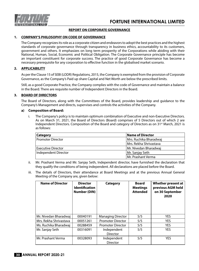

#### **REPORT ON CORPORATE GOVERNANCE**

#### **1. COMPANY'S PHILOSOPHY ON CODE OF GOVERNANCE**

The Company recognizes its role as a corporate citizen and endeavors to adopt the best practices and the highest standards of corporate governance through transparency in business ethics, accountability to its customers, government and others. It emphasizes on long term prosperity of the Corporations while abiding with their National, Human, Social, Economic and Political Obligation. The Corporate Governance principle has become an important constituent for corporate success. The practice of good Corporate Governance has become a necessary prerequisite for any corporation to effective function in the globalised market scenario.

#### **2. APPLICABILITY**

As per the Clause 15 of SEBI (LODR) Regulations, 2015, the Company is exempted from the provision of Corporate Governance, as the Company's Paid up share Capital and Net Worth are below the prescribed limits.

Still, as a good Corporate Practice, the Company complies with the code of Governance and maintain a balance in the Board. There are requisite number of Independent Directors in the Board.

#### **3. BOARD OF DIRECTORS**

The Board of Directors, along with the Committees of the Board, provides leadership and guidance to the Company's Management and directs, supervises and controls the activities of the Company.

#### **a) Composition of Board:**

i. The Company's policy is to maintain optimum combination of Executive and non-Executive Directors. As on March 31, 2021, the Board of Directors (Board) comprises of 5 Directors out of which 2 are Independent Directors. Composition of the Board and category of Directors as on 31<sup>st</sup> March, 2021 is as follows:

| <b>Category</b>           | <b>Name of Director</b> |  |
|---------------------------|-------------------------|--|
| Promoter Director         | Mrs. Ruchika Bharadwaj  |  |
|                           | Mrs. Rekha Shrivastava  |  |
| <b>Executive Director</b> | Mr. Nivedan Bharadwai   |  |
| Independent Director      | Mr. Sanjay Seth         |  |
|                           | Mr. Prashant Verma      |  |

- ii. Mr. Prashant Verma and Mr. Sanjay Seth, Independent director, have furnished the declaration that they qualify the conditions of being independent. All declarations are placed before the Board.
- iii. The details of Directors, their attendance at Board Meetings and at the previous Annual General Meeting of the Company are, given below:

| <b>Name of Director</b> | <b>Director</b><br><b>Identification</b><br>Number (DIN) | Category                 | <b>Board</b><br><b>Meetings</b><br><b>Attended</b> | Whether present at<br>previous AGM held<br>on 30 September<br>2020 |
|-------------------------|----------------------------------------------------------|--------------------------|----------------------------------------------------|--------------------------------------------------------------------|
| Mr. Nivedan Bharadwaj   | 00040191                                                 | <b>Managing Director</b> | 5/5                                                | <b>YES</b>                                                         |
| Mrs. Rekha Shrivastava  | 00051261                                                 | <b>Promoter Director</b> | 5/5                                                | <b>YES</b>                                                         |
| Ms. Ruchika Bharadwaj   | 00288459                                                 | <b>Promoter Director</b> | 5/5                                                | <b>YES</b>                                                         |
| Mr. Sanjay Seth         | 00316091                                                 | Independent<br>Director  | 5/5                                                | <b>YES</b>                                                         |
| Mr. Prashant Verma      | 00328093                                                 | Independent<br>Director  | 5/5                                                | <b>YFS</b>                                                         |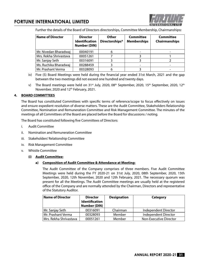

Further the details of the Board of Directors directorships, Committee Membership, Chairmanships**:**

| Name of Director       | <b>Director</b><br><b>Identification</b><br>Number (DIN) | Other<br>Directorships* | Committee<br><b>Memberships</b> | Committee<br><b>Chairmanships</b> |
|------------------------|----------------------------------------------------------|-------------------------|---------------------------------|-----------------------------------|
| Mr. Nivedan Bharadwaj  | 00040191                                                 | 6                       |                                 |                                   |
| Mrs. Rekha Shrivastava | 00051261                                                 |                         |                                 |                                   |
| Mr. Sanjay Seth        | 00316091                                                 |                         |                                 |                                   |
| Ms. Ruchika Bharadwai  | 00288459                                                 |                         |                                 |                                   |
| Mr. Prashant Verma     | 00328093                                                 | 6                       |                                 |                                   |

- iv) Five (5) Board Meetings were held during the financial year ended 31st March, 2021 and the gap between the two meetings did not exceed one hundred and twenty days.
- v) The Board meetings were held on  $31<sup>st</sup>$  July, 2020, 08<sup>th</sup> September, 2020, 15<sup>th</sup> September, 2020, 12<sup>th</sup> November, 2020 and 12th February, 2021.

#### **4. BOARD COMMITTEES**

The Board has constituted Committees with specific terms of reference/scope to focus effectively on issues and ensure expedient resolution of diverse matters. These are the Audit Committee, Stakeholders Relationship Committee, Nomination and Remuneration Committee and Risk Management Committee. The minutes of the meetings of all Committees of the Board are placed before the Board for discussions / noting.

The Board has constituted following five Committees of Directors:

- i. Audit Committee
- ii. Nomination and Remuneration Committee
- iii. Stakeholders' Relationship Committee
- iv. Risk Management Committee
- v. Whistle Committee

#### **(i) Audit Committee:**

#### **a) Composition of Audit Committee & Attendance at Meeting:**

The Audit Committee of the Company comprises of three members. Five Audit Committee Meetings were held during the FY 2020-21 on 31st July, 2020, 08th September, 2020, 15th September, 2020, 12th November, 2020 and 12th February, 2021. The necessary quorum was present for all the Meetings. The Audit Committee meetings are usually held at the registered office of the Company and are normally attended by the Chairman, Directors and representative of the Statutory Auditor.

| <b>Name of Director</b> | <b>Director</b><br><b>Identification</b><br>Number (DIN) | <b>Designation</b> | Category               |
|-------------------------|----------------------------------------------------------|--------------------|------------------------|
| Mr. Sanjay Seth         | 00316091                                                 | Chairman           | Independent Director   |
| Mr. Prashant Verma      | 00328093                                                 | Member             | Independent Director   |
| Mrs. Rekha Shrivastava  | 00051261                                                 | Member             | Non-Executive Director |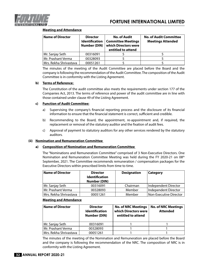

#### **Meeting and Attendance**

| <b>Name of Director</b> | <b>Director</b><br><b>Identification</b><br>Number (DIN) | <b>No. of Audit</b><br>Committee Meetings<br>which Directors were<br>entitled to attend | <b>No. of Audit Committee</b><br><b>Meetings Attended</b> |
|-------------------------|----------------------------------------------------------|-----------------------------------------------------------------------------------------|-----------------------------------------------------------|
| Mr. Sanjay Seth         | 00316091                                                 |                                                                                         |                                                           |
| Mr. Prashant Verma      | 00328093                                                 |                                                                                         |                                                           |
| Mrs. Rekha Shrivastava  | 00051261                                                 |                                                                                         |                                                           |

The minutes of the meeting of the Audit Committee are placed before the Board and the company is following the recommendation of the Audit Committee. The composition of the Audit Committee is in conformity with the Listing Agreement.

#### **b) Terms of Reference:**

The Constitution of the audit committee also meets the requirements under section 177 of the Companies Act, 2013. The terms of reference and power of the audit committee are in line with those contained under clause 49 of the Listing Agreement.

#### **c) Function of Audit Committee:**

- a) Supervising the company's financial reporting process and the disclosure of its financial information to ensure that the financial statement is correct, sufficient and credible.
- b) Recommending to the Board, the appointment, re-appointment and, if required, the replacement or removal of the statutory auditor and the fixation of audit fees.
- c) Approval of payment to statutory auditors for any other services rendered by the statutory auditors.

#### **(ii) Nomination and Remuneration Committee**

#### **a) Composition of Nomination and Remuneration Committee**

The "Nominations and Remuneration Committee" comprised of 3 Non-Executive Directors. One Nomination and Remuneration Committee Meeting was held during the FY 2020-21 on 08th September, 2021. The Committee recommends remuneration / compensation packages for the Executive Directors within prescribed limits from time to time.

| Name of Director       | <b>Director</b><br><b>Identification</b><br>Number (DIN) | <b>Designation</b> | <b>Category</b>        |
|------------------------|----------------------------------------------------------|--------------------|------------------------|
| Mr. Sanjay Seth        | 00316091                                                 | Chairman           | Independent Director   |
| Mr. Prashant Verma     | 00328093                                                 | Member             | Independent Director   |
| Mrs. Rekha Shrivastava | 00051261                                                 | Member             | Non-Executive Director |

#### **Meeting and Attendance**

| <b>Name of Director</b>  | <b>Director</b><br><b>Identification</b><br>Number (DIN) | <b>No. of NRC Meetings</b><br>which Directors were<br>entitled to attend | <b>No. of NRC Meetings</b><br><b>Attended</b> |
|--------------------------|----------------------------------------------------------|--------------------------------------------------------------------------|-----------------------------------------------|
| Mr. Sanjay Seth          | 00316091                                                 |                                                                          |                                               |
| l Mr. Prashant Verma     | 00328093                                                 |                                                                          |                                               |
| l Mrs. Rekha Shrivastava | 00051261                                                 |                                                                          |                                               |

The minutes of the meeting of the Nomination and Remuneration are placed before the Board and the company is following the recommendation of the NRC. The composition of NRC is in conformity with the Listing Agreement.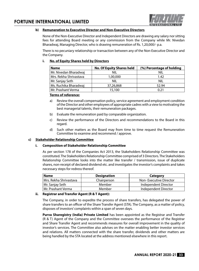

#### **b) Remuneration to Executive Director and Non-Executive Directors**

None of the Non-Executive Director and Independent Directors are drawing any salary nor sitting fees for attending Board meeting or any commission from the Company while Mr. Nivedan Bharadwaj, Managing Director, who is drawing remuneration of Rs. 1,20,000/- p.a.

There is no pecuniary relationship or transaction between any of the Non-Executive Director and the Company.

#### **i. No. of Equity Shares held by Directors**

| <b>Name</b>            | <b>No. Of Equity Shares held</b> | (%) Percentage of holding |
|------------------------|----------------------------------|---------------------------|
| Mr. Nivedan Bharadwaj  | NIL                              | NIL                       |
| Mrs. Rekha Shrivastava | 1,00,000                         | 1.42                      |
| Mr. Sanjay Seth        | NIL                              | nil                       |
| Ms. Ruchika Bharadwaj  | 37,26,868                        | 52.94                     |
| Mr. Prashant Verma     | 15,100                           | 0.21                      |

#### **Terms of reference:**

- a) Review the overall compensation policy, service agreement and employment condition of the Director and other employees of appropriate cadres with a view to motivating the best managerial talents, their remuneration packages.
- b) Evaluate the remuneration paid by comparable organization.
- c) Review the performance of the Directors and recommendations to the Board in this regard.
- d) Such other matters as the Board may from time to time request the Remuneration Committee to examine and recommend / approve.

#### **c) Stakeholder Relationship Committee**

#### **i. Composition of Stakeholder Relationship Committee**

As per section 178 of the Companies Act 2013, the Stakeholders Relationship Committee was constituted. The Stakeholders Relationship Committee comprised of 3 Directors. The Stakeholders Relationship Committee looks into the matter like transfer / transmission, issue of duplicate shares, non-receipt of declared dividend etc. and investigates the investor's complaints and takes necessary steps for redress thereof.

| Name                   | <b>Designation</b> | Category               |
|------------------------|--------------------|------------------------|
| Mrs. Rekha Shrivastava | Chairperson        | Non-Executive Director |
| Mr. Sanjay Seth        | Member             | Independent Director   |
| Mr. Prashant Verma     | Member             | Independent Director   |

#### **ii. Registrar and Transfer Agent (R & T Agent):**

The Company, in order to expedite the process of share transfers, has delegated the power of share transfers to an officer of the Share Transfer Agent (STA). The Company, as a matter of policy, disposes of investors' complaints within a span of seven days.

**Purva Sharegistry (India) Private Limited** has been appointed as the Registrar and Transfer (R & T) Agent of the Company and the Committee oversees the performance of the Registrar and Share Transfer Agent and recommends measures for overall improvement in the quality of investor's services. The Committee also advises on the matter enabling better investor services and relations. All matters connected with the share transfer, dividends and other matters are being handled by the STA located at the address mentioned elsewhere in this report.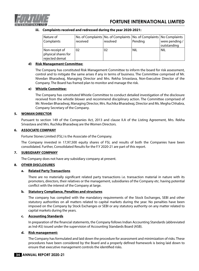

#### **iii. Complaints received and redressed during the year 2020-2021:**

| Nature of           |          | No. of Complaints No. of Complaints No. of Complaints No Complaints |         |                |
|---------------------|----------|---------------------------------------------------------------------|---------|----------------|
| Complaints          | received | resolved                                                            | Pending | were pending / |
|                     |          |                                                                     |         | outstanding    |
| Non-receipt of      | 02       | 02                                                                  | ' NIL   | ' NIL          |
| physical shares for |          |                                                                     |         |                |
| rejected demat      |          |                                                                     |         |                |

#### **d) Risk Management Committee:**

The Company has constituted Risk Management Committee to inform the board for risk assessment, control and to mitigate the same arises if any in terms of business. The Committee comprised of Mr. Nivedan Bharadwaj, Managing Director and Mrs. Rekha Srivastava, Non-Executive Director of the Company. The Board has framed plan to monitor and manage the risk.

#### **e) Whistle Committee:**

The Company has constituted Whistle Committee to conduct detailed investigation of the disclosure received from the whistle blower and recommend disciplinary action. The Committee comprised of Mr. Nivedan Bharadwaj, Managing Director, Mrs. Ruchika Bharadwaj, Director and Ms. Megha Chhabra, Company Secretary of the Company.

#### **5. WOMAN DIRECTOR**

Pursuant to section 149 of the Companies Act, 2013 and clause II.A of the Listing Agreement, Mrs. Rekha Srivastava and Mrs. Ruchika Bharadwaj are the Women Directors.

#### **6. ASSOCIATE COMPANY**

Fortune Stones Limited (FSL) is the Associate of the Company.

The Company invested in 17,97,500 equity shares of FSL and results of both the Companies have been consolidated. Further, Consolidated Results for the F.Y 2020-21 are part of this report.

#### **7. SUBSIDIARY COMPANY**

The Company does not have any subsidiary company at present.

#### **8. OTHER DISCLOSURES**

#### **a. Related Party Transactions**

There are no materially significant related party transactions i.e. transaction material in nature with its promoters, directors, their relatives or the management, subsidiaries of the Company etc. having potential conflict with the interest of the Company at large.

#### **b. Statutory Compliance, Penalties and structures**

The company has complied with the mandatory requirements of the Stock Exchanges, SEBI and other statutory authorities on all matters related to capital markets during the year. No penalties have been imposed on the Company by Stock Exchanges or SEBI or any statutory authority on any matter related to capital markets during the years.

#### **c. Accounting Standards**

In preparation of the financial statements, the Company follows Indian Accounting Standards (abbreviated as Ind-AS) issued under the supervision of Accounting Standards Board (ASB).

#### **d. Risk management:**

The Company has formulated and laid down the procedure for assessment and minimization of risks. These procedures have been considered by the Board and a properly defined framework is being laid down to ensure that executive management controls the identified risks.

#### **34 ANNUAL REPORT 2020-21**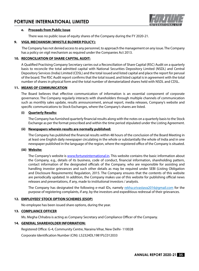

#### **e. Proceeds from Public Issue**

There was no public issue of equity shares of the Company during the FY 2020-21.

#### **9. VIGIL MECHANISM (WHISTLE BLOWER POLICY):**

 The Company has not denied access to any personnel, to approach the management on any issue. The Company has a policy on vigil mechanism as required under the Companies Act 2013.

#### **10. RECONCILIATION OF SHARE CAPITAL AUDIT:**

A Qualified Practising Company Secretary carries out a Reconciliation of Share Capital (RSC) Audit on a quarterly basis to reconcile the total admitted capital with National Securities Depository Limited (NSDL) and Central Depository Services (India) Limited (CDSL) and the total issued and listed capital and place the report for perusal of the board. The RSC Audit report confirms that the total issued, and listed capital is in agreement with the total number of shares in physical form and the total number of dematerialized shares held with NSDL and CDSL.

#### **11. MEANS OF COMMUNICATION**

The Board believes that effective communication of information is an essential component of corporate governance. The Company regularly interacts with shareholders through multiple channels of communication such as monthly sales update, results announcement, annual report, media releases, Company's website and specific communications to Stock Exchanges, where the Company's shares are listed.

#### **(i) Quarterly Results:**

The Company has furnished quarterly financial results along with the notes on a quarterly basis to the Stock Exchange as per the format prescribed and within the time period stipulated under the Listing Agreement.

#### **(ii) Newspapers wherein results are normally published:**

The Company has published the financial results within 48 hours of the conclusion of the Board Meeting in at least one English daily newspaper circulating in the whole or substantially the whole of India and in one newspaper published in the language of the region, where the registered office of the Company is situated.

#### **(iii) Website:**

The Company's website is www.fortuneinternational.in. This website contains the basic information about the Company, e.g., details of its business, code of conduct, financial information, shareholding pattern, contact information of the designated officials of the Company, who are responsible for assisting and handling investor grievances and such other details as may be required under SEBI (Listing Obligation and Disclosure Requirements) Regulation, 2015. The Company ensures that the contents of this website are periodically updated. In addition, the Company makes use of this website for publishing official news releases and presentations, if any, made to institutional investors / analysts.

The Company has designated the following e-mail IDs, namely rekha.srivastava2016@gmail.com for the purpose of registering complaints, if any, by the investors and expeditious redressal of their grievances.

#### **12. EMPLOYEES' STOCK OPTION SCHEMES (ESOP)**

No employee has been issued share options, during the year.

#### **13. COMPLIANCE OFFICER**

Ms. Megha Chhabra is acting as Company Secretary and Compliance Officer of the Company.

#### **14. GENERAL SHAREHOLDER INFORMATION:**

Registered Office: G-4, Community Centre, Naraina Vihar, New Delhi- 110028

Corporate Identification Number (CIN): L52324DL1981PLC012033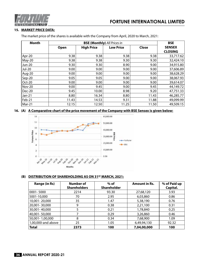

#### **15. MARKET PRICE DATA:**

The market price of the shares is available with the Company from April, 2020 to March, 2021:

| <b>Month</b>  |       | <b>BSE</b>        |                  |       |                                 |
|---------------|-------|-------------------|------------------|-------|---------------------------------|
|               | Open  | <b>High Price</b> | <b>Low Price</b> | Close | <b>SENSEX</b><br><b>CLOSING</b> |
| Apr-20        | 9.38  | 9.38              | 9.38             | 9.38  | 33,717.62                       |
| May-20        | 9.38  | 9.38              | 9.30             | 9.30  | 32,424.10                       |
| <b>Jun-20</b> | 9.30  | 9.30              | 8.90             | 9.00  | 34,915.80                       |
| <b>Jul-20</b> | 9.00  | 9.00              | 9.00             | 9.00  | 37,606.89                       |
| Aug-20        | 9.00  | 9.00              | 9.00             | 9.00  | 38,628.29                       |
| Sep-20        | 9.05  | 9.05              | 9.00             | 9.00  | 38,067.93                       |
| Oct-20        | 9.00  | 9.00              | 9.00             | 9.00  | 39,614.07                       |
| Nov-20        | 9.00  | 9.45              | 9.00             | 9.45  | 44,149.72                       |
| Dec-20        | 9.45  | 10.00             | 8.98             | 9.20  | 47,751.33                       |
| Jan-21        | 8.80  | 16.34             | 8.80             | 11.43 | 46,285.77                       |
| Feb-21        | 11.43 | 14.53             | 9.31             | 11.88 | 49,099.99                       |
| Mar-21        | 12.15 | 12.50             | 11.25            | 11.50 | 49,509.15                       |

#### **16. (A) A Comparative chart of the price movement of the Company with BSE Sensex is given below:**



#### **(B) DISTRIBUTION OF SHAREHOLDING AS ON 31ST MARCH, 2021:**

| Range (in Rs)      | Number of<br><b>Shareholders</b> | $%$ of<br><b>Shareholder</b> | <b>Amount in Rs.</b> | % of Paid up<br>Capital. |
|--------------------|----------------------------------|------------------------------|----------------------|--------------------------|
| 0001-5000          | 2214                             | 93.30                        | 27,68,120            | 3.93                     |
| 5001-10,000        | 70                               | 2.95                         | 6,03,860             | 0.86                     |
| 10,001 - 20,000    | 35                               | 1.47                         | 5,38,190             | 0.76                     |
| 20,001-30,000      | 9                                | 0.38                         | 2,21,100             | 0.31                     |
| 30,001-40,000      | 5                                | 0.21                         | 1,78,840             | 0.25                     |
| 40,001-50,000      |                                  | 0.29                         | 3,26,860             | 0.46                     |
| 50,001 - 1,00,000  | 8                                | 0.34                         | 7,68,900             | 1.09                     |
| 1,00,000-and above | 25                               | 1.05                         | 6,49,94,130          | 92.32                    |
| <b>Total</b>       | 2373                             | 100                          | 7,04,00,000          | 100                      |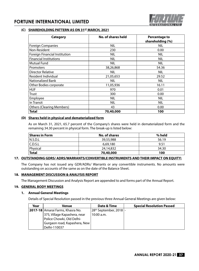

#### **(C) SHAREHOLDING PATTERN AS ON 31ST MARCH, 2021**

| Category                         | No. of shares held | Percentage to<br>shareholding (%) |
|----------------------------------|--------------------|-----------------------------------|
| <b>Foreign Companies</b>         | <b>NIL</b>         | NIL                               |
| Non-Resident                     | 230                | 0.00                              |
| Foreign Financial Institution    | <b>NIL</b>         | <b>NIL</b>                        |
| <b>Financial Institutions</b>    | <b>NIL</b>         | <b>NIL</b>                        |
| <b>Mutual Fund</b>               | <b>NIL</b>         | <b>NIL</b>                        |
| Promoters                        | 38,26,868          | 54.36                             |
| <b>Director Relative</b>         | <b>NIL</b>         | <b>NIL</b>                        |
| Resident Individual              | 21,05,653          | 29.52                             |
| Nationalized Bank                | <b>NIL</b>         | <b>NIL</b>                        |
| Other Bodies corporate           | 11,05,936          | 16.11                             |
| <b>HUF</b>                       | 970                | 0.01                              |
| Trust                            | 300                | 0.00                              |
| Employee                         | <b>NIL</b>         | <b>NIL</b>                        |
| In Transit                       | <b>NIL</b>         | <b>NIL</b>                        |
| <b>Others (Clearing Members)</b> | 43                 | 0.00                              |
| Total                            | 70,40,000          | 100                               |

#### **(D) Shares held in physical and dematerialized form**

As on March 31, 2021, 65.7 percent of the Company's shares were held in dematerialized form and the remaining 34.30 percent in physical form. The break-up is listed below:

| Shares in Form | No. of shares | % held |
|----------------|---------------|--------|
| N.S.D.L        | 39,55,988     | 56.19  |
| C.D.S.L        | 6.69.180      | 9.51   |
| Physical       | 24,14,832     | 34.30  |
| <b>Total</b>   | 70,40,000     | 100    |

#### **17. OUTSTANDING GDRS/ ADRS/WARRANTS/CONVERTIBLE INSTRUMENTS AND THEIR IMPACT ON EQUITY:**

The Company has not issued any GDR/ADRs/ Warrants or any convertible instruments. No amounts were outstanding on accounts of the same as on the date of the Balance Sheet.

#### **18. MANAGEMENT DISCUSSION & ANALYSIS REPORT**

The Management Discussion and Analysis Report are appended to and forms part of the Annual Report.

#### **19. GENERAL BODY MEETINGS**

#### **1. Annual General Meetings**

Details of Special Resolution passed in the previous three Annual General Meetings are given below:

| Year | Venue                                   | Date & Time               | <b>Special Resolution Passed</b> |
|------|-----------------------------------------|---------------------------|----------------------------------|
|      | <b>2017-18 Amarai Farms, Khasra No.</b> | $28th$ September, 2018  - |                                  |
|      | 375, Village Kapashera, near            | 10:00 a.m.                |                                  |
|      | Police Chowki, Old Delhi-               |                           |                                  |
|      | Gurgaon road, Kapashera, New            |                           |                                  |
|      | Delhi-110037                            |                           |                                  |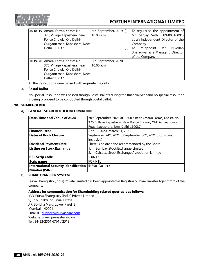

| 2018-19 Amarai Farms, Khasra No. | $30th$ September, 2019 (i)          |      | To regularise the appointment of     |
|----------------------------------|-------------------------------------|------|--------------------------------------|
| 375, Village Kapashera, near     | 10:00 a.m.                          |      | Mr. Sanjay Seth (DIN-00316091)       |
| Police Chowki, Old Delhi-        |                                     |      | as an Independent Director of the    |
| Gurgaon road, Kapashera, New     |                                     |      | Company                              |
| Delhi-110037                     |                                     | (ii) | Nivedan I<br>Mr.<br>re-appoint<br>To |
|                                  |                                     |      | Bharadwaj as a Managing Director     |
|                                  |                                     |      | of the Company                       |
| 2019-20 Amarai Farms, Khasra No. | 30 <sup>th</sup> September, 2020  - |      |                                      |
| 375, Village Kapashera, near     | 10:00 a.m                           |      |                                      |
| Police Chowki, Old Delhi-        |                                     |      |                                      |
| Gurgaon road, Kapashera, New     |                                     |      |                                      |
| Delhi-110037                     |                                     |      |                                      |

All the Resolutions were passed with requisite majority.

#### **2. Postal Ballot**

No Special Resolution was passed though Postal Ballots during the financial year and no special resolution is being proposed to be conducted though postal ballot.

#### **20. SHAREHOLDER**

#### **a) GENERAL SHAREHOLDER INFORMATION**

| Date, Time and Venue of AGM                  | 30 <sup>th</sup> September, 2021 at 10:00 a.m at Amarai Farms, Khasra No.         |  |  |  |
|----------------------------------------------|-----------------------------------------------------------------------------------|--|--|--|
|                                              | 375, Village Kapashera, Near Police Chowki, Old Delhi-Gurgaon                     |  |  |  |
|                                              | Road, Kapashera, New Delhi-110037                                                 |  |  |  |
| <b>Financial Year</b>                        | April 1, 2020- March 31, 2021                                                     |  |  |  |
| <b>Dates of Book Closure</b>                 | September 24 <sup>th</sup> , 2021 to September 30 <sup>th</sup> , 2021 (both days |  |  |  |
|                                              | inclusive)                                                                        |  |  |  |
| <b>Dividend Payment Date</b>                 | There is no dividend recommended by the Board                                     |  |  |  |
| <b>Listing on Stock Exchange</b>             | Bombay Stock Exchange Limited                                                     |  |  |  |
|                                              | Calcutta Stock Exchange Association Limited<br>2.                                 |  |  |  |
| <b>BSE Scrip Code</b>                        | 530213                                                                            |  |  |  |
| <b>Scrip name</b>                            | <b>FORINTL</b>                                                                    |  |  |  |
| <b>International Security Identification</b> | INE501D01013                                                                      |  |  |  |
| Number (ISIN)                                |                                                                                   |  |  |  |

#### **b) SHARE TRANSFER SYSTEM**

Purva Sharegistry (India) Private Limited has been appointed as Registrar & Share Transfer Agent from of the company.

#### **Address for communication for Shareholding related queries is as follows:**

M/s. Purva Sharegistry (India) Private Limited 9, Shiv Shakti Industrial Estate J.R. Boricha Marg, Lower Parel (E) Mumbai – 400011 Email ID: support@purvashare.com Website: www. purvashare.com Tel : 91-22-2301 6761 / 2518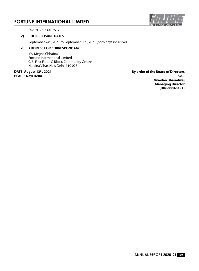

Fax: 91-22-2301 2517

#### **c) BOOK CLOSURE DATES**

September 24<sup>th</sup>, 2021 to September 30<sup>th</sup>, 2021 (both days inclusive)

#### **d) ADDRESS FOR CORRESPONDANCE:**

Ms. Megha Chhabra Fortune International Limited G-3, First Floor, C-Block, Community Centre, Naraina Vihar, New Delhi-110 028

**DATE: August 13th, 2021 By order of the Board of Directors PLACE: New Delhi Sd/- Nivedan Bharadwaj Managing Director (DIN-00040191)**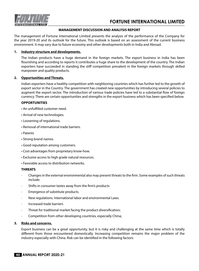

#### **MANAGEMENT DISCUSSION AND ANALYSIS REPORT**

The management of Fortune International Limited presents the analysis of the performance of the Company for the year 2019-20 and its outlook for the future. This outlook is based on an assessment of the current business environment. It may vary due to future economy and other developments both in India and Abroad.

#### **1. Industry structure and developments.**

The Indian products have a huge demand in the foreign markets. The export business in India has been flourishing and according to reports it contributes a huge share to the development of the country. The Indian exporters have succeeded in standing the stiff competition prevalent in the foreign markets through skilled manpower and quality products.

#### **2. Opportunities and Threats.**

Indian exporters have a healthy competition with neighboring countries which has further led to the growth of export sector in the Country. The government has created new opportunities by introducing several policies to augment the export sector. The introduction of various trade policies have led to a substantial flow of foreign currency. There are certain opportunities and strengths in the export business which has been specified below.

#### **OPPORTUNITIES**

- An unfulfilled customer need.
- Arrival of new technologies.
- Loosening of regulations.
- Removal of international trade barriers.
- Patents
- Strong brand names.
- Good reputation among customers.
- Cost advantages from proprietary know-how.
- Exclusive access to high grade natural resources.
- Favorable access to distribution networks.

#### **THREATS**

- · Changes in the external environmental also may present threats to the firm. Some examples of such threats include:
- Shifts in consumer tastes away from the firm's products
- Emergence of substitute products.
- · New regulations. International labor and environmental Laws.
- Increased trade barriers
- Threat for traditional market facing the product diversification;
- Competition from other developing countries, especially China;

#### **3. Risks and concerns.**

Export business can be a great opportunity, but it is risky and challenging at the same time which is totally different from those encountered domestically. Increasing competition remains the major problem of the industry especially with China. Risk can be identified in the following factors: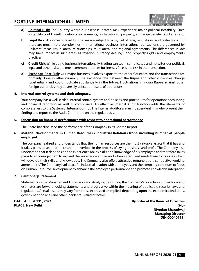

- **a) Political Risk:** The Country where our client is located may experience major political instability. Such instability could result in defaults on payments, confiscation of property, exchange transfer blockages etc.
- **b) Legal Risk:** At domestic level, businesses are subject to a myriad of laws, regulations, and restrictions. But there are much more complexities in international business. International transactions are governed by unilateral measures, bilateral relationships, multilateral and regional agreements. The differences in law may have impact in such areas as taxation, currency dealings, and property rights and employments practices.
- **c) Credit Risk**: While doing business internationally, trading can seem complicated and risky. Besides political, legal and other risks, the most common problem businesses face is the risk in the transaction.
- **d) Exchange Rate Risk**: Our major business involves export to the other Countries and the transactions are primarily done in other currency. The exchange rate between the Rupee and other currencies change substantially and could fluctuate substantially in the future. Fluctuations in Indian Rupee against other foreign currencies may adversely affect our results of operations.

#### **4. Internal control systems and their adequacy.**

Your company has a well settled internal control system and policies and procedures for operations accounting and financial reporting as well as compliance. An effective internal Audit function adds the elements of completeness to the System of Internal Control, The Internal Auditor are an Independent firm who present their finding and report to the Audit Committee on the regular basis.

#### **5. Discussion on financial performance with respect to operational performance**.

The Board has discussed the performance of the Company in its Board's Report

#### **6. Material developments in Human Resources / Industrial Relations front, including number of people employed.**

The company realized and understands that the human resources are the most valuable assets that it has and it takes pains to see that there are not overlook in the process of trying business and profit. The Company also understand that it depends on the experience ability skills and knowledge of his employee and therefore takes pains to encourage them to expand the knowledge and as and when as required sends them for courses which will develop their skills and knowledge. The Company also offers attractive remuneration, conductive working atmosphere. The Company had peaceful industrial relation with employees and the company continues to focus on Human Resource Development to enhance the employee performance and promote knowledge integration

#### **7. Cautionary Statement**

Statements in the Management Discussion and Analysis, describing the Company's objectives, projections and estimates are forward looking statements and progressive within the meaning of applicable security laws and regulations. Actual results may vary from those expressed or implied, depending upon the economic conditions, government policies and other incidental/ related factors.

**DATE: August 13th, 2021 By order of the Board of Directors PLACE: New Delhi Sd/- Nivedan Bharadwaj Managing Director (DIN-00040191)**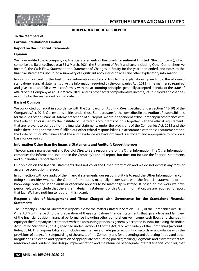

#### **INDEPENDENT AUDITOR'S REPORT**

#### **To the Members of**

#### **Fortune International Limited**

#### **Report on the Financial Statements**

#### **Opinion**

We have audited the accompanying financial statements of **Fortune International Limited** ("the Company"), which comprise the Balance Sheet as at 31st March, 2021, the Statement of Profit and Loss (including Other Comprehensive Income), the Cash Flow Statement, the Statement of Changes in Equity for the year then ended, and notes to the financial statements, including a summary of significant accounting policies and other explanatory information.

In our opinion and to the best of our information and according to the explanations given to us, the aforesaid standalone financial statements give the information required by the Companies Act, 2013 in the manner so required and give a true and fair view in conformity with the accounting principles generally accepted in India, of the state of affairs of the Company as at 31st March, 2021, and its profit, total comprehensive income, its cash flows and changes in equity for the year ended on that date.

#### **Basis of Opinion**

We conducted our audit in accordance with the Standards on Auditing (SAs) specified under section 143(10) of the Companies Act, 2013. Our responsibilities under those Standards are further described in the Auditor's Responsibilities for the Audit of the Financial Statements section of our report. We are independent of the Company in accordance with the Code of Ethics issued by the Institute of Chartered Accountants of India together with the ethical requirements that are relevant to our audit of the financial statements under the provisions of the Companies Act, 2013 and the Rules thereunder, and we have fulfilled our other ethical responsibilities in accordance with these requirements and the Code of Ethics. We believe that the audit evidence we have obtained is sufficient and appropriate to provide a basis for our opinion.

#### **Information Other than the financial Statements and Auditor's Report thereon**

The Company's management and Board of Directors are responsible for the Other Information. The Other Information comprises the information included in the Company's annual report, but does not include the financial statements and our auditors' report thereon.

Our opinion on the financial statements does not cover the Other Information and we do not express any form of assurance conclusion thereon.

In connection with our audit of the financial statements, our responsibility is to read the Other Information and, in doing so, consider whether the Other Information is materially inconsistent with the financial statements or our knowledge obtained in the audit or otherwise appears to be materially misstated. If, based on the work we have performed, we conclude that there is a material misstatement of this Other Information, we are required to report that fact. We have nothing to report in this regard.

#### **Responsibilities of Management and Those Charged with Governance for the Standalone Financial Statements**

The Company's Board of Directors is responsible for the matters stated in Section 134(5) of the Companies Act, 2013 ("the Act") with respect to the preparation of these standalone financial statements that give a true and fair view of the financial position, financial performance including other comprehensive income, cash flows and changes in equity of the Company in accordance with the accounting principles generally accepted in India, including the Indian Accounting Standards (Ind AS) specified under Section 133 of the Act, read with Rule 7 of the Companies (Accounts) Rules, 2014. This responsibility also includes maintenance of adequate accounting records in accordance with the provisions of the Act for safeguarding of the assets of the Company and for preventing and detecting frauds and other irregularities; selection and application of appropriate accounting policies; making judgments and estimates that are reasonable and prudent; and design, implementation and maintenance of adequate internal financial controls, that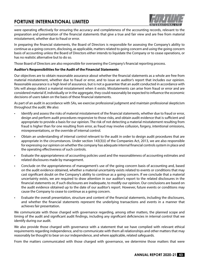

were operating effectively for ensuring the accuracy and completeness of the accounting records, relevant to the preparation and presentation of the financial statements that give a true and fair view and are free from material misstatement, whether due to fraud or error.

In preparing the financial statements, the Board of Directors is responsible for assessing the Company's ability to continue as a going concern, disclosing, as applicable, matters related to going concern and using the going concern basis of accounting unless the Board of Directors either intends to liquidate the Company or to cease operations, or has no realistic alternative but to do so.

Those Board of Directors are also responsible for overseeing the Company's financial reporting process.

#### **Auditor's Responsibilities for the Audit of the Financial Statements**

Our objectives are to obtain reasonable assurance about whether the financial statements as a whole are free from material misstatement, whether due to fraud or error, and to issue an auditor's report that includes our opinion. Reasonable assurance is a high level of assurance, but is not a guarantee that an audit conducted in accordance with SAs will always detect a material misstatement when it exists. Misstatements can arise from fraud or error and are considered material if, individually or in the aggregate, they could reasonably be expected to influence the economic decisions of users taken on the basis of these financial statements.

As part of an audit in accordance with SAs, we exercise professional judgment and maintain professional skepticism throughout the audit. We also:

- Identify and assess the risks of material misstatement of the financial statements, whether due to fraud or error, design and perform audit procedures responsive to those risks, and obtain audit evidence that is sufficient and appropriate to provide a basis for our opinion. The risk of not detecting a material misstatement resulting from fraud is higher than for one resulting from error, as fraud may involve collusion, forgery, intentional omissions, misrepresentations, or the override of internal control.
- Obtain an understanding of internal control relevant to the audit in order to design audit procedures that are appropriate in the circumstances. Under section 143(3)(i) of the Companies Act, 2013, we are also responsible for expressing our opinion on whether the company has adequate internal financial controls system in place and the operating effectiveness of such controls.
- Evaluate the appropriateness of accounting policies used and the reasonableness of accounting estimates and related disclosures made by management.
- Conclude on the appropriateness of management's use of the going concern basis of accounting and, based on the audit evidence obtained, whether a material uncertainty exists related to events or conditions that may cast significant doubt on the Company's ability to continue as a going concern. If we conclude that a material uncertainty exists, we are required to draw attention in our auditor's report to the related disclosures in the financial statements or, if such disclosures are inadequate, to modify our opinion. Our conclusions are based on the audit evidence obtained up to the date of our auditor's report. However, future events or conditions may cause the Company to cease to continue as a going concern.
- Evaluate the overall presentation, structure and content of the financial statements, including the disclosures, and whether the financial statements represent the underlying transactions and events in a manner that achieves fair presentation.

We communicate with those charged with governance regarding, among other matters, the planned scope and timing of the audit and significant audit findings, including any significant deficiencies in internal control that we identify during our audit.

We also provide those charged with governance with a statement that we have complied with relevant ethical requirements regarding independence, and to communicate with them all relationships and other matters that may reasonably be thought to bear on our independence, and where applicable, related safeguards.

From the matters communicated with those charged with governance, we determine those matters that were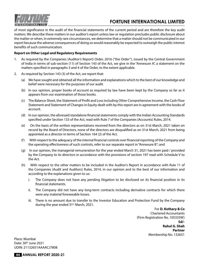

of most significance in the audit of the financial statements of the current period and are therefore the key audit matters. We describe these matters in our auditor's report unless law or regulation precludes public disclosure about the matter or when, in extremely rare circumstances, we determine that a matter should not be communicated in our report because the adverse consequences of doing so would reasonably be expected to outweigh the public interest benefits of such communication.

#### **Report on Other Legal and Regulatory Requirements**

- 1. As required by the Companies (Auditor's Report) Order, 2016 ("the Order"), issued by the Central Government of India in terms of sub-section (11) of Section 143 of the Act, we give in the "Annexure A", a statement on the matters specified in paragraphs 3 and 4 of the Order, to the extent applicable.
- 2. As required by Section 143 (3) of the Act, we report that:
	- (a) We have sought and obtained all the information and explanations which to the best of our knowledge and belief were necessary for the purposes of our audit.
	- (b) In our opinion, proper books of account as required by law have been kept by the Company so far as it appears from our examination of those books.
	- (c) The Balance Sheet, the Statement of Profit and Loss including Other Comprehensive Income, the Cash Flow Statement and Statement of Changes in Equity dealt with by this report are in agreement with the books of account.
	- (d) In our opinion, the aforesaid standalone financial statements comply with the Indian Accounting Standards specified under Section 133 of the Act, read with Rule 7 of the Companies (Accounts) Rules, 2014.
	- (e) On the basis of the written representations received from the directors as on 31st March, 2021 taken on record by the Board of Directors, none of the directors are disqualified as on 31st March, 2021 from being appointed as a director in terms of Section 164 (2) of the Act.
	- (f) With respect to the adequacy of the internal financial controls over financial reporting of the Company and the operating effectiveness of such controls, refer to our separate report in "Annexure B"; and
	- (g) In our opinion, the managerial remuneration for the year ended March 31, 2021 has been paid / provided by the Company to its directors in accordance with the provisions of section 197 read with Schedule V to the Act.
	- (h) With respect to the other matters to be included in the Auditor's Report in accordance with Rule 11 of the Companies (Audit and Auditors) Rules, 2014, in our opinion and to the best of our information and according to the explanations given to us:
		- i. The Company does not have any pending litigation to be disclosed on its financial position in its financial statements.
		- ii. The Company did not have any long-term contracts including derivative contracts for which there were any material foreseeable losses.
		- iii. There is no amount due to transfer to the Investor Education and Protection Fund by the Company during the year ended 31<sup>st</sup> March, 2021.

For **D. Kothary & Co** Chartered Accountants (Firm Registration No. 105335W) **Sd/- Rahul G. Shah Partner** Membership No. 132651

Place: Mumbai Date: 30<sup>th</sup> June 2021 UDIN: 21132651AAAACJ7808

**44 ANNUAL REPORT 2020-21**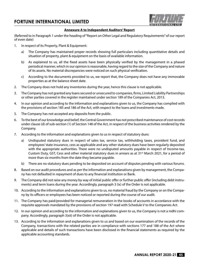

#### **Annexure A to Independent Auditors' Report**

(Referred to in Paragraph 1 under the heading of "Report on Other Legal and Regulatory Requirements" of our report of even date)

- 1. In respect of its Property, Plant & Equipment:
	- a) The Company has maintained proper records showing full particulars including quantitative details and situation of property, plant & equipment on the basis of available information.
	- b) As explained to us, all the fixed assets have been physically verified by the management in a phased periodical manner, which in our opinion is reasonable, having regard to the size of the Company and nature of its assets. No material discrepancies were noticed on such physical verification.
	- c) According to the documents provided to us, we report that, the Company does not have any immovable properties as at the balance sheet date.
- 2. The Company does not hold any inventories during the year, hence this clause is not applicable.
- 3. The Company has not granted any loans secured or unsecured to companies, firms, Limited Liability Partnerships or other parties covered in the register maintained under section 189 of the Companies Act, 2013.
- 4. In our opinion and according to the information and explanations given to us, the Company has complied with the provisions of section 185 and 186 of the Act, with respect to the loans and investments made.
- 5. The Company has not accepted any deposits from the public.
- 6. To the best of our knowledge and belief, the Central Government has not prescribed maintenance of cost records under clause (d) of sub-section (1) of Section 148 of the Act, in respect of the business activities rendered by the Company.
- 7. According to the information and explanations given to us in respect of statutory dues:
	- a) Undisputed statutory dues in respect of sales tax, service tax, withholding taxes, provident fund, and employees' state insurance, cess as applicable and any other statutory dues have been regularly deposited with the appropriate authorities. There were no undisputed amounts payable in respect of Income-tax, Custom Duty, GST, Cess and other material statutory dues in arrears as at 31<sup>st</sup> March 2021, for a period of more than six months from the date they became payable.
	- b) There are no statutory dues pending to be deposited on account of disputes pending with various forums.
- 8. Based on our audit procedures and as per the information and explanations given by management, the Company has not defaulted in repayment of dues to any financial institution or Bank.
- 9. The Company did not raise any money by way of initial public offer or further public offer (including debt instruments) and term loans during the year. Accordingly, paragraph 3 (ix) of the Order is not applicable.
- 10. According to the information and explanations given to us, no material fraud by the Company or on the Company by its officers or employees has been noticed or reported during the course of our audit.
- 11. The Company has paid/provided for managerial remuneration in the books of accounts in accordance with the requisite approvals mandated by the provisions of section 197 read with Schedule V to the Companies Act.
- 12. In our opinion and according to the information and explanations given to us, the Company is not a nidhi company. Accordingly, paragraph 3(xii) of the Order is not applicable.
- 13. According to the information and explanations given to us and based on our examination of the records of the Company, transactions with the related parties are in compliance with sections 177 and 188 of the Act where applicable and details of such transactions have been disclosed in the financial statements as required by the applicable accounting standards.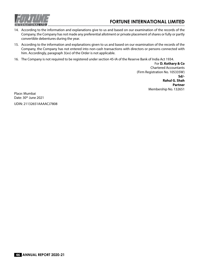

- 14. According to the information and explanations give to us and based on our examination of the records of the Company, the Company has not made any preferential allotment or private placement of shares or fully or partly convertible debentures during the year.
- 15. According to the information and explanations given to us and based on our examination of the records of the Company, the Company has not entered into non-cash transactions with directors or persons connected with him. Accordingly, paragraph 3(xv) of the Order is not applicable.
- 16. The Company is not required to be registered under section 45-IA of the Reserve Bank of India Act 1934.

For **D. Kothary & Co** Chartered Accountants (Firm Registration No. 105335W) **Sd/- Rahul G. Shah Partner** Membership No. 132651

Place: Mumbai Date: 30<sup>th</sup> June 2021 UDIN: 21132651AAAACJ7808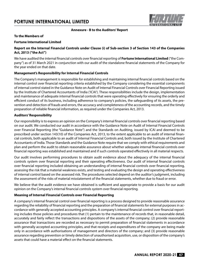

#### **Annexure - B to the Auditors' Report**

#### **To the Members of**

#### **Fortune International Limited**

#### **Report on the Internal Financial Controls under Clause (i) of Sub-section 3 of Section 143 of the Companies Act, 2013 ("the Act")**

We have audited the internal financial controls over financial reporting of **Fortune International Limited** ("the Company") as of 31 March 2021 in conjunction with our audit of the standalone financial statements of the Company for the year ended on that date.

#### **Management's Responsibility for Internal Financial Controls**

The Company's management is responsible for establishing and maintaining internal financial controls based on the internal control over financial reporting criteria established by the Company considering the essential components of internal control stated in the Guidance Note on Audit of Internal Financial Controls over Financial Reporting issued by the Institute of Chartered Accountants of India ('ICAI'). These responsibilities include the design, implementation and maintenance of adequate internal financial controls that were operating effectively for ensuring the orderly and efficient conduct of its business, including adherence to company's policies, the safeguarding of its assets, the prevention and detection of frauds and errors, the accuracy and completeness of the accounting records, and the timely preparation of reliable financial information, as required under the Companies Act, 2013.

#### **Auditors' Responsibility**

Our responsibility is to express an opinion on the Company's internal financial controls over financial reporting based on our audit. We conducted our audit in accordance with the Guidance Note on Audit of Internal Financial Controls over Financial Reporting (the "Guidance Note") and the Standards on Auditing, issued by ICAI and deemed to be prescribed under section 143(10) of the Companies Act, 2013, to the extent applicable to an audit of internal financial controls, both applicable to an audit of Internal Financial Controls and, both issued by the Institute of Chartered Accountants of India. Those Standards and the Guidance Note require that we comply with ethical requirements and plan and perform the audit to obtain reasonable assurance about whether adequate internal financial controls over financial reporting was established and maintained and if such controls operated effectively in all material respects.

Our audit involves performing procedures to obtain audit evidence about the adequacy of the internal financial controls system over financial reporting and their operating effectiveness. Our audit of internal financial controls over financial reporting included obtaining an understanding of internal financial controls over financial reporting, assessing the risk that a material weakness exists, and testing and evaluating the design and operating effectiveness of internal control based on the assessed risk. The procedures selected depend on the auditor's judgment, including the assessment of the risks of material misstatement of the financial statements, whether due to fraud or error.

We believe that the audit evidence we have obtained is sufficient and appropriate to provide a basis for our audit opinion on the Company's internal financial controls system over financial reporting.

#### **Meaning of Internal Financial Controls over Financial Reporting**

A company's internal financial control over financial reporting is a process designed to provide reasonable assurance regarding the reliability of financial reporting and the preparation of financial statements for external purposes in accordance with generally accepted accounting principles. A company's internal financial control over financial reporting includes those policies and procedures that (1) pertain to the maintenance of records that, in reasonable detail, accurately and fairly reflect the transactions and dispositions of the assets of the company; (2) provide reasonable assurance that transactions are recorded as necessary to permit preparation of financial statements in accordance with generally accepted accounting principles, and that receipts and expenditures of the company are being made only in accordance with authorisations of management and directors of the company; and (3) provide reasonable assurance regarding prevention or timely detection of unauthorised acquisition, use, or disposition of the company's assets that could have a material effect on the financial statements.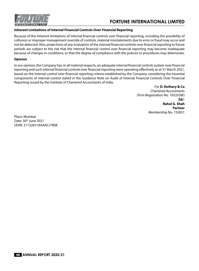

#### **Inherent Limitations of Internal Financial Controls Over Financial Reporting**

Because of the inherent limitations of internal financial controls over financial reporting, including the possibility of collusion or improper management override of controls, material misstatements due to error or fraud may occur and not be detected. Also, projections of any evaluation of the internal financial controls over financial reporting to future periods are subject to the risk that the internal financial control over financial reporting may become inadequate because of changes in conditions, or that the degree of compliance with the policies or procedures may deteriorate.

#### **Opinion**

In our opinion, the Company has, in all material respects, an adequate internal financial controls system over financial reporting and such internal financial controls over financial reporting were operating effectively as at 31 March 2021, based on the internal control over financial reporting criteria established by the Company considering the essential components of internal control stated in the Guidance Note on Audit of Internal Financial Controls Over Financial Reporting issued by the Institute of Chartered Accountants of India.

For **D. Kothary & Co**

Chartered Accountants (Firm Registration No. 105335W) **Sd/- Rahul G. Shah Partner** Membership No. 132651

Place: Mumbai Date: 30<sup>th</sup> June 2021 UDIN: 21132651AAAACJ7808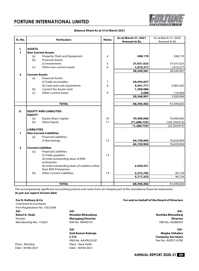

#### **Balance Sheet As at 31st March 2021**

| Sr. No.        | <b>Particulars</b>    |                                               | <b>Notes</b>   | As at March 31, 2021 | As at March 31, 2020 |
|----------------|-----------------------|-----------------------------------------------|----------------|----------------------|----------------------|
|                |                       |                                               |                | <b>Amount In Rs.</b> | Amount In Rs.        |
|                |                       |                                               |                |                      |                      |
| Ι.             | <b>ASSETS</b>         |                                               |                |                      |                      |
| $\mathbf{1}$   |                       | <b>Non Current Assets</b>                     |                |                      |                      |
|                | (a)                   | Property, Plant and Equipment                 | $\overline{4}$ | 208,179              | 208,179              |
|                | (b)                   | <b>Financial Assets</b>                       |                |                      |                      |
|                |                       | (i) Investments                               | 5              | 37,031,025           | 37,031,025           |
|                | (c)                   | Other non-current assets                      | 6              | 1,010,377            | 1,010,377            |
|                |                       |                                               |                | 38,249,581           | 38,249,581           |
| $\overline{2}$ | <b>Current Assets</b> |                                               |                |                      |                      |
|                | (a)                   | <b>Financial Assets</b>                       |                |                      |                      |
|                |                       | (i) Trade receivables                         | $\overline{7}$ | 24,593,057           |                      |
|                |                       | (ii) Cash and cash equivalents                | 8              | 4,441,771            | 3,083,420            |
|                | (b)                   | <b>Current Tax Assets (net)</b>               |                | 1,308,986            |                      |
|                | (c)                   | Other current assets                          | 9              | 3,088                | 116,664              |
|                |                       |                                               |                | 30,346,901           | 3,200,084            |
|                |                       |                                               |                |                      |                      |
|                |                       | <b>TOTAL</b>                                  |                | 68,596,482           | 41,449,665           |
|                |                       |                                               |                |                      |                      |
| Ш.             |                       | <b>EQUITY AND LIABILITIES</b>                 |                |                      |                      |
|                | <b>EQUITY</b>         |                                               |                |                      |                      |
|                | (a)                   | <b>Equity Share Capital</b>                   | 10             | 70,400,000           | 70,400,000           |
|                | (b)                   | <b>Other Equity</b>                           | 11             | (71,680,755)         | (105, 704, 973)      |
|                |                       |                                               |                | (1, 280, 755)        | (35, 304, 973)       |
|                | <b>LIABILITIES</b>    |                                               |                |                      |                      |
| 1              |                       | <b>Non Current Liabilities</b>                |                |                      |                      |
|                | (a)                   | <b>Financial Liabilities</b>                  |                |                      |                      |
|                |                       | (i) Borrowings                                | 12             | 64,159,904           | 76,659,904           |
|                |                       |                                               |                | 64,159,904           | 76,659,904           |
| $\overline{2}$ |                       | <b>Current Liabilites</b>                     |                |                      |                      |
|                | (a)                   | <b>Financial Liabilities</b>                  |                |                      |                      |
|                |                       | (i) Trade payables                            | 13             |                      |                      |
|                |                       | (a) total outstanding dues of MSE             |                |                      |                      |
|                |                       | enterprises                                   |                |                      |                      |
|                |                       | (b) total outstanding dues of creditors other |                | 2,444,551            |                      |
|                |                       | than MSE Enterprises                          |                |                      |                      |
|                | (b)                   | <b>Other Current Liabilities</b>              | 14             | 3,272,782            | 94,734               |
|                |                       |                                               |                | 5,717,333            | 94,734               |
|                |                       |                                               |                |                      |                      |
|                |                       | <b>TOTAL</b>                                  |                | 68,596,482           | 41,449,665           |

The accompanying significant accounting policies and notes form an integral part of the standalone financial statements **As per our report of even date**

 Chartered Accountants Firm Registration No. 105335W<br>Sd/- **Sd/- Sd/- Sd/- Rahul G. Shah Nivedan Bharadwaj Ruchika Bharadwaj** Partner **Managing Director Director**  Membership No.: 132651 DIN No. 00040191 DIN No. 00288459

Place : Mumbai **Place : New Delhi**<br>
Date : 30/06/2021 **Place : 20/06/2021** Date: 30/06/2021

#### **For D. Kothary & Co For and on behalf of the Board of Directors**

**Sd/- Sd/- Anil Kumar Kukreja Megha Chhabra Company Secretary** PAN No. AAJPK2353F PAN No. AVZPC1678E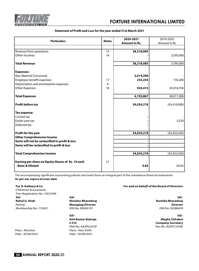

|                                                   |              | 2020-2021     | 2019-2020      |  |
|---------------------------------------------------|--------------|---------------|----------------|--|
| <b>Particulars</b>                                | <b>Notes</b> | Amount In Rs. | Amount In Rs.  |  |
|                                                   |              |               |                |  |
| Revenue from operations                           | 15           | 38,218,085    |                |  |
| Other incomes                                     | 16           |               | 3,595,000      |  |
|                                                   |              |               |                |  |
| <b>Total Revenue</b>                              |              | 38,218,085    | 3,595,000      |  |
| <b>Expenses:</b>                                  |              |               |                |  |
| <b>Raw Material Consumed</b>                      |              | 3,014,200     |                |  |
| Employee benefit expenses                         | 17           | 255,254       | 193,200        |  |
| Depreciation and amortization expenses            | 4            |               |                |  |
| <b>Other Expenses</b>                             | 18           | 924,413       | 45,818,706     |  |
| <b>Total Expenses</b>                             |              | 4,193,867     | 46,011,906     |  |
|                                                   |              |               |                |  |
| <b>Profit before tax</b>                          |              | 34,024,218    | (42, 416, 906) |  |
| Tax expense:                                      |              |               |                |  |
| Current tax                                       |              |               |                |  |
| Earlier year tax                                  |              |               | 5,520          |  |
| Deferred tax                                      |              |               |                |  |
| Profit for the year                               |              | 34,024,218    | (42, 422, 426) |  |
| <b>Other Comprehensive Income</b>                 |              |               |                |  |
| Items will not be reclassified to profit & loss   |              |               |                |  |
| Items will be reclassified to profit & loss       |              |               |                |  |
|                                                   |              |               |                |  |
| <b>Total Comprehensive Income</b>                 |              | 34,024,218    | (42, 422, 426) |  |
| Earning per share on Equity Shares of Rs. 10 each | 21           |               |                |  |
| - Basic & Diluted                                 |              | 4.83          | (6.03)         |  |
|                                                   |              |               |                |  |

#### **Statement of Profit and Loss for the year ended 31st March 2021**

The accompanying significant accounting policies and notes form an integral part of the standalone financial statements **As per our report of even date**

 Chartered Accountants Firm Registration No. 105335W<br>Sd/- **Sd/- Sd/- Sd/- Rahul G. Shah Nivedan Bharadwaj Ruchika Bharadwaj** Partner **Director Constant Director Managing Director Partner of Constant Director Director Physics of American**<br>Membership No.: 132651 DIN No. 00040191 DIN No. 00288459 Membership No.: 132651

**Anil Kumar Kukreja Megha Chhabra Megha Chhabra C.F.O Company Secretary** PAN No. AAJPK2353F Pan No. AVZPC1678E Place : Mumbai Place : New Delhi Date : 30/06/2021 Date : 30/06/2021

#### **For D. Kothary & Co For and on behalf of the Board of Directors**

**Sd/- Sd/-**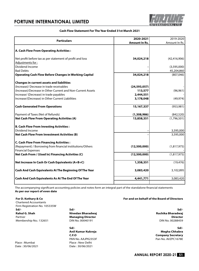

#### **Cash Flow Statement For The Year Ended 31st March 2021**

|                                                               | 2020-2021            | 2019-2020      |
|---------------------------------------------------------------|----------------------|----------------|
| <b>Particulars</b>                                            | <b>Amount In Rs.</b> | Amount In Rs.  |
| A. Cash Flow From Operating Activities:                       |                      |                |
| Net profit before tax as per statement of profit and loss     | 34,024,218           | (42, 416, 906) |
| Adjustments for:                                              |                      |                |
| Dividend Income                                               |                      | (3,595,000)    |
| <b>Bad Debts</b>                                              |                      | 45,204,860     |
| <b>Operating Cash Flow Before Changes in Working Capital</b>  | 34,024,218           | (807,046)      |
| <b>Changes in current assets and liabilities</b>              |                      |                |
| (Increase)/ Decrease in trade receivables                     | (24, 593, 057)       |                |
| I (Increase)/Decrease in Other Current and Non-Current Assets | 113,577              | (96, 961)      |
| Increase/ (Decrease) in trade payables                        | 2,444,551            |                |
| Increase/(Decrease) in Other Current Liabilities              | 3,178,048            | (49, 974)      |
| <b>Cash Generated From Operations</b>                         | 15,167,337           | (953, 981)     |
| Payment of Taxes (Net of Refunds)                             | (1,308,986)          | (842, 520)     |
| Net Cash Flow From Operating Activities (A)                   | 13,858,351           | (1,796,501)    |
| <b>B. Cash Flow From Investing Activities:</b>                |                      |                |
| Dividend Income                                               |                      | 3,595,000      |
| Net Cash Flow From Investment Activities (B)                  |                      | 3,595,000      |
| <b>C. Cash Flow From Financing Activities:</b>                |                      |                |
| (Repayment) / Borrowing from financial institutions/Others    | (12,500,000)         | (1,817,975)    |
| Financial Expenses                                            |                      |                |
| Net Cash From / (Used In) Financing Activities (C)            | (12,500,000)         | (1,817,975)    |
| Net Increase In Cash Or Cash Equivalents (A+B+C)              | 1,358,351            | (19, 476)      |
| Cash And Cash Equivalents At The Beginning Of The Year        | 3,083,420            | 3,102,895      |
| Cash And Cash Equivalents As At The End Of The Year           | 4,441,771            | 3,083,420      |
|                                                               |                      |                |

The accompanying significant accounting policies and notes form an integral part of the standalone financial statements **As per our report of even date**

 Chartered Accountants Firm Registration No. 105335W  **Sd/- Sd/- Sd/- Rahul G. Shah Nivedan Bharadwaj Ruchika Bharadwaj** Partner **Managing Director Managing Director Director Director** Membership No.: 132651 DIN No. 00040191 DIN No. 00288459

Date: 30/06/2021

**Anil Kumar Kukreja Megha Chhabra** PAN No. AAJPK2353F PAN No. AVZPC1678E Place : Mumbai Place : New Delhi<br>
Date : 30/06/2021 Date : 30/06/2021

#### **For D. Kothary & Co For and on behalf of the Board of Directors**

**Sd/- Sd/- Company Secretary**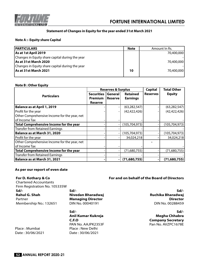

#### **Statement of Changes in Equity for the year ended 31st March 2021**

#### **Note A :- Equity share Capital**

| <b>PARTICULARS</b>                              | <b>Note</b> | Amount In Rs. |
|-------------------------------------------------|-------------|---------------|
| As at 1st April 2019                            |             | 70,400,000    |
| Changes in Equity share capital during the year |             |               |
| As at 31st March 2020                           |             | 70,400,000    |
| Changes in Equity share capital during the year |             |               |
| As at 31st March 2021                           | 10          | 70,400,000    |
|                                                 |             |               |

#### **Note B : Other Equity**

|                                              | <b>Reserves &amp; Surplus</b> |         |                 | Capital         | <b>Total Other</b> |
|----------------------------------------------|-------------------------------|---------|-----------------|-----------------|--------------------|
| <b>Particulars</b>                           | <b>Securities</b>             | General | <b>Retained</b> | <b>Reserves</b> | <b>Equity</b>      |
|                                              | <b>Premium</b>                | Reserve | <b>Earnings</b> |                 |                    |
|                                              | <b>Reserve</b>                |         |                 |                 |                    |
| <b>Balance as at April 1, 2019</b>           |                               |         | (63, 282, 547)  |                 | (63, 282, 547)     |
| Profit for the year                          |                               |         | (42, 422, 426)  |                 | (42, 422, 426)     |
| Other Comprehensive Income for the year, net |                               |         |                 |                 |                    |
| of Income Tax                                |                               |         |                 |                 |                    |
| Total Comprehensive Income for the year      |                               |         | (105,704,973)   |                 | (105,704,973)      |
| <b>Transfer from Retained Earnings</b>       |                               |         |                 |                 |                    |
| Balance as at March 31, 2020                 |                               |         | (105,704,973)   |                 | (105, 704, 973)    |
| Profit for the year                          |                               |         | 34,024,218      |                 | 34,024,218         |
| Other Comprehensive Income for the year, net |                               |         |                 |                 |                    |
| of Income Tax                                |                               |         |                 |                 |                    |
| Total Comprehensive Income for the year      |                               |         | (71,680,755)    |                 | (71,680,755)       |
| <b>Transfer from Retained Earnings</b>       |                               |         |                 |                 |                    |
| Balance as at March 31, 2021                 |                               |         | (71,680,755)    |                 | (71,680,755)       |

#### **As per our report of even date**

| For D. Kothary & Co<br><b>Chartered Accountants</b><br>Firm Registration No. 105335W |                          | For and on behalf of the Board of Directors |
|--------------------------------------------------------------------------------------|--------------------------|---------------------------------------------|
| $Sd$ /-                                                                              | $Sd$ -                   | $Sd$ /-                                     |
| Rahul G. Shah                                                                        | Nivedan Bharadwaj        | Ruchika Bharadwaj                           |
| Partner                                                                              | <b>Managing Director</b> | <b>Director</b>                             |
| Membership No.: 132651                                                               | DIN No. 00040191         | DIN No. 00288459                            |
|                                                                                      | $Sd$ /-                  | $Sd$ /-                                     |

**Anil Kumar Kukreja Megha Chhabra C.F.O Company Secretary** PAN No. AAJPK2353F Pan No. AVZPC1678E

Place : Mumbai Place : New Delhi<br>Date : 30/06/2021 Date : 30/06/2021 Date: 30/06/2021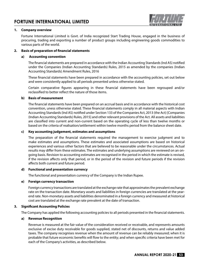

#### **1. Company overview**

Fortune International Limited is Govt. of India recognized Start Trading House, engaged in the business of procuring, trading and exporting a number of product groups including engineering goods commodities to various parts of the world.

#### **2. Basis of preparation of financial statements**

#### **a) Accounting convention**

The financial statements are prepared in accordance with the Indian Accounting Standards (Ind AS) notified under the Companies (Indian Accounting Standards) Rules, 2015 as amended by the companies (Indian Accounting Standards) Amendment Rules, 2016

These financial statements have been prepared in accordance with the accounting policies, set out below and were consistently applied to all periods presented unless otherwise stated.

Certain comparative figures appearing in these financial statements have been regrouped and/or reclassified to better reflect the nature of those items.

#### **b) Basis of measurement**

The financial statements have been prepared on an accrual basis and in accordance with the historical cost convention, uness otherwise stated. These financial statements comply in all material aspects with Indian Accounting Standards (Ind AS) notified under Section 133 of the Companies Act, 2013 (the Act) [Companies (Indian Accounting Standards) Rules, 2015] and other relevant provisions of the Act. All assets and liabilities are classified into current and non-current based on the operating cycle of less than twelve months or based on the criteria of realisation/settlement within twelve months period from the balance sheet date.

#### **c) Key accounting judgement, estimates and assumptions**

The preparation of the financial statements required the management to exercise judgment and to make estimates and assumptions. These estimates and associated assumptions are based on historical experiences and various other factors that are believed to be reasonable under the circumstances. Actual results may differ from these estimates. The estimates and underlying assumptions are reviewed on an ongoing basis. Revision to accounting estimates are recognised in the period in which the estimate is revised, if the revision affects only that period, or in the period of the revision and future periods if the revision affects both current and future period.

#### **d) Functional and presentation currency**

The functional and presentation currency of the Company is the Indian Rupee.

#### **e) Foreign currency transaction**

Foreign currency transactions are translated at the exchange rate that approximates the prevalent exchange rate on the transaction date. Monetary assets and liabilities in foreign currencies are translated at the yearend rate. Non-monetary assets and liabilities denominated in a foreign currency and measured at historical cost are translated at the exchange rate prevalent at the date of transaction.

#### **3. Significant Accounting Policies**

The Company has applied the following accounting policies to all periods presented in the financial statements.

#### **a) Revenue Recognition**

Revenue is measured at the fair value of the consideration received or receivable, and represents amounts exclusive of excise duty receivable for goods supplied, stated net of discounts, returns and value added taxes. The company recognises revenue when the amount of revenue can be reliably measured; when it is probable that future economic benefits will flow to the entity; and when specific criteria have been met for each of the Company's activities, as described below.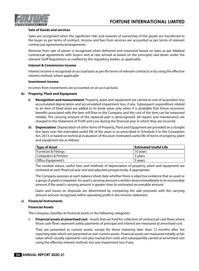

#### **Sale of Goods and services**

Sales are recognised when the significant risks and rewards of ownership of the goods are transferred to the buyer as per terms of contract. Income and fees from services are accounted as per terms of relevant contractual agreements/arrangements.

Revenue from sale of power is recognised when delivered and measured based on rates as per bilateral contractual agreements with buyers and at rate arrived at based on the principles laid down under the relevant Tariff Regulations as notified by the regulatory bodies, as applicable.

#### **Interest & Commission Income**

Interest income is recognised on accrual basis as per the terms of relevant contracts or by using the effective interest method, where applicable

#### **Investment income**

Incomes from investments are accounted on an accrual basis.

#### **b) Property, Plant and Equipment**

- **i) Recognition and measurement**: Property, plant and equipment are carried at cost of acquisition less accumulated depreciation and accumulated impairment loss, if any. Subsequent expenditure related to an item of fixed asset are added to its book value only when it is probable that future economic benefits associated with the item will flow to the Company and the cost of the item can be measured reliably. The carrying amount of the replaced part is derecognised. All repairs and maintenance are charged to the Statement of Profit and Loss during the financial year in which they are incurred.
- **ii) Depreciation**: Depreciation of other items of Property, Plant and Equipment are provided on a straight line basis over the estimated useful life of the asset or as prescribed in Schedule II to the Companies Act, 2013 or based on technical evaluation of the asset. Estimated useful life of items of property, plant and equipment are as follows:

| Type of Asset        | Estimated Useful Life |
|----------------------|-----------------------|
| Furniture & Fittings | 10 years              |
| Computers & Printers | 3 years               |
| Office Equipment's   | 5 years               |

The residual values, useful lives and methods of depreciation of property, plant and equipment are reviewed at each financial year end and adjusted prospectively, if appropriate.

The Company assesses at each balance sheet date whether there is objective evidence that an asset or a group of assets is impaired. An asset's carrying amount is written down immediately to its recoverable amount if the asset's carrying amount is greater than its estimated recoverable amount.

Gains and losses on disposals are determined by comparing the sale proceeds with the carrying amount and are recognised within operating profit in the Income statement.

#### **c) Financial Instruments**

#### **Financial Assets**

The Company classifies its financial assets in the following categories:

i) **Financial assets at amortised cost** - Assets that are held for collection of contractual cash flows where those cash flows represent solely payments of principal and interest are measured at amortised cost.

They are presented as current assets, except for those maturing later than 12 months after the reporting date which are presented as non-current assets. Financial assets are measured initially at fair value which usually represents cost plus transaction costs and subsequently carried at amortised cost using the effective interest method, less any impairment loss if any.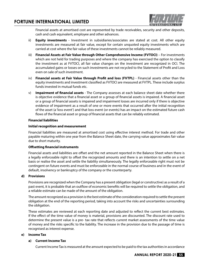

Financial assets at amortised cost are represented by trade receivables, security and other deposits, cash and cash equivalent, employee and other advances.

- ii) **Equity investments** Investment in subsidiaries/associates are stated at cost. All other equity investments are measured at fair value, except for certain unquoted equity investments which are carried at cost where the fair value of these investments cannot be reliably measured.
- iii) **Financial Assets at Fair Value through Other Comprehensive Income (FVTOCI)** For investments which are not held for trading purposes and where the company has exercised the option to classify the investment as at FVTOCI, all fair value changes on the investment are recognized in OCI. The accumulated gains or losses on such investments are not recycled to the Statement of Profit and Loss even on sale of such investment.
- iv) **Financial assets at Fair Value through Profit and loss (FVTPL)** Financial assets other than the equity investments and investment classified as FVTOCI are measured at FVTPL. These include surplus funds invested in mutual funds etc.
- v) **Impairment of financial assets** The Company assesses at each balance sheet date whether there is objective evidence that a financial asset or a group of financial assets is impaired. A financial asset or a group of financial assets is impaired and impairment losses are incurred only if there is objective evidence of impairment as a result of one or more events that occurred after the initial recognition of the asset (a 'loss event') and that loss event (or events) has an impact on the estimated future cash flows of the financial asset or group of financial assets that can be reliably estimated.

#### **Financial liabilities**

#### **Initial recognition and measurement**

Financial liabilities are measured at amortised cost using effective interest method. For trade and other payable maturing within one year from the Balance Sheet date, the carrying value approximates fair value due to short maturity.

#### **Offsetting financial instruments**

Financial assets and liabilities are offset and the net amount reported in the Balance Sheet when there is a legally enforceable right to offset the recognized amounts and there is an intention to settle on a net basis or realise the asset and settle the liability simultaneously. The legally enforceable right must not be contingent on future events and must be enforceable in the normal course of business and in the event of default, insolvency or bankruptcy of the company or the counterparty.

#### **d) Provisions**

Provisions are recognized when the Company has a present obligation (legal or constructive) as a result of a past event, it is probable that an outflow of economic benefits will be required to settle the obligation, and a reliable estimate can be made of the amount of the obligation.

The amount recognized as a provision is the best estimate of the consideration required to settle the present obligation at the end of the reporting period, taking into account the risks and uncertainties surrounding the obligation.

These estimates are reviewed at each reporting date and adjusted to reflect the current best estimates. If the effect of the time value of money is material, provisions are discounted. The discount rate used to determine the present value is a pre- tax rate that reflects current market assessments of the time value of money and the risks specific to the liability. The increase in the provision due to the passage of time is recognised as interest expense.

#### **e) Income Tax**

#### **a) Current Income Tax**

Current Income Tax is measured at the amount expected to be paid to the tax authorities in accordance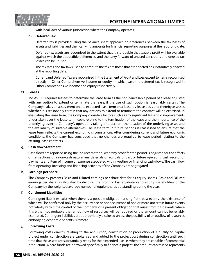

with local laws of various jurisdiction where the Company operates.

#### **b) Deferred Tax:**

Deferred tax is provided using the balance sheet approach on differences between the tax bases of assets and liabilities and their carrying amounts for financial reporting purposes at the reporting date.

Deferred tax assets are recognised to the extent that it is probable that taxable profit will be available against which the deductible differences, and the carry forward of unused tax credits and unused tax losses can be utilised.

The tax rates and tax laws used to compute the tax are those that are enacted or substantively enacted at the reporting date.

Current and Deferred Tax are recognised in the Statement of Profit and Loss except to items recognised directly in Other Comprehensive income or equity, in which case the deferred tax is recognised in Other Comprehensive Income and equity respectively.

#### **f) Leases**

Ind AS 116 requires lessees to determine the lease term as the non-cancellable period of a lease adjusted with any option to extend or terminate the lease, if the use of such option is reasonably certain. The Company makes an assessment on the expected lease term on a lease-by-lease basis and thereby assesses whether it is reasonably certain that any options to extend or terminate the contract will be exercised. In evaluating the lease term, the Company considers factors such as any significant leasehold improvements undertaken over the lease term, costs relating to the termination of the lease and the importance of the underlying asset to Company's operations taking into account the location of the underlying asset and the availability of suitable alternatives. The lease term in future periods is reassessed to ensure that the lease term reflects the current economic circumstances. After considering current and future economic conditions, the Company has concluded that no changes are required to lease period relating to the existing lease contracts.

#### **g) Cash flow Statement**

Cash flows are reported using the indirect method, whereby profit for the period is adjusted for the effects of transactions of a non-cash nature, any deferrals or accruals of past or future operating cash receipt or payments and item of income or expense associated with investing or financing cash-flows. The cash flow from operating, investing and financing activities of the Company are segregated.

#### **h) Earnings per share**

The Company presents Basic and Diluted earnings per share data for its equity shares. Basic and Diluted earnings per share is calculated by dividing the profit or loss attributable to equity shareholders of the Company by the weighted average number of equity shares outstanding during the year.

#### **i) Contingent Liabilities**

Contingent liabilities exist when there is a possible obligation arising from past events, the existence of which will be confirmed only by the occurrence or nonoccurrence of one or more uncertain future events not wholly within the control of the Company, or a present obligation that arises from past events where it is either not probable that an outflow of resources will be required or the amount cannot be reliably estimated. Contingent liabilities are appropriately disclosed unless the possibility of an outflow of resources embodying economic benefits is remote.

#### **j) Borrowing Costs**

Borrowing costs directly relating to the acquisition, construction or production of a qualifying capital project under construction are capitalised and added to the project cost during construction until such time that the assets are substantially ready for their intended use i.e. when they are capable of commercial production. Where funds are borrowed specifically to finance a project, the amount capitalised represents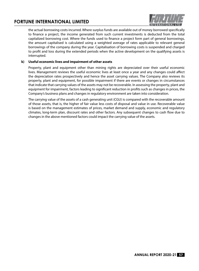

the actual borrowing costs incurred. Where surplus funds are available out of money borrowed specifically to finance a project, the income generated from such current investments is deducted from the total capitalized borrowing cost. Where the funds used to finance a project form part of general borrowings, the amount capitalised is calculated using a weighted average of rates applicable to relevant general borrowings of the company during the year. Capitalisation of borrowing costs is suspended and charged to profit and loss during the extended periods when the active development on the qualifying assets is interrupted.

#### **k) Useful economic lives and impairment of other assets**

Property, plant and equipment other than mining rights are depreciated over their useful economic lives. Management reviews the useful economic lives at least once a year and any changes could affect the depreciation rates prospectively and hence the asset carrying values. The Company also reviews its property, plant and equipment, for possible impairment if there are events or changes in circumstances that indicate that carrying values of the assets may not be recoverable. In assessing the property, plant and equipment for impairment, factors leading to significant reduction in profits such as changes in prices, the Company's business plans and changes in regulatory environment are taken into consideration.

The carrying value of the assets of a cash generating unit (CGU) is compared with the recoverable amount of those assets, that is, the higher of fair value less costs of disposal and value in use. Recoverable value is based on the management estimates of prices, market demand and supply, economic and regulatory climates, long-term plan, discount rates and other factors. Any subsequent changes to cash flow due to changes in the above mentioned factors could impact the carrying value of the assets.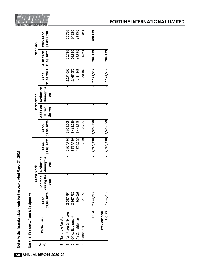|                | Note: 4 - Property, Plant & Equipment |                       |                    |                                                              |           |                                |                    |                                                 |           |                                    |                         |
|----------------|---------------------------------------|-----------------------|--------------------|--------------------------------------------------------------|-----------|--------------------------------|--------------------|-------------------------------------------------|-----------|------------------------------------|-------------------------|
|                |                                       |                       | <b>Gross Block</b> |                                                              |           |                                |                    | <b>Depreciaton</b>                              |           |                                    | Net Block               |
| $\frac{1}{2}$  | Particulars                           | 04.2020<br>As on<br>5 | year               | during the during the<br><b>Addition   Deduction</b><br>year | As on     | 31.03.2021 01.04.2020<br>As on | during<br>the year | during the<br><b>Addition Deduction</b><br>year | As on     | WDV as on<br>31.03.2021 31.03.2021 | 31.03.2020<br>WDV as on |
|                |                                       |                       |                    |                                                              |           |                                |                    |                                                 |           |                                    |                         |
|                | <b>Tangible Assets</b>                |                       |                    |                                                              |           |                                |                    |                                                 |           |                                    |                         |
|                | Furnitures & Fixtures                 | 2,687,794             |                    | ı                                                            | 2,687,794 | 2,651,068                      | ı                  |                                                 | 2,651,068 | 36,726                             | 36,726                  |
| $\sim$         | Office Equipment                      | 3,567,789             | 1                  |                                                              | 3,567,789 | 3,465,959                      | ı                  |                                                 | 3,465,959 | 101,830                            | 101,830                 |
| $\overline{3}$ | Air Conditioners                      | 1,509,905             | ı                  | ı                                                            | 1,509,905 | 1,441,345                      | ı                  |                                                 | 1,441,345 | 68,560                             | 68,560                  |
|                | 4 Computer                            | 21,250                | ı                  | ı                                                            | 21,250    | 20,187                         | ı                  |                                                 | 20,187    | 1,063                              | 1,063                   |
|                | Total                                 | 7,786,738             |                    |                                                              | 7,786,738 | 7,578,559                      |                    |                                                 | 7,578,559 | 208,179                            | 208,179                 |
|                | Figure<br><b>Previous Year</b>        | 7,786,738             |                    |                                                              |           | $- 7,786,738 7,578,559$        |                    |                                                 | 7,578,559 | 208,179                            |                         |

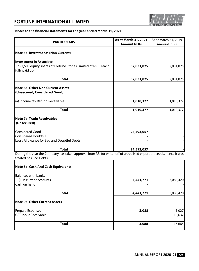

### **Notes to the financial statements for the year ended March 31, 2021**

| <b>PARTICULARS</b>                                                                                                                                                                  | As at March 31, 2021 | As at March 31, 2019 |
|-------------------------------------------------------------------------------------------------------------------------------------------------------------------------------------|----------------------|----------------------|
|                                                                                                                                                                                     | <b>Amount In Rs.</b> | Amount In Rs.        |
| Note 5 :- Investments (Non Current)                                                                                                                                                 |                      |                      |
| <b>Investment in Associate</b><br>17,97,500 equity shares of Fortune Stones Limited of Rs. 10 each<br>fully paid up                                                                 | 37,031,025           | 37,031,025           |
| <b>Total</b>                                                                                                                                                                        | 37,031,025           | 37,031,025           |
| Note 6 :- Other Non Current Assets<br>(Unsecured, Considered Good)<br>(a) Income tax Refund Receivable                                                                              | 1,010,377            | 1,010,377            |
| <b>Total</b>                                                                                                                                                                        | 1,010,377            | 1,010,377            |
| Note 7 :- Trade Receivables<br>(Unsecured)<br>Considered Good<br><b>Considered Doubtful</b><br>Less: Allowance for Bad and Doubtful Debts                                           | 24,593,057           |                      |
| <b>Total</b>                                                                                                                                                                        | 24,593,057           |                      |
| During the year the Company has taken approval from RBI for write -off of unrealised export proceeds, hence it was<br>treated has Bad Debts.<br>Note 8 :- Cash And Cash Equivalents |                      |                      |
| Balances with banks<br>(i) In current accounts<br>Cash on hand                                                                                                                      | 4,441,771            | 3,083,420            |
| <b>Total</b>                                                                                                                                                                        | 4,441,771            | 3,083,420            |
| Note 9 :- Other Current Assets                                                                                                                                                      |                      |                      |
| Prepaid Expenses<br><b>GST Input Receivable</b>                                                                                                                                     | 3,088                | 1,027<br>115,637     |

**Total 3,088** 116,664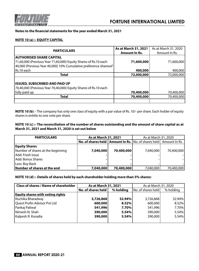

#### **Notes to the financial statements for the year ended March 31, 2021**

#### **NOTE 10 (a) :- EQUITY CAPITAL**

| <b>PARTICULARS</b>                                               | As at March 31, 2021 | As at March 31, 2020 |
|------------------------------------------------------------------|----------------------|----------------------|
|                                                                  | <b>Amount In Rs.</b> | Amount In Rs.        |
| <b>AUTHORISED SHARE CAPITAL</b>                                  |                      |                      |
| 71,60,000 (Previous Year 71,60,000) Equity Shares of Rs.10 each  | 71,600,000           | 71,600,000           |
| 40,000 (Previous Year 40,000) 10% Cumulative preference sharesof |                      |                      |
| l Rs.10 each                                                     | 400,000              | 400,000              |
| <b>Total</b>                                                     | 72,000,000           | 72,000,000           |
|                                                                  |                      |                      |
| <b>ISSUED, SUBSCRIBED AND PAID UP</b>                            |                      |                      |
| 70,40,000 (Previous Year 70,40,000) Equity Shares of Rs.10 each  |                      |                      |
| fully paid up                                                    | 70,400,000           | 70,400,000           |
| Total                                                            | 70,400,000           | 70,400,000           |
|                                                                  |                      |                      |

**NOTE 10 (b)** :- The company has only one class of equity with a par value of Rs. 10/- per share. Each holder of equity shares is entitle to one vote per share.

#### **NOTE 10 (c) :- The reconciliation of the number of shares outstanding and the amount of share capital as at March 31, 2021 and March 31, 2020 is set out below**

| <b>PARTICULARS</b>                | As at March 31, 2021                                                    |            | As at March 31, 2020 |            |
|-----------------------------------|-------------------------------------------------------------------------|------------|----------------------|------------|
|                                   | No. of shares held   Amount In Rs.   No. of shares held   Amount In Rs. |            |                      |            |
| <b>Equity Shares</b>              |                                                                         |            |                      |            |
| Number of shares at the beginning | 7,040,000                                                               | 70,400,000 | 7.040.000            | 70,400,000 |
| Add: Fresh Issue                  |                                                                         |            |                      |            |
| Add: Bonus Shares                 |                                                                         |            |                      |            |
| Less: Buy Back                    |                                                                         |            |                      |            |
| Number of shares at the end       | 7,040,000                                                               | 70,400,000 | 7,040,000            | 70,400,000 |

#### **NOTE 10 (d) :- Details of shares held by each shareholder holding more than 5% shares:**

| <b>Class of shares / Name of shareholder</b> | As at March 31, 2021 |           | As at March 31, 2020 |           |
|----------------------------------------------|----------------------|-----------|----------------------|-----------|
|                                              | No. of shares held   | % holdina | No. of shares held   | % holdina |
| <b>Equity shares with voting rights</b>      |                      |           |                      |           |
| Ruchika Bharadwaj                            | 3,726,868            | 52.94%    | 3,726,868            | 52.94%    |
| Quest Profin Advisor Pvt Ltd                 | 600,000              | 8.52%     | 600,000              | 8.52%     |
| Pankaj Paliwal                               | 541,996              | 7.70%     | 541,996              | 7.70%     |
| Nimesh N. Shah                               | 390,000              | 5.54%     | 390,000              | $5.54\%$  |
| Kalpesh R. Koradia                           | 390,000              | 5.54%     | 390,000              | 5.54%     |
|                                              |                      |           |                      |           |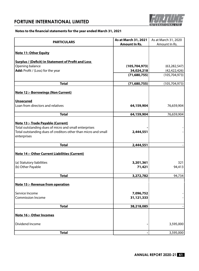

### **Notes to the financial statements for the year ended March 31, 2021**

| <b>PARTICULARS</b>                                             | As at March 31, 2021 | As at March 31, 2020 |
|----------------------------------------------------------------|----------------------|----------------------|
|                                                                | Amount In Rs.        | Amount In Rs.        |
| <b>Note 11: Other Equity</b>                                   |                      |                      |
|                                                                |                      |                      |
| <b>Surplus / (Deficit) in Statement of Profit and Loss</b>     |                      |                      |
| Opening balance                                                | (105, 704, 973)      | (63, 282, 547)       |
| Add: Profit / (Loss) for the year                              | 34,024,218           | (42, 422, 426)       |
|                                                                | (71,680,755)         | (105, 704, 973)      |
| <b>Total</b>                                                   | (71,680,755)         | (105, 704, 973)      |
|                                                                |                      |                      |
| <b>Note 12 :- Borrowings (Non Current)</b>                     |                      |                      |
| <b>Unsecured</b>                                               |                      |                      |
| Loan from directors and relatives                              | 64,159,904           | 76,659,904           |
| <b>Total</b>                                                   | 64,159,904           | 76,659,904           |
|                                                                |                      |                      |
| Note 13 :- Trade Payable (Current)                             |                      |                      |
| Total outstanding dues of micro and small enterprises          |                      |                      |
| Total outstanding dues of creditors other than micro and small | 2,444,551            |                      |
| enterprises                                                    |                      |                      |
| <b>Total</b>                                                   | 2,444,551            |                      |
| <b>Note 14 :- Other Current Liabilities (Current)</b>          |                      |                      |
|                                                                |                      |                      |
| (a) Statutory liabilities                                      | 3,201,361            | 321                  |
| (b) Other Payable                                              | 71,421               | 94,413               |
| <b>Total</b>                                                   | 3,272,782            | 94,734               |
|                                                                |                      |                      |
| Note 15 :- Revenue from operation                              |                      |                      |
| Service Income                                                 | 7,096,752            |                      |
| <b>Commission Income</b>                                       | 31,121,333           |                      |
|                                                                |                      |                      |
| <b>Total</b>                                                   | 38,218,085           |                      |
| Note 16 :- Other Incomes                                       |                      |                      |
| Dividend Income                                                |                      | 3,595,000            |
|                                                                |                      |                      |
| <b>Total</b>                                                   |                      | 3,595,000            |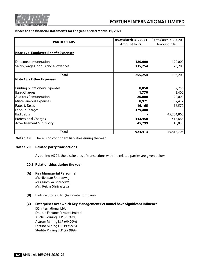

#### **Notes to the financial statements for the year ended March 31, 2021**

| <b>PARTICULARS</b>                   | As at March 31, 2021 | As at March 31, 2020 |
|--------------------------------------|----------------------|----------------------|
|                                      | <b>Amount In Rs.</b> | Amount In Rs.        |
| Note 17 :- Employee Benefit Expenses |                      |                      |
| Directors remuneration               | 120,000              | 120,000              |
| Salary, wages, bonus and allowances  | 135,254              | 73,200               |
| Total                                | 255,254              | 193,200              |
| <b>Note 18 :- Other Expenses</b>     |                      |                      |
| Printing & Stationery Expenses       | 8,850                | 57,756               |
| <b>Bank Charges</b>                  | 1,770                | 3,400                |
| <b>Auditors Remuneration</b>         | 20,000               | 20,000               |
| Miscellaneous Expenses               | 8,971                | 52,417               |
| Rates & Taxes                        | 16,165               | 16,570               |
| Labour Charges                       | 379,408              |                      |
| <b>Bad debts</b>                     |                      | 45,204,860           |
| <b>Professional Charges</b>          | 443,450              | 418,668              |
| Advertisement & Publicity            | 45,799               | 45,035               |
| <b>Total</b>                         | 924,413              | 45,818,706           |

**Note : 19** There is no contingent liabilities during the year

#### **Note : 20 Related party transactions**

As per Ind AS 24, the disclosures of transactions with the related parties are given below:

#### **20.1 Relationships during the year**

#### **(A) Key Managerial Personnel**

Mr. Nivedan Bharadwaj Mrs. Ruchika Bharadwaj Mrs. Rekha Shrivastava

**(B)** Fortune Stones Ltd. (Associate Company)

#### **(C) Enterprises over which Key Management Personnel have Significant Influence**

ISS International Ltd. Double Fortune Private Limited Auctus Mining LLP (99.99%) Astrum Mining LLP (99.99%) Festino Mining LLP (99.99%) Sterlite Mining LLP (99.99%)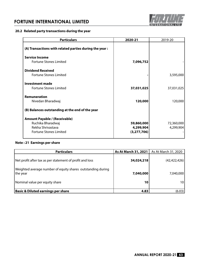

### **20.2 Related party transactions during the year**

| <b>Particulars</b>                                     | 2020-21     | 2019-20    |
|--------------------------------------------------------|-------------|------------|
| (A) Transactions with related parties during the year: |             |            |
| <b>Service Income</b>                                  |             |            |
| Fortune Stones Limited                                 | 7,096,752   |            |
| <b>Dividend Received</b>                               |             |            |
| Fortune Stones Limited                                 |             | 3,595,000  |
| Investment made                                        |             |            |
| Fortune Stones Limited                                 | 37,031,025  | 37,031,025 |
| <b>Remuneration</b>                                    |             |            |
| Nivedan Bharadwaj                                      | 120,000     | 120,000    |
| (B) Balances outstanding at the end of the year        |             |            |
| Amount Payable / (Receivable)                          |             |            |
| Ruchika Bharadwaj                                      | 59,860,000  | 72,360,000 |
| Rekha Shrivastava                                      | 4,299,904   | 4,299,904  |
| Fortune Stones Limited                                 | (3,277,706) |            |

### **Note : 21 Earnings per share**

| <b>Particulars</b>                                                      | As At March 31, 2021 | As At March 31, 2020 |
|-------------------------------------------------------------------------|----------------------|----------------------|
| Net profit after tax as per statement of profit and loss                | 34,024,218           | (42, 422, 426)       |
| Weighted average number of equity shares outstanding during<br>the year | 7,040,000            | 7,040,000            |
| Nominal value per equity share                                          | 10                   | 10 I                 |
| Basic & Diluted earnings per share                                      | 4.83                 | (6.03)               |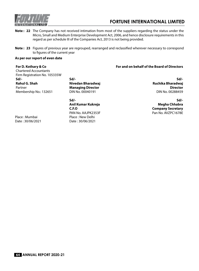

- **Note : 22** The Company has not received intimation from most of the suppliers regarding the status under the Micro, Small and Medium Enterprise Development Act, 2006, and hence disclosure requirements in this regard as per schedule III of the Companies Act, 2013 is not being provided.
- **Note : 23** Figures of previous year are regrouped, rearranged and reclassified wherever necessary to correspond to figures of the current year

#### **As per our report of even date**

#### **For D. Kothary & Co For and on behalf of the Board of Directors**

 Chartered Accountants Firm Registration No. 105335W  **Sd/- Sd/- Sd/- Rahul G. Shah Nivedan Bharadwaj Ruchika Bharadwaj** Partner **Managing Director Director**  Membership No.: 132651 DIN No. 00040191 DIN No. 00288459

**C.F.O Company Secretary** PAN No. AAJPK2353F PAN No. AVZPC1678E Place : Mumbai Place : New Delhi Date : 30/06/2021 Date : 30/06/2021

**Sd/- Sd/- Anil Kumar Kukreja Megha Chhabra Megha Chhabra**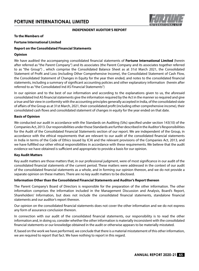

#### **INDEPENDENT AUDITOR'S REPORT**

#### **To the Members of**

#### **Fortune International Limited**

#### **Report on the Consolidated Financial Statements**

#### **Opinion**

We have audited the accompanying consolidated financial statements of **Fortune International Limited** (herein after referred as "the Parent Company") and its associates (the Parent Company and its associates together referred to as "the Group") , which comprise the Consolidated Balance Sheet as at 31st March 2021, the Consolidated Statement of Profit and Loss (including Other Comprehensive Income), the Consolidated Statement of Cash Flow, the Consolidated Statement of Changes in Equity for the year then ended, and notes to the consolidated financial statements, including a summary of significant accounting policies and other explanatory information (herein after referred to as "the Consolidated Ind AS Financial Statements")

In our opinion and to the best of our information and according to the explanations given to us, the aforesaid consolidated Ind AS financial statements give the information required by the Act in the manner so required and give a true and fair view in conformity with the accounting principles generally accepted in India, of the consolidated state of affairs of the Group as at 31st March, 2021, their consolidated profit (including other comprehensive income), their consolidated cash flows and consolidated statement of changes in equity for the year ended on that date.

#### **Basis of Opinion**

We conducted our audit in accordance with the Standards on Auditing (SAs) specified under section 143(10) of the Companies Act, 2013. Our responsibilities under those Standards are further described in the Auditor's Responsibilities for the Audit of the Consolidated Financial Statements section of our report. We are independent of the Group, in accordance with the ethical requirements that are relevant to our audit of the consolidated financial statements in India in terms of the Code of Ethics issued by ICAI and the relevant provisions of the Companies Act, 2013, and we have fulfilled our other ethical responsibilities in accordance with these requirements. We believe that the audit evidence we have obtained is sufficient and appropriate to provide a basis for our opinion.

#### **Key Audit Matters**

Key audit matters are those matters that, in our professional judgment, were of most significance in our audit of the consolidated financial statements of the current period. These matters were addressed in the context of our audit of the consolidated financial statements as a whole, and in forming our opinion thereon, and we do not provide a separate opinion on these matters. There are no key audit matters to be disclosed.

#### **Information Other than the Consolidated Financial Statements and Auditor's Report thereon**

The Parent Company's Board of Directors is responsible for the preparation of the other information. The other information comprises the information included in the Management Discussion and Analysis, Board's Report, Shareholders' Information, but does not include the consolidated financial statements, standalone financial statements and our auditor's report thereon.

Our opinion on the consolidated financial statements does not cover the other information and we do not express any form of assurance conclusion thereon.

In connection with our audit of the consolidated financial statements, our responsibility is to read the other information and, in doing so, consider whether the other information is materially inconsistent with the consolidated financial statements or our knowledge obtained in the audit or otherwise appears to be materially misstated.

If, based on the work we have performed, we conclude that there is a material misstatement of this other information, we are required to report that fact. We have nothing to report in this regard.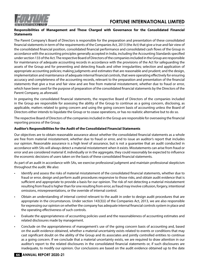



#### **Responsibilities of Management and Those Charged with Governance for the Consolidated Financial Statements**

The Parent Company's Board of Directors is responsible for the preparation and presentation of these consolidated financial statements in term of the requirements of the Companies Act, 2013 (the Act) that give a true and fair view of the consolidated financial position, consolidated financial performance and consolidated cash flows of the Group in accordance with the accounting principles generally accepted in India, including the Accounting Standards specified under section 133 of the Act. The respective Board of Directors of the companies included in the Group are responsible for maintenance of adequate accounting records in accordance with the provisions of the Act for safeguarding the assets of the Group and for preventing and detecting frauds and other irregularities; selection and application of appropriate accounting policies; making judgments and estimates that are reasonable and prudent; and the design, implementation and maintenance of adequate internal financial controls, that were operating effectively for ensuring accuracy and completeness of the accounting records, relevant to the preparation and presentation of the financial statements that give a true and fair view and are free from material misstatement, whether due to fraud or error, which have been used for the purpose of preparation of the consolidated financial statements by the Directors of the Parent Company, as aforesaid.

In preparing the consolidated financial statements, the respective Board of Directors of the companies included in the Group are responsible for assessing the ability of the Group to continue as a going concern, disclosing, as applicable, matters related to going concern and using the going concern basis of accounting unless the Board of Directors either intends to liquidate the Group or to cease operations, or has no realistic alternative but to do so.

The respective Board of Directors of the companies included in the Group are responsible for overseeing the financial reporting process of the Group.

### **Auditor's Responsibilities for the Audit of the Consolidated Financial Statements**

Our objectives are to obtain reasonable assurance about whether the consolidated financial statements as a whole are free from material misstatement, whether due to fraud or error, and to issue an auditor's report that includes our opinion. Reasonable assurance is a high level of assurance, but is not a guarantee that an audit conducted in accordance with SAs will always detect a material misstatement when it exists. Misstatements can arise from fraud or error and are considered material if, individually or in the aggregate, they could reasonably be expected to influence the economic decisions of users taken on the basis of these consolidated financial statements.

As part of an audit in accordance with SAs, we exercise professional judgment and maintain professional skepticism throughout the audit. We also:

- Identify and assess the risks of material misstatement of the consolidated financial statements, whether due to fraud or error, design and perform audit procedures responsive to those risks, and obtain audit evidence that is sufficient and appropriate to provide a basis for our opinion. The risk of not detecting a material misstatement resulting from fraud is higher than for one resulting from error, as fraud may involve collusion, forgery, intentional omissions, misrepresentations, or the override of internal control.
- Obtain an understanding of internal control relevant to the audit in order to design audit procedures that are appropriate in the circumstances. Under section 143(3)(i) of the Companies Act, 2013, we are also responsible for expressing our opinion on whether the company has adequate internal financial controls system in place and the operating effectiveness of such controls.
- Evaluate the appropriateness of accounting policies used and the reasonableness of accounting estimates and related disclosures made by management.
- Conclude on the appropriateness of management's use of the going concern basis of accounting and, based on the audit evidence obtained, whether a material uncertainty exists related to events or conditions that may cast significant doubt on the ability of the Group and its associates and jointly controlled entities to continue as a going concern. If we conclude that a material uncertainty exists, we are required to draw attention in our auditor's report to the related disclosures in the consolidated financial statements or, if such disclosures are inadequate, to modify our opinion. Our conclusions are based on the audit evidence obtained up to the date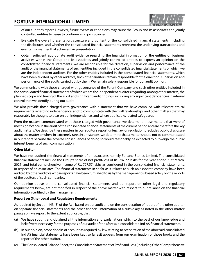

of our auditor's report. However, future events or conditions may cause the Group and its associates and jointly controlled entities to cease to continue as a going concern.

- Evaluate the overall presentation, structure and content of the consolidated financial statements, including the disclosures, and whether the consolidated financial statements represent the underlying transactions and events in a manner that achieves fair presentation.
- Obtain sufficient appropriate audit evidence regarding the financial information of the entities or business activities within the Group and its associates and jointly controlled entities to express an opinion on the consolidated financial statements. We are responsible for the direction, supervision and performance of the audit of the financial statements of such entities included in the consolidated financial statements of which we are the independent auditors. For the other entities included in the consolidated financial statements, which have been audited by other auditors, such other auditors remain responsible for the direction, supervision and performance of the audits carried out by them. We remain solely responsible for our audit opinion.

We communicate with those charged with governance of the Parent Company and such other entities included in the consolidated financial statements of which we are the independent auditors regarding, among other matters, the planned scope and timing of the audit and significant audit findings, including any significant deficiencies in internal control that we identify during our audit.

We also provide those charged with governance with a statement that we have complied with relevant ethical requirements regarding independence, and to communicate with them all relationships and other matters that may reasonably be thought to bear on our independence, and where applicable, related safeguards.

From the matters communicated with those charged with governance, we determine those matters that were of most significance in the audit of the consolidated financial statements of the current period and are therefore the key audit matters. We describe these matters in our auditor's report unless law or regulation precludes public disclosure about the matter or when, in extremely rare circumstances, we determine that a matter should not be communicated in our report because the adverse consequences of doing so would reasonably be expected to outweigh the public interest benefits of such communication.

#### **Other Matter**

We have not audited the financial statements of an associates namely Fortune Stones Limited. The consolidated financial statements include the Group's share of net profit/loss of Rs. 787.72 lakhs for the year ended 31st March, 2021, and total comprehensive income of Rs. 797.57 lakhs as considered in the consolidated financial statements, in respect of an associates. The financial statements in so far as it relates to such an associate company have been audited by other auditors whose reports have been furnished to us by the management is based solely on the reports of the auditors of such companies.

Our opinion above on the consolidated financial statements, and our report on other legal and regulatory requirements below, are not modified in respect of the above matter with respect to our reliance on the financial information certified by the management.

#### **Report on Other Legal and Regulatory Requirements**

As required by Section 143 (3) of the Act, based on our audit and on the consideration of report of the other auditor on separate financial statements and the other financial information of a subsidiary as noted in the 'other matter' paragraph, we report, to the extent applicable, that:

- (a) We have sought and obtained all the information and explanations which to the best of our knowledge and belief were necessary for the purposes of our audit of the aforesaid consolidated Ind AS financial statements.
- (b) In our opinion, proper books of account as required by law relating to preparation of the aforesaid consolidated Ind AS financial statements have been kept so far asit appears from our examination of those books and the report of the other auditor.
- (c) The Consolidated Balance Sheet, the Consolidated Statement of Profit and Loss (including Other Comprehensive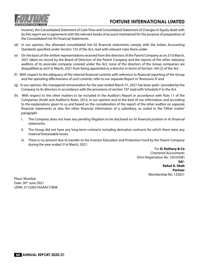

Income), the Consolidated Statement of Cash Flow and Consolidated Statement of Changes in Equity dealt with by this report are in agreement with the relevant books of account maintained for the purpose of preparation of the Consolidated Ind AS Financial Statements.

- (d) In our opinion, the aforesaid consolidated Ind AS financial statements comply with the Indian Accounting Standards specified under Section 133 of the Act, read with relevant rules there under.
- (e) On the basis of the written representations received from the directors of the Parent Company as on 31st March, 2021 taken on record by the Board of Directors of the Parent Company and the reports of the other statutory auditors of its associate company covered under the Act, none of the directors of the Group companies are disqualified as on31st March, 2021 from being appointed as a director in terms of Section 164 (2) of the Act.
- (f) With respect to the adequacy of the internal financial controls with reference to financial reporting of the Group and the operating effectiveness of such controls, refer to our separate Report in "Annexure A" and
- (g) In our opinion, the managerial remuneration for the year ended March 31, 2021 has been paid / provided by the Company to its directors in accordance with the provisions of section 197 read with Schedule V to the Act.
- (h) With respect to the other matters to be included in the Auditor's Report in accordance with Rule 11 of the Companies (Audit and Auditor's) Rules, 2014, in our opinion and to the best of our information and according to the explanations given to us and based on the consideration of the report of the other auditor on separate financial statements as also the other financial information of a subsidiary, as noted in the 'Other matter' paragraph:
	- i. The Company does not have any pending litigation to be disclosed on its financial position in its financial statements.
	- ii. The Group did not have any long-term contracts including derivative contracts for which there were any material foreseeable losses.
	- iii. There is no amount due to transfer to the Investor Education and Protection Fund by the Parent Company during the year ended 31st March, 2021.

For **D. Kothary & Co** Chartered Accountants (Firm Registration No. 105335W) **Sd/- Rahul G. Shah Partner** Membership No. 132651

Place: Mumbai Date: 30<sup>th</sup> June 2021 UDIN: 21132651AAAACJ7808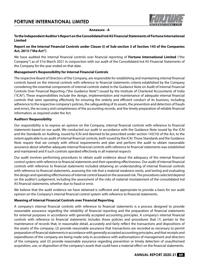

#### **Annexure - A**

#### **To the Independent Auditor's Report on the Consolidated Ind AS Financial Statements of Fortune International Limited**

#### **Report on the Internal Financial Controls under Clause (i) of Sub-section 3 of Section 143 of the Companies Act, 2013 ("the Act")**

We have audited the internal financial controls over financial reporting of **Fortune International Limited** ("the Company") as of 31st March 2021 in conjunction with our audit of the Consolidated Ind AS Financial Statements of the Company for the year ended on that date.

#### **Management's Responsibility for Internal Financial Controls**

The respective Board of Directors of the Company, are responsible for establishing and maintaining internal financial controls based on the internal controls with reference to financial statements criteria established by the Company considering the essential components of internal controls stated in the Guidance Note on Audit of Internal Financial Controls Over Financial Reporting ("the Guidance Note") issued by the Institute of Chartered Accountants of India ("ICAI"). These responsibilities include the design, implementation and maintenance of adequate internal financial controls that were operating effectively for ensuring the orderly and efficient conduct of its business, including adherence to the respective company's policies, the safeguarding of its assets, the prevention and detection of frauds and errors, the accuracy and completeness of the accounting records, and the timely preparation of reliable financial information, as required under the Act.

#### **Auditors' Responsibility**

Our responsibility is to express an opinion on the Company, internal financial controls with reference to financial statements based on our audit. We conducted our audit in accordance with the Guidance Note issued by the ICAI and the Standards on Auditing, issued by ICAI and deemed to be prescribed under section 143(10) of the Act, to the extent applicable to an audit of internal financial controls, both issued by the ICAI. Those Standards and the Guidance Note require that we comply with ethical requirements and plan and perform the audit to obtain reasonable assurance about whether adequate internal financial controls with reference to financial statements was established and maintained and if such controls operated effectively in all material respects

Our audit involves performing procedures to obtain audit evidence about the adequacy of the internal financial control system with reference to financial statements and their operating effectiveness. Our audit of internal financial controls with reference to financial statements included obtaining an understanding of internal financial controls with reference to financial statements, assessing the risk that a material weakness exists, and testing and evaluating the design and operating effectiveness of internal control based on the assessed risk. The procedures selected depend on the auditor's judgement, including the assessment of the risks of material misstatement of the consolidated Ind AS financial statements, whether due to fraud or error.

We believe that the audit evidence we have obtained is sufficient and appropriate to provide a basis for our audit opinion on the Company's internal financial control system with reference to financial statements.

#### **Meaning of Internal Financial Controls over Financial Reporting**

A company's internal financial controls with reference to financial statements is a process designed to provide reasonable assurance regarding the reliability of financial reporting and the preparation of financial statements for external purposes in accordance with generally accepted accounting principles. A company's internal financial controls with reference to financial statements includes those policies and procedures that (1) pertain to the maintenance of records that, in reasonable detail, accurately and fairly reflect the transactions and dispositions of the assets of the company; (2) provide reasonable assurance that transactions are recorded as necessary to permit preparation of financial statements in accordance with generally accepted accounting principles, and that receipts and expenditures of the company are being made only in accordance with authorisations of management and directors of the company; and (3) provide reasonable assurance regarding prevention or timely detection of unauthorised acquisition, use, or disposition of the company's assets that could have a material effect on the financial statements.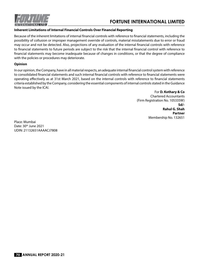

#### **Inherent Limitations of Internal Financial Controls Over Financial Reporting**

Because of the inherent limitations of internal financial controls with reference to financial statements, including the possibility of collusion or improper management override of controls, material misstatements due to error or fraud may occur and not be detected. Also, projections of any evaluation of the internal financial controls with reference to financial statements to future periods are subject to the risk that the internal financial control with reference to financial statements may become inadequate because of changes in conditions, or that the degree of compliance with the policies or procedures may deteriorate.

#### **Opinion**

In our opinion, the Company, have in all material respects, an adequate internal financial control system with reference to consolidated financial statements and such internal financial controls with reference to financial statements were operating effectively as at 31st March 2021, based on the internal controls with reference to financial statements criteria established by the Company, considering the essential components of internal controls stated in the Guidance Note issued by the ICAI.

> For **D. Kothary & Co** Chartered Accountants (Firm Registration No. 105335W) **Sd/- Rahul G. Shah Partner** Membership No. 132651

Place: Mumbai Date: 30<sup>th</sup> June 2021 UDIN: 21132651AAAACJ7808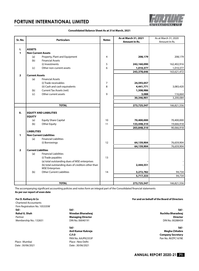

#### **Consolidated Balance Sheet As at 31st March, 2021**

|                |                           |                                                                              |              | As at March 31, 2021 | As at March 31, 2020 |
|----------------|---------------------------|------------------------------------------------------------------------------|--------------|----------------------|----------------------|
| Sr. No.        |                           | <b>Particulars</b>                                                           | <b>Notes</b> | Amount In Rs.        | Amount In Rs.        |
|                |                           |                                                                              |              |                      |                      |
| Ι.             | <b>ASSETS</b>             |                                                                              |              |                      |                      |
| 1              |                           | <b>Non Current Assets</b>                                                    |              |                      |                      |
|                | (a)                       | Property, Plant and Equipment                                                | 4            | 208,179              | 208,179              |
|                | (b)                       | <b>Financial Assets</b>                                                      |              |                      |                      |
|                |                           | (i) Investments                                                              | 5            | 242,160,090          | 162,402,916          |
|                | (c)                       | Other non-current assets                                                     | 6            | 1,010,377            | 1,010,377            |
|                |                           |                                                                              |              | 243,378,646          | 163,621,472          |
| $\overline{2}$ | <b>Current Assets</b>     |                                                                              |              |                      |                      |
|                | (a)                       | <b>Financial Assets</b>                                                      |              |                      |                      |
|                |                           | (i) Trade receivables                                                        | 7            | 24,593,057           |                      |
|                |                           | (ii) Cash and cash equivalents                                               | 8            | 4,441,771            | 3,083,420            |
|                | (b)                       | Current Tax Assets (net)                                                     |              | 1,308,986            |                      |
|                | (c)                       | Other current assets                                                         | 9            | 3,088                | 116,664              |
|                |                           |                                                                              |              | 30,346,901           | 3,200,084            |
|                |                           |                                                                              |              |                      |                      |
|                |                           | <b>TOTAL</b>                                                                 |              | 273,725,547          | 166,821,556          |
| н.             |                           | <b>EQUITY AND LIABILITIES</b>                                                |              |                      |                      |
|                | <b>EQUITY</b>             |                                                                              |              |                      |                      |
|                | (a)                       | <b>Equity Share Capital</b>                                                  | 10           | 70,400,000           | 70,400,000           |
|                | (b)                       | Other Equity                                                                 | 11           | 133,448,310          | 19,666,918           |
|                |                           |                                                                              |              | 203,848,310          | 90,066,918           |
|                | <b>LIABILITIES</b>        |                                                                              |              |                      |                      |
| 1              |                           | <b>Non Current Liabilities</b>                                               |              |                      |                      |
|                | (a)                       | <b>Financial Liabilities</b>                                                 |              |                      |                      |
|                |                           | (i) Borrowings                                                               | 12           | 64,159,904           | 76,659,904           |
|                |                           |                                                                              |              | 64,159,904           | 76,659,904           |
| $\overline{2}$ | <b>Current Liabilites</b> |                                                                              |              |                      |                      |
|                | (a)                       | <b>Financial Liabilities</b>                                                 |              |                      |                      |
|                |                           | (i) Trade payables                                                           | 13           |                      |                      |
|                |                           | (a) total outstanding dues of MSE enterprises                                |              |                      |                      |
|                |                           | (b) total outstanding dues of creditors other than<br><b>MSE Enterprises</b> |              | 2,444,551            |                      |
|                | (b)                       | <b>Other Current Liabilities</b>                                             | 14           | 3,272,782            | 94,734               |
|                |                           |                                                                              |              | 5,717,333            | 94,734               |
|                |                           |                                                                              |              |                      |                      |
|                |                           | <b>TOTAL</b>                                                                 |              | 273,725,547          | 166,821,556          |

The accompanying significant accounting policies and notes form an integral part of the Consolidated financial statements **As per our report of even date**

 Chartered Accountants Firm Registration No. 105335W<br>Sd/- **Sd/- Sd/- Sd/- Rahul G. Shah Nivedan Bharadwaj Ruchika Bharadwaj** Partner **Managing Director Director**  Membership No.: 132651 DIN No. 00040191 DIN No. 00288459

**Anil Kumar Kukreja Megha Chhabra Megha Chhabra Megha Chhabra C.F.O C.F.O C.F.O** PAN No. AAJPK2353F PAN No. AVZPC1678E Place : Mumbai Place : New Delhi Date : 30/06/2021 Date : 30/06/2021

**For D. Kothary & Co For and on behalf of the Board of Directors** 

**Sd/- Sd/-**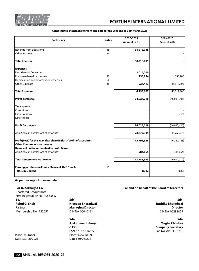

#### **Consolidated Statement of Profit and Loss for the year ended 31st March 2021**

|                                                                                                    |              | 2020-2021     | 2019-2020     |
|----------------------------------------------------------------------------------------------------|--------------|---------------|---------------|
| <b>Particulars</b>                                                                                 | <b>Notes</b> | Amount In Rs. | Amount In Rs. |
|                                                                                                    |              |               |               |
| Revenue from operations                                                                            | 15           | 38,218,085    |               |
| Other incomes                                                                                      | 16           |               |               |
| <b>Total Revenue</b>                                                                               |              | 38,218,085    |               |
|                                                                                                    |              |               |               |
| <b>Expenses:</b>                                                                                   |              |               |               |
| Raw Material Consumed                                                                              |              | 3,014,200     |               |
| Employee benefit expenses                                                                          | 17           | 255,254       | 193,200       |
| Depreciation and amortization expenses                                                             | 4            |               |               |
| <b>Other Expenses</b>                                                                              | 18           | 924,413       | 45,818,706    |
| <b>Total Expenses</b>                                                                              |              | 4,193,867     | 46,011,906    |
| Profit before tax                                                                                  |              | 34,024,218    | (46,011,906)  |
| Tax expense:                                                                                       |              |               |               |
| Current tax                                                                                        |              |               |               |
| Earlier year tax                                                                                   |              |               | 5,520         |
| Deferred tax                                                                                       |              |               |               |
| Profit for the year                                                                                |              | 34,024,218    | (46,017,426)  |
| Add: Share in (loss)/profit of associates                                                          |              | 78,772,309    | 39,760,278    |
| Profit(Loss) for the year after share in (loss)/profit of associates<br>Other Comprehensive Income |              | 112,796,528   | (6, 257, 148) |
| Items will not be reclassified to profit & loss                                                    |              |               |               |
| Add: Share in (loss)/profit of associates                                                          |              | 984,865       | (434,064)     |
| <b>Total Comprehensive Income</b>                                                                  |              | 113,781,393   | (6,691,212)   |
| Earning per share on Equity Shares of Rs. 10 each<br>- Basic & Diluted                             | 21           | 16.02         | (0.89)        |

#### **As per our report of even date**

 **For D. Kothary & Co For and on behalf of the Board of Directors** Chartered Accountants Firm Registration No. 105335W  **Sd/- Sd/- Sd/- Rahul G. Shah Nivedan Bharadwaj Ruchika Bharadwaj** Partner **Managing Director Managing Director Director Director Director** Membership No.: 132651 DIN No. 00040191 DIN No. 00288459

Place : Mumbai Place : New Delhi Date : 30/06/2021 Date : 30/06/2021

**Sd/- Sd/-**

**Anil Kumar Kukreja Megha Chhabra C.F.O Company Secretary** Pan No. AVZPC1678E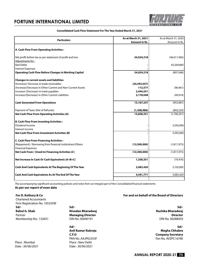

### **Consolidated Cash Flow Statement For The Year Ended March 31, 2021**

| <b>Particulars</b>                                           | As at March 31, 2021 | As at March 31, 2020 |
|--------------------------------------------------------------|----------------------|----------------------|
|                                                              | <b>Amount In Rs.</b> | Amount In Rs.        |
| A. Cash Flow From Operating Activities:                      |                      |                      |
| Net profit before tax as per statement of profit and loss    | 34,024,218           | (46,011,906)         |
| Adjustments for:                                             |                      |                      |
| <b>Bad Debts</b>                                             |                      | 45,204,860           |
| Interest Expenses                                            |                      |                      |
| <b>Operating Cash Flow Before Changes in Working Capital</b> | 34,024,218           | (807,046)            |
| <b>Changes in current assets and liabilities</b>             |                      |                      |
| (Increase)/ Decrease in trade receivables                    | (24, 593, 057)       |                      |
| (Increase)/Decrease in Other Current and Non-Current Assets  | 113,577              | (96, 961)            |
| Increase/ (Decrease) in trade payables                       | 2,444,551            |                      |
| Increase/(Decrease) in Other Current Liabilities             | 3,178,048            | (49, 974)            |
| <b>Cash Generated From Operations</b>                        | 15,167,337           | (953, 981)           |
| Payment of Taxes (Net of Refunds)                            | (1,308,986)          | (842, 520)           |
| Net Cash Flow From Operating Activities (A)                  | 13,858,351           | (1,796,501)          |
| <b>B. Cash Flow From Investing Activities:</b>               |                      |                      |
| Dividend Income                                              |                      | 3,595,000            |
| Interest income                                              |                      |                      |
| Net Cash Flow From Investment Activities (B)                 |                      | 3,595,000            |
| <b>C. Cash Flow From Financing Activities:</b>               |                      |                      |
| (Repayment) / Borrowing from financial institutions/Others   | (12,500,000)         | (1,817,975)          |
| Financial Expenses                                           |                      |                      |
| Net Cash From / (Used In) Financing Activities (C)           | (12,500,000)         | (1,817,975)          |
| Net Increase In Cash Or Cash Equivalents (A+B+C)             | 1,358,351            | (19, 476)            |
| Cash And Cash Equivalents At The Beginning Of The Year       | 3,083,420            | 3,102,895            |
| Cash And Cash Equivalents As At The End Of The Year          | 4,441,771            | 3,083,420            |
|                                                              |                      |                      |

The accompanying significant accounting policies and notes form an integral part of the Consolidated financial statements **As per our report of even date**

 Chartered Accountants Firm Registration No. 105335W<br>Sd/- **Sd/- Sd/- Sd/- Rahul G. Shah Nivedan Bharadwaj Ruchika Bharadwaj** Partner **Managing Director Managing Director Director Director Director** Membership No.: 132651 DIN No. 00040191 DIN No. 00288459

Place : Mumbai Place : New Delhi Date : 30/06/2021 Date : 30/06/2021

### **For D. Kothary & Co For and on behalf of the Board of Directors**

**Sd/- Sd/- Anil Kumar Kukreja Megha Chhabra C.F.O Company Secretary** PAN No. AAJPK2353F PAN No. AVZPC1678E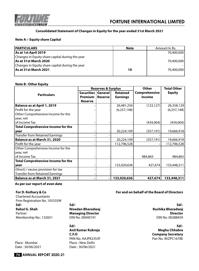

### **Consolidated Statement of Changes in Equity for the year ended 31st March 2021**

### **Note A :- Equity share Capital**

| <b>PARTICULARS</b>                              | <b>Note</b> | Amount In Rs. |
|-------------------------------------------------|-------------|---------------|
| As at 1st April 2019                            |             | 70,400,000    |
| Changes in Equity share capital during the year |             |               |
| As at 31st March 2020                           |             | 70,400,000    |
| Changes in Equity share capital during the year |             |               |
| As at 31st March 2021                           | 10          | 70,400,000    |
|                                                 |             |               |

### **Note B : Other Equity**

|                                           |                | <b>Reserves &amp; Surplus</b> |                 | Other         | <b>Total Other</b> |
|-------------------------------------------|----------------|-------------------------------|-----------------|---------------|--------------------|
| <b>Particulars</b>                        | Securities     | General                       | <b>Retained</b> | Comprehensive | <b>Equity</b>      |
|                                           | Premium        | <b>Reserve</b>                | <b>Earnings</b> | income        |                    |
|                                           | <b>Reserve</b> |                               |                 |               |                    |
| Balance as at April 1, 2019               |                |                               | 26,481,256      | (123, 127)    | 26,358,129         |
| Profit for the year                       |                |                               | (6,257,148)     |               | (6,257,148)        |
| Other Comprehensive Income for the        |                |                               |                 |               |                    |
| vear, net                                 |                |                               |                 |               |                    |
| l of Income Tax                           |                |                               |                 | (434,064)     | (434,064)          |
| <b>Total Comprehensive Income for the</b> |                |                               |                 |               |                    |
| year                                      |                |                               | 20,224,109      | (557, 191)    | 19,666,918         |
| <b>Transfer from Retained Earnings</b>    |                |                               |                 |               |                    |
| Balance as at March 31, 2020              |                |                               | 20,224,109      | (557, 191)    | 19,666,918         |
| Profit for the year                       |                |                               | 112,796,528     |               | 112,796,528        |
| Other Comprehensive Income for the        |                |                               |                 |               |                    |
| year, net                                 |                |                               |                 |               |                    |
| of Income Tax                             |                |                               |                 | 984,865       | 984,865            |
| <b>Total Comprehensive Income for the</b> |                |                               |                 |               |                    |
| year                                      |                |                               | 133,020,636     | 427,674       | 133,448,311        |
| (Short) / excess provision for tax        |                |                               |                 |               |                    |
| <b>Transfer from Retained Earnings</b>    |                |                               |                 |               |                    |
| Balance as at March 31, 2021              |                |                               | 133,020,636     | 427,674       | 133,448,311        |

### **As per our report of even date**

 **For D. Kothary & Co For and on behalf of the Board of Directors** Chartered Accountants Firm Registration No. 105335W  **Sd/- Sd/- Sd/- Rahul G. Shah Nivedan Bharadwaj Ruchika Bharadwaj** Partner **Director Contains Container Managing Director Container and Director Container Structure Point Contain**<br>Membership No.: 132651 DIN No. 00040191 DIN No. 00040191 DIN No. 00288459 Membership No.: 132651 DIN No. 00040191

**Anil Kumar Kukreja Megha Chhabra C.F.O Company Secretary** PAN No. AAJPK2353F PAN No. AVZPC1678E Place : Mumbai Place : New Delhi Date : 30/06/2021 Date : 30/06/2021

**Sd/- Sd/-**

**74 ANNUAL REPORT 2020-21**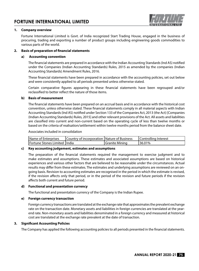

### **1. Company overview**

Fortune International Limited is Govt. of India recognized Start Trading House, engaged in the business of procuring, trading and exporting a number of product groups including engineering goods commodities to various parts of the world.

### **2. Basis of preparation of financial statements**

### **a) Accounting convention**

The financial statements are prepared in accordance with the Indian Accounting Standards (Ind AS) notified under the Companies (Indian Accounting Standards) Rules, 2015 as amended by the companies (Indian Accounting Standards) Amendment Rules, 2016.

These financial statements have been prepared in accordance with the accounting policies, set out below and were consistently applied to all periods presented unless otherwise stated.

Certain comparative figures appearing in these financial statements have been regrouped and/or reclassified to better reflect the nature of those items.

### **b) Basis of measurement**

The financial statements have been prepared on an accrual basis and in accordance with the historical cost convention, unless otherwise stated. These financial statements comply in all material aspects with Indian Accounting Standards (Ind AS) notified under Section 133 of the Companies Act, 2013 (the Act) [Companies (Indian Accounting Standards) Rules, 2015] and other relevant provisions of the Act. All assets and liabilities are classified into current and non-current based on the operating cycle of less than twelve months or based on the criteria of realisation/settlement within twelve months period from the balance sheet date.

Associates included in consolidation

| Name of Enterprises                    | <b>I Country of incorporation   Nature of Business</b> |                  | Controlling Interest |
|----------------------------------------|--------------------------------------------------------|------------------|----------------------|
| <b>I Fortune Stones Limited IIndia</b> |                                                        | l Granite Mining | 36.01%               |

### **c) Key accounting judgement, estimates and assumptions**

The preparation of the financial statements required the management to exercise judgment and to make estimates and assumptions. These estimates and associated assumptions are based on historical experiences and various other factors that are believed to be reasonable under the circumstances. Actual results may differ from these estimates. The estimates and underlying assumptions are reviewed on an ongoing basis. Revision to accounting estimates are recognised in the period in which the estimate is revised, if the revision affects only that period, or in the period of the revision and future periods if the revision affects both current and future period.

### **d) Functional and presentation currency**

The functional and presentation currency of the Company is the Indian Rupee.

### **e) Foreign currency transaction**

Foreign currency transactions are translated at the exchange rate that approximates the prevalent exchange rate on the transaction date. Monetary assets and liabilities in foreign currencies are translated at the yearend rate. Non-monetary assets and liabilities denominated in a foreign currency and measured at historical cost are translated at the exchange rate prevalent at the date of transaction.

### **3. Significant Accounting Policies**

The Company has applied the following accounting policies to all periods presented in the financial statements.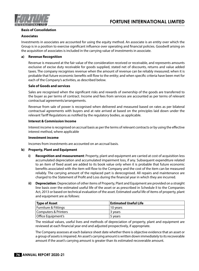

### **Basis of Consolidation**

### **Associates**

Investments in associates are accounted for using the equity method. An associate is an entity over which the Group is in a position to exercise significant influence over operating and financial policies. Goodwill arising on the acquisition of associates is included in the carrying value of investments in associate.

### **a) Revenue Recognition**

Revenue is measured at the fair value of the consideration received or receivable, and represents amounts exclusive of excise duty receivable for goods supplied, stated net of discounts, returns and value added taxes. The company recognises revenue when the amount of revenue can be reliably measured; when it is probable that future economic benefits will flow to the entity; and when specific criteria have been met for each of the Company's activities, as described below.

### **Sale of Goods and services**

Sales are recognised when the significant risks and rewards of ownership of the goods are transferred to the buyer as per terms of contract. Income and fees from services are accounted as per terms of relevant contractual agreements/arrangements.

Revenue from sale of power is recognised when delivered and measured based on rates as per bilateral contractual agreements with buyers and at rate arrived at based on the principles laid down under the relevant Tariff Regulations as notified by the regulatory bodies, as applicable.

### **Interest & Commission Income**

Interest income is recognised on accrual basis as per the terms of relevant contracts or by using the effective interest method, where applicable

### **Investment income**

Incomes from investments are accounted on an accrual basis.

### **b) Property, Plant and Equipment**

- **i) Recognition and measurement**: Property, plant and equipment are carried at cost of acquisition less accumulated depreciation and accumulated impairment loss, if any. Subsequent expenditure related to an item of fixed asset are added to its book value only when it is probable that future economic benefits associated with the item will flow to the Company and the cost of the item can be measured reliably. The carrying amount of the replaced part is derecognised. All repairs and maintenance are charged to the Statement of Profit and Loss during the financial year in which they are incurred.
- **ii) Depreciation**: Depreciation of other items of Property, Plant and Equipment are provided on a straight line basis over the estimated useful life of the asset or as prescribed in Schedule II to the Companies Act, 2013 or based on technical evaluation of the asset. Estimated useful life of items of property, plant and equipment are as follows:

| Type of Asset        | Estimated Useful Life |
|----------------------|-----------------------|
| Furniture & Fittings | 10 years              |
| Computers & Printers | 3 years               |
| Office Equipment's   | 5 years               |

The residual values, useful lives and methods of depreciation of property, plant and equipment are reviewed at each financial year end and adjusted prospectively, if appropriate.

The Company assesses at each balance sheet date whether there is objective evidence that an asset or a group of assets is impaired. An asset's carrying amount is written down immediately to its recoverable amount if the asset's carrying amount is greater than its estimated recoverable amount.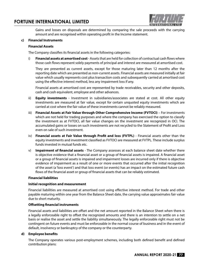

Gains and losses on disposals are determined by comparing the sale proceeds with the carrying amount and are recognised within operating profit in the Income statement.

### **c) Financial Instruments**

### **Financial Assets**

The Company classifies its financial assets in the following categories:

i) **Financial assets at amortised cost** - Assets that are held for collection of contractual cash flows where those cash flows represent solely payments of principal and interest are measured at amortised cost.

They are presented as current assets, except for those maturing later than 12 months after the reporting date which are presented as non-current assets. Financial assets are measured initially at fair value which usually represents cost plus transaction costs and subsequently carried at amortised cost using the effective interest method, less any impairment loss if any.

Financial assets at amortised cost are represented by trade receivables, security and other deposits, cash and cash equivalent, employee and other advances.

- ii) **Equity investments** Investment in subsidiaries/associates are stated at cost. All other equity investments are measured at fair value, except for certain unquoted equity investments which are carried at cost where the fair value of these investments cannot be reliably measured.
- iii) **Financial Assets at Fair Value through Other Comprehensive Income (FVTOCI)** For investments which are not held for trading purposes and where the company has exercised the option to classify the investment as at FVTOCI, all fair value changes on the investment are recognized in OCI. The accumulated gains or losses on such investments are not recycled to the Statement of Profit and Loss even on sale of such investment.
- iv) **Financial assets at Fair Value through Profit and loss (FVTPL)** Financial assets other than the equity investments and investment classified as FVTOCI are measured at FVTPL. These include surplus funds invested in mutual funds etc.
- v) **Impairment of financial assets** The Company assesses at each balance sheet date whether there is objective evidence that a financial asset or a group of financial assets is impaired. A financial asset or a group of financial assets is impaired and impairment losses are incurred only if there is objective evidence of impairment as a result of one or more events that occurred after the initial recognition of the asset (a 'loss event') and that loss event (or events) has an impact on the estimated future cash flows of the financial asset or group of financial assets that can be reliably estimated.

### **Financial liabilities**

### **Initial recognition and measurement**

Financial liabilities are measured at amortised cost using effective interest method. For trade and other payable maturing within one year from the Balance Sheet date, the carrying value approximates fair value due to short maturity.

### **Offsetting financial instruments**

Financial assets and liabilities are offset and the net amount reported in the Balance Sheet when there is a legally enforceable right to offset the recognized amounts and there is an intention to settle on a net basis or realise the asset and settle the liability simultaneously. The legally enforceable right must not be contingent on future events and must be enforceable in the normal course of business and in the event of default, insolvency or bankruptcy of the company or the counterparty.

### **d) Employee benefits**

The Company operates various post-employment schemes, including both defined benefit and defined contribution plans: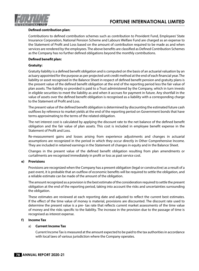

### **Defined contribution plan:**

Contributions to defined contribution schemes such as contribution to Provident Fund, Employees' State Insurance Corporation, National Pension Scheme and Labours Welfare Fund are charged as an expense to the Statement of Profit and Loss based on the amount of contribution required to be made as and when services are rendered by the employees. The above benefits are classified as Defined Contribution Schemes as the Company has no further defined obligations beyond the monthly contributions.

### **Defined benefit plan:**

### **Gratuity:**

Gratuity liability is a defined benefit obligation and is computed on the basis of an actuarial valuation by an actuary appointed for the purpose as per projected unit credit method at the end of each financial year. The liability or asset recognised in the Balance Sheet in respect of defined benefit pension and gratuity plans is the present value of the defined benefit obligation at the end of the reporting period less the fair value of plan assets. The liability so provided is paid to a Trust administered by the Company, which in turn invests in eligible securities to meet the liability as and when it accrues for payment in future. Any shortfall in the value of assets over the defined benefit obligation is recognised as a liability with a corresponding charge to the Statement of Profit and Loss.

The present value of the defined benefit obligation is determined by discounting the estimated future cash outflows by reference to market yields at the end of the reporting period on Government bonds that have terms approximating to the terms of the related obligation.

The net interest cost is calculated by applying the discount rate to the net balance of the defined benefit obligation and the fair value of plan assets. This cost is included in employee benefit expense in the Statement of Profit and Loss.

Re-measurement gains and losses arising from experience adjustments and changes in actuarial assumptions are recognized in the period in which they occur directly in Other Comprehensive Income. They are included in retained earnings in the Statement of changes in equity and in the Balance Sheet.

Changes in the present value of the defined benefit obligation resulting from plan amendments or curtailments are recognised immediately in profit or loss as past service cost.

### **e) Provisions**

Provisions are recognized when the Company has a present obligation (legal or constructive) as a result of a past event, it is probable that an outflow of economic benefits will be required to settle the obligation, and a reliable estimate can be made of the amount of the obligation.

The amount recognized as a provision is the best estimate of the consideration required to settle the present obligation at the end of the reporting period, taking into account the risks and uncertainties surrounding the obligation.

These estimates are reviewed at each reporting date and adjusted to reflect the current best estimates. If the effect of the time value of money is material, provisions are discounted. The discount rate used to determine the present value is a pre- tax rate that reflects current market assessments of the time value of money and the risks specific to the liability. The increase in the provision due to the passage of time is recognised as interest expense.

### **f) Income Tax**

### a) **Current Income Tax**

Current Income Tax is measured at the amount expected to be paid to the tax authorities in accordance with local laws of various jurisdiction where the Company operates.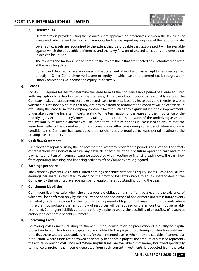

### b) **Deferred Tax:**

Deferred tax is provided using the balance sheet approach on differences between the tax bases of assets and liabilities and their carrying amounts for financial reporting purposes at the reporting date.

Deferred tax assets are recognised to the extent that it is probable that taxable profit will be available against which the deductible differences, and the carry forward of unused tax credits and unused tax losses can be utilised.

The tax rates and tax laws used to compute the tax are those that are enacted or substantively enacted at the reporting date.

Current and Deferred Tax are recognised in the Statement of Profit and Loss except to items recognised directly in Other Comprehensive income or equity, in which case the deferred tax is recognised in Other Comprehensive Income and equity respectively.

### **g) Leases**

Ind AS 116 requires lessees to determine the lease term as the non-cancellable period of a lease adjusted with any option to extend or terminate the lease, if the use of such option is reasonably certain. The Company makes an assessment on the expected lease term on a lease-by-lease basis and thereby assesses whether it is reasonably certain that any options to extend or terminate the contract will be exercised. In evaluating the lease term, the Company considers factors such as any significant leasehold improvements undertaken over the lease term, costs relating to the termination of the lease and the importance of the underlying asset to Company's operations taking into account the location of the underlying asset and the availability of suitable alternatives. The lease term in future periods is reassessed to ensure that the lease term reflects the current economic circumstances. After considering current and future economic conditions, the Company has concluded that no changes are required to lease period relating to the existing lease contracts.

### **h) Cash flow Statement**

Cash flows are reported using the indirect method, whereby profit for the period is adjusted for the effects of transactions of a non-cash nature, any deferrals or accruals of past or future operating cash receipt or payments and item of income or expense associated with investing or financing cash-flows. The cash flow from operating, investing and financing activities of the Company are segregated.

### **i) Earnings per share**

The Company presents Basic and Diluted earnings per share data for its equity shares. Basic and Diluted earnings per share is calculated by dividing the profit or loss attributable to equity shareholders of the Company by the weighted average number of equity shares outstanding during the year.

### **j) Contingent Liabilities**

Contingent liabilities exist when there is a possible obligation arising from past events, the existence of which will be confirmed only by the occurrence or nonoccurrence of one or more uncertain future events not wholly within the control of the Company, or a present obligation that arises from past events where it is either not probable that an outflow of resources will be required or the amount cannot be reliably estimated. Contingent liabilities are appropriately disclosed unless the possibility of an outflow of resources embodying economic benefits is remote.

### **k) Borrowing Costs**

Borrowing costs directly relating to the acquisition, construction or production of a qualifying capital project under construction are capitalised and added to the project cost during construction until such time that the assets are substantially ready for their intended use i.e. when they are capable of commercial production. Where funds are borrowed specifically to finance a project, the amount capitalised represents the actual borrowing costs incurred. Where surplus funds are available out of money borrowed specifically to finance a project, the income generated from such current investments is deducted from the total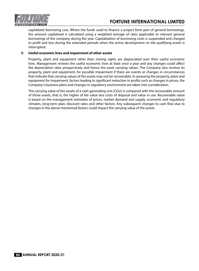

capitalized borrowing cost. Where the funds used to finance a project form part of general borrowings, the amount capitalised is calculated using a weighted average of rates applicable to relevant general borrowings of the company during the year. Capitalisation of borrowing costs is suspended and charged to profit and loss during the extended periods when the active development on the qualifying assets is interrupted.

### **l) Useful economic lives and impairment of other assets**

Property, plant and equipment other than mining rights are depreciated over their useful economic lives. Management reviews the useful economic lives at least once a year and any changes could affect the depreciation rates prospectively and hence the asset carrying values. The Company also reviews its property, plant and equipment, for possible impairment if there are events or changes in circumstances that indicate that carrying values of the assets may not be recoverable. In assessing the property, plant and equipment for impairment, factors leading to significant reduction in profits such as changes in prices, the Company's business plans and changes in regulatory environment are taken into consideration.

The carrying value of the assets of a cash generating unit (CGU) is compared with the recoverable amount of those assets, that is, the higher of fair value less costs of disposal and value in use. Recoverable value is based on the management estimates of prices, market demand and supply, economic and regulatory climates, long-term plan, discount rates and other factors. Any subsequent changes to cash flow due to changes in the above mentioned factors could impact the carrying value of the assets.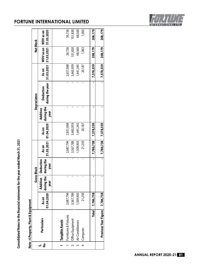# Consolidated Notes to the financial statements for the year ended March 31, 2021 **Consolidated Notes to the financial statements for the year ended March 31, 2021**

Note: 4 Property, Plant & Equipment **Note : 4 Property, Plant & Equipment**

|   |                       |                    | <b>Gross Block</b> |                                                       |                          |                     |                                | <b>Depreciaton</b>                  |                                           | Net Block             |         |
|---|-----------------------|--------------------|--------------------|-------------------------------------------------------|--------------------------|---------------------|--------------------------------|-------------------------------------|-------------------------------------------|-----------------------|---------|
| ş | <b>Particulars</b>    | 1.04.2020<br>As on | year               | during the during the<br>Addition   Deduction<br>year | 31.03.2021<br>As on      | 01.04.2020<br>As on | during the<br>Addition<br>year | during the year<br><b>Deduction</b> | 31.03.2021 31.03.2021 31.03.2020<br>As on | WDV as on   WDV as on |         |
|   |                       |                    |                    |                                                       |                          |                     |                                |                                     |                                           |                       |         |
|   | Tangible Assets       |                    |                    |                                                       |                          |                     |                                |                                     |                                           |                       |         |
|   | Furnitures & Fixtures | 2,687,794          |                    |                                                       | 2,687,794                | 2,651,068           |                                |                                     | 2,651,068                                 | 36,726                | 36,726  |
|   | 2   Office Equipment  | 3,567,789          |                    |                                                       | 3,567,789                | 3,465,959           |                                |                                     | 3,465,959                                 | 101,830               | 101,830 |
|   | Air Conditioners      | 1,509,905          |                    |                                                       | 1,509,905                | 1,441,345           |                                |                                     | 1,441,345                                 | 68,560                | 68,560  |
|   | 4 Computer            | 21,250             |                    |                                                       | 21,250                   | 20,187              |                                |                                     | 20,187                                    | 1,063                 | 1,063   |
|   | Total                 | 7,786,738          |                    |                                                       | 7,786,738                | 7,578,559           |                                |                                     | 7,578,559                                 | 208,179               | 208,179 |
|   | Previous Year Figure  | 7,786,738          |                    |                                                       | $- 7,786,738 $ 7,578,559 |                     |                                |                                     | 7,578,559                                 | 208,179               | 208,179 |

**FORTUNE INTERNATIONAL LIMITED**

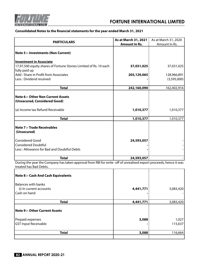

### **Consolidated Notes to the financial statements for the year ended March 31, 2021**

| <b>PARTICULARS</b>                                                 | As at March 31, 2021<br><b>Amount In Rs.</b> | As at March 31, 2020<br>Amount In Rs. |
|--------------------------------------------------------------------|----------------------------------------------|---------------------------------------|
| Note 5 :- Investments (Non Current)                                |                                              |                                       |
| Investment in Associate                                            |                                              |                                       |
| 17,97,500 equity shares of Fortune Stones Limited of Rs. 10 each   | 37,031,025                                   | 37,031,025                            |
| fully paid up<br>Add : Share in Profit from Associates             | 205,129,065                                  | 128,966,891                           |
| Less : Dividend received                                           |                                              | (3,595,000)                           |
|                                                                    |                                              |                                       |
| <b>Total</b>                                                       | 242,160,090                                  | 162,402,916                           |
| Note 6 :- Other Non Current Assets<br>(Unsecured, Considered Good) |                                              |                                       |
| (a) Income tax Refund Receivable                                   | 1,010,377                                    | 1,010,377                             |
| <b>Total</b>                                                       | 1,010,377                                    | 1,010,377                             |
| Note 7 :- Trade Receivables<br>(Unsecured)                         |                                              |                                       |
| l Considered Good                                                  | 24,593,057                                   |                                       |
| l Considered Doubtful                                              |                                              |                                       |
| Less : Allowance for Bad and Doubtful Debts                        |                                              |                                       |
| <b>Total</b>                                                       | 24,593,057                                   |                                       |

During the year the Company has taken approval from RBI for write -off of unrealised export proceeds, hence it was treated has Bad Debts.

| <b>Note 8 :- Cash And Cash Equivalents</b> |           |           |
|--------------------------------------------|-----------|-----------|
| Balances with banks                        |           |           |
| (i) In current accounts<br>l Cash on hand  | 4,441,771 | 3,083,420 |
| <b>Total</b>                               | 4,441,771 | 3,083,420 |
| Note 9 :- Other Current Assets             |           |           |
| Prepaid expenses                           | 3,088     | 1,027     |
| <b>GST Input Receivable</b>                |           | 115,637   |
| <b>Total</b>                               | 3,088     | 116,664   |
|                                            |           |           |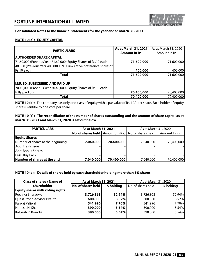

### **Consolidated Notes to the financial statements for the year ended March 31, 2021**

### **NOTE 10 (a) :- EQUITY CAPITAL**

| <b>PARTICULARS</b>                                                                                       | As at March 31, 2021 | As at March 31, 2020 |
|----------------------------------------------------------------------------------------------------------|----------------------|----------------------|
|                                                                                                          | <b>Amount In Rs.</b> | Amount In Rs.        |
| <b>AUTHORISED SHARE CAPITAL</b>                                                                          |                      |                      |
| 71,60,000 (Previous Year 71,60,000) Equity Shares of Rs.10 each                                          | 71,600,000           | 71,600,000           |
| 40,000 (Previous Year 40,000) 10% Cumulative preference sharesof                                         |                      |                      |
| l Rs.10 each                                                                                             | 400,000              | 400,000              |
| Total                                                                                                    | 71,600,000           | 71,600,000           |
| <b>ISSUED, SUBSCRIBED AND PAID UP</b><br>70,40,000 (Previous Year 70,40,000) Equity Shares of Rs.10 each |                      |                      |
| fully paid up                                                                                            | 70,400,000           | 70,400,000           |
| Total                                                                                                    | 70,400,000           | 70,400,000           |

**NOTE 10 (b)** :- The company has only one class of equity with a par value of Rs. 10/- per share. Each holder of equity shares is entitle to one vote per share.

### **NOTE 10 (c) :- The reconciliation of the number of shares outstanding and the amount of share capital as at March 31, 2021 and March 31, 2020 is set out below**

| <b>PARTICULARS</b>                | As at March 31, 2021               |            | As at March 31, 2020 |               |
|-----------------------------------|------------------------------------|------------|----------------------|---------------|
|                                   | No. of shares held   Amount In Rs. |            | No. of shares held   | Amount In Rs. |
| <b>Equity Shares</b>              |                                    |            |                      |               |
| Number of shares at the beginning | 7,040,000                          | 70,400,000 | 7.040.000            | 70,400,000    |
| Add: Fresh Issue                  |                                    |            |                      |               |
| Add: Bonus Shares                 |                                    |            |                      |               |
| Less: Buy Back                    |                                    |            |                      |               |
| Number of shares at the end       | 7,040,000                          | 70,400,000 | 7,040,000            | 70,400,000    |

### **NOTE 10 (d) :- Details of shares held by each shareholder holding more than 5% shares:**

| Class of shares / Name of               | As at March 31, 2021 |           | As at March 31, 2020 |           |
|-----------------------------------------|----------------------|-----------|----------------------|-----------|
| shareholder                             | No. of shares held   | % holdina | No. of shares held   | % holdina |
| <b>Equity shares with voting rights</b> |                      |           |                      |           |
| Ruchika Bharadwaj                       | 3,726,868            | 52.94%    | 3,726,868            | 52.94%    |
| l Ouest Profin Advisor Pvt Ltd          | 600,000              | 8.52%     | 600,000              | 8.52%     |
| Pankaj Paliwal                          | 541,996              | 7.70%     | 541,996              | 7.70%     |
| l Nimesh N. Shah                        | 390,000              | 5.54%     | 390,000              | $5.54\%$  |
| Kalpesh R. Koradia                      | 390,000              | 5.54%     | 390,000              | 5.54%     |
|                                         |                      |           |                      |           |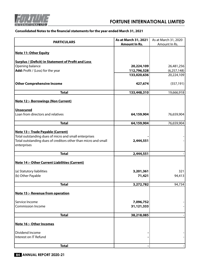

## **Consolidated Notes to the financial statements for the year ended March 31, 2021**

| <b>PARTICULARS</b>                                             | As at March 31, 2021 | As at March 31, 2020 |
|----------------------------------------------------------------|----------------------|----------------------|
|                                                                | <b>Amount In Rs.</b> | Amount In Rs.        |
|                                                                |                      |                      |
| <b>Note 11: Other Equity</b>                                   |                      |                      |
| <b>Surplus / (Deficit) in Statement of Profit and Loss</b>     |                      |                      |
| Opening balance                                                | 20,224,109           | 26,481,256           |
| Add: Profit / (Loss) for the year                              | 112,796,528          | (6, 257, 148)        |
|                                                                | 133,020,636          | 20,224,109           |
|                                                                |                      |                      |
| <b>Other Comprehensive Income</b>                              | 427,674              | (557, 191)           |
| <b>Total</b>                                                   |                      |                      |
|                                                                | 133,448,310          | 19,666,918           |
| <b>Note 12 :- Borrowings (Non Current)</b>                     |                      |                      |
|                                                                |                      |                      |
| <b>Unsecured</b>                                               |                      |                      |
| Loan from directors and relatives                              | 64,159,904           | 76,659,904           |
| <b>Total</b>                                                   |                      | 76,659,904           |
|                                                                | 64,159,904           |                      |
| Note 13 :- Trade Payable (Current)                             |                      |                      |
| Total outstanding dues of micro and small enterprises          |                      |                      |
| Total outstanding dues of creditors other than micro and small | 2,444,551            |                      |
| enterprises                                                    |                      |                      |
|                                                                |                      |                      |
| <b>Total</b>                                                   | 2,444,551            |                      |
| <b>Note 14 :- Other Current Liabilities (Current)</b>          |                      |                      |
|                                                                |                      |                      |
| (a) Statutory liabilities                                      | 3,201,361            | 321                  |
| (b) Other Payable                                              | 71,421               | 94,413               |
|                                                                |                      |                      |
| <b>Total</b>                                                   | 3,272,782            | 94,734               |
| <b>Note 15 :- Revenue from operation</b>                       |                      |                      |
|                                                                |                      |                      |
| Service Income                                                 | 7,096,752            |                      |
| <b>Commission Income</b>                                       | 31,121,333           |                      |
|                                                                |                      |                      |
| <b>Total</b>                                                   | 38,218,085           |                      |
|                                                                |                      |                      |
| Note 16 :- Other Incomes                                       |                      |                      |
| Dividend Income                                                |                      |                      |
| Interest on IT Refund                                          |                      |                      |
|                                                                |                      |                      |
| <b>Total</b>                                                   |                      |                      |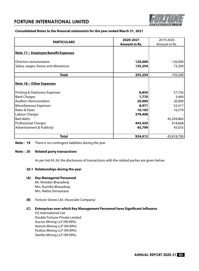

### **Consolidated Notes to the financial statements for the year ended March 31, 2021**

| <b>PARTICULARS</b>                           | 2020-2021            | 2019-2020     |
|----------------------------------------------|----------------------|---------------|
|                                              | <b>Amount in Rs.</b> | Amount in Rs. |
| <u> Note 17 :- Employee Benefit Expenses</u> |                      |               |
| Directors remuneration                       | 120,000              | 120,000       |
| Salary, wages, bonus and allowances          | 135,254              | 73,200        |
| <b>Total</b>                                 | 255,254              | 193,200       |
| <b>Note 18 :- Other Expenses</b>             |                      |               |
| Printing & Stationery Expenses               | 8,850                | 57,756        |
| <b>Bank Charges</b>                          | 1,770                | 3,400         |
| <b>Auditors Remuneration</b>                 | 20,000               | 20,000        |
| Miscellaneous Expenses                       | 8,971                | 52,417        |
| Rates & Taxes                                | 16,165               | 16,570        |
| Labour Charges                               | 379,408              |               |
| <b>Bad debts</b>                             |                      | 45,204,860    |
| <b>Professional Charges</b>                  | 443,450              | 418,668       |
| Advertisement & Publicity                    | 45,799               | 45,035        |
| <b>Total</b>                                 | 924,413              | 45,818,706    |

**Note : 19** There is no contingent liabilities during the year

### **Note : 20 Related party transactions**

As per Ind AS 24, the disclosures of transactions with the related parties are given below:

### **20.1 Relationships during the year**

- **(A) Key Managerial Personnel**
	- Mr. Nivedan Bharadwaj Mrs. Ruchika Bharadwaj Mrs. Rekha Shrivastava
- **(B)** Fortune Stones Ltd. (Associate Company)
- **(C) Enterprises over which Key Management Personnel have Significant Influence** ISS International Ltd. Double Fortune Private Limited Auctus Mining LLP (99.99%) Astrum Mining LLP (99.99%) Festino Mining LLP (99.99%) Sterlite Mining LLP (99.99%)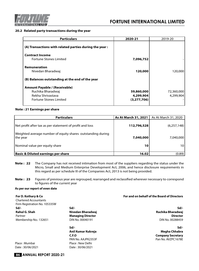

### **20.2 Related party transactions during the year**

| <b>Particulars</b>                                     | 2020-21     | 2019-20    |
|--------------------------------------------------------|-------------|------------|
| (A) Transactions with related parties during the year: |             |            |
| <b>Contract Income</b>                                 |             |            |
| Fortune Stones Limited                                 | 7,096,752   |            |
| <b>Remuneration</b>                                    |             |            |
| Nivedan Bharadwai                                      | 120,000     | 120,000    |
| (B) Balances outstanding at the end of the year        |             |            |
| <b>Amount Payable / (Receivable)</b>                   |             |            |
| Ruchika Bharadwai                                      | 59,860,000  | 72,360,000 |
| Rekha Shrivastava                                      | 4,299,904   | 4,299,904  |
| Fortune Stones Limited                                 | (3,277,706) |            |
|                                                        |             |            |

### **Note : 21 Earnings per share**

| <b>Particulars</b>                                                      | As At March 31, 2021 | As At March 31, 2020 |
|-------------------------------------------------------------------------|----------------------|----------------------|
| Net profit after tax as per statement of profit and loss                | 112,796,528          | (6,257,148)          |
| Weighted average number of equity shares outstanding during<br>the year | 7,040,000            | 7,040,000            |
| Nominal value per equity share                                          | 10                   | 10 l                 |
| Basic & Diluted earnings per share                                      | 16.02                | (0.89)               |

- **Note : 22** The Company has not received intimation from most of the suppliers regarding the status under the Micro, Small and Medium Enterprise Development Act, 2006, and hence disclosure requirements in this regard as per schedule III of the Companies Act, 2013 is not being provided.
- **Note : 23** Figures of previous year are regrouped, rearranged and reclassified wherever necessary to correspond to figures of the current year

### **As per our report of even date**

 **For D. Kothary & Co For and on behalf of the Board of Directors** Chartered Accountants Firm Registration No. 105335W  **Sd/- Sd/- Sd/- Rahul G. Shah Nivedan Bharadwaj Ruchika Bharadwaj** Partner **Managing Director Managing Director Constanting Constanting Director Director**  Membership No.: 132651 DIN No. 00040191 DIN No. 00288459 **Sd/- Sd/- Anil Kumar Kukreja Megha Chhabra C.F.O Company Secretary** PAN No. AAJPK2353F PAN No. AVZPC1678E

**86 ANNUAL REPORT 2020-21**

Place : Mumbai Place : New Delhi Date : 30/06/2021 Date : 30/06/2021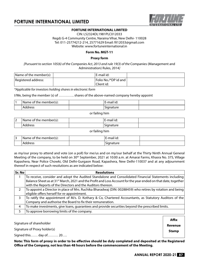



CIN: L52324DL1981PLC012033

Regd**:** G-4 Community Centre, Naraina Vihar, New Delhi- 110028 Tel: 011-25774212-214, 25771629 Email: fil12033@gmail.com

Website: www.fortuneinternational.in

### **Form No. MGT-11**

**Proxy form**

*[Pursuant to section 105(6) of the Companies Act, 2013 and rule 19(3) of the* Companies (Management and Administration) Rules, 2014*]*

| Name of the member(s): | l E-mail id:           |  |
|------------------------|------------------------|--|
| Registered address:    | Folio No./*DP id and I |  |
|                        | Client id:             |  |

*\*Applicable for investors holding shares in electronic form*

I/We, being the member (s) of …………. shares of the above-named company hereby appoint

| $\mathbf{A}$ | Name of the member(s): | $\cdots$<br>s-mail id. |  |
|--------------|------------------------|------------------------|--|
|              | Address                | Signature              |  |

or failing him

| ר !<br>ے ا | Name of the member(s): | $\cdots$<br>'E-mail id: |  |
|------------|------------------------|-------------------------|--|
|            | Address                | l Sianature             |  |

or failing him

| 13 | Name of the member(s): | $\cdots$<br>'E-mail id: |  |
|----|------------------------|-------------------------|--|
|    | Address                | 'Signature              |  |

as my/our proxy to attend and vote (on a poll) for me/us and on my/our behalf at the Thirty Ninth Annual General Meeting of the company, to be held on 30<sup>th</sup> September, 2021 at 10:00 a.m. at Amarai Farms, Khasra No. 375, Village Kapashera, Near Police Chowki, Old Delhi-Gurgaon Road, Kapashera, New Delhi-110037 and at any adjournment thereof in respect of such resolutions as are indicated below:

| Sr. No | <b>Resolutions</b>                                                                                                         |
|--------|----------------------------------------------------------------------------------------------------------------------------|
|        | To receive, consider and adopt the Audited Standalone and Consolidated Financial Statements including                      |
|        | Balance Sheet as at 31 <sup>st</sup> March, 2021 and the Profit and Loss Account for the year ended on that date, together |
|        | with the Reports of the Directors and the Auditors thereon.                                                                |
|        | To appoint a Director in place of Mrs. Ruchika Bharadwaj (DIN: 00288459) who retires by rotation and being                 |
|        | eligible offers herself for re-appointment.                                                                                |
|        | To ratify the appointment of M/s. D. Kothary & Co, Chartered Accountants, as Statutory Auditors of the                     |
|        | Company and authorise the Board to fix their remuneration.                                                                 |
| 4      | To make investments, give loans, guarantees and provide securities beyond the prescribed limits.                           |
|        | To approve borrowing limits of the company.                                                                                |
|        |                                                                                                                            |

Signature of shareholder

Signature of Proxy holder(s)

Signed this…… day of……… 20….

**Note: This form of proxy in order to be effective should be duly completed and deposited at the Registered Office of the Company, not less than 48 hours before the commencement of the Meeting.**

**Affix Revenue Stamp**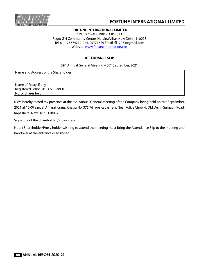

### **FORTUNE INTERNATIONAL LIMITED**

CIN: L52324DL1981PLC012033 Regd**:** G-4 Community Centre, Naraina Vihar, New Delhi- 110028 Tel: 011-25774212-214, 25771629 Email: fil12033@gmail.com Website: www.fortuneinternational.in

### **ATTENDANCE SLIP**

39th Annual General Meeting – 30th September, 2021

Name and Address of the Shareholder

Name of Proxy, If any Registered Folio/ DP ID & Client ID No. of Shares held

I/ We hereby record my presence at the 39<sup>th</sup> Annual General Meeting of the Company being held on 30<sup>th</sup> September, 2021 at 10:00 a.m. at Amarai Farms, Khasra No. 375, Village Kapashera, Near Police Chowki, Old Delhi-Gurgaon Road, Kapashera, New Delhi-110037.

Signature of the Shareholder /Proxy Present ………………………………..

Note : Shareholder/Proxy holder wishing to attend the meeting must bring the Attendance Slip to the meeting and handover at the entrance duly signed.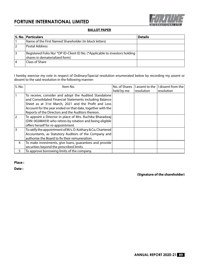

### **BALLOT PAPER**

| <b>S. No. Particulars</b>                                                   | <b>Details</b> |
|-----------------------------------------------------------------------------|----------------|
| Name of the First Named Shareholder (In block letters)                      |                |
| Postal Address                                                              |                |
| Registered Folio No/ *DP ID-Client ID No. (*Applicable to investors holding |                |
| shares in dematerialized form)                                              |                |
| Class of Share                                                              |                |

I hereby exercise my vote in respect of Ordinary/Special resolution enumerated below by recording my assent or dissent to the said resolution in the following manner:

| S. No.         | Item No.                                                     | No. of Shares | I assent to the | I dissent from the |
|----------------|--------------------------------------------------------------|---------------|-----------------|--------------------|
|                |                                                              | held by me    | resolution      | resolution         |
|                | To receive, consider and adopt the Audited Standalone        |               |                 |                    |
|                | and Consolidated Financial Statements including Balance      |               |                 |                    |
|                | Sheet as at 31st March, 2021 and the Profit and Loss         |               |                 |                    |
|                | Account for the year ended on that date, together with the   |               |                 |                    |
|                | Reports of the Directors and the Auditors thereon.           |               |                 |                    |
| 2              | To appoint a Director in place of Mrs. Ruchika Bharadwaj     |               |                 |                    |
|                | (DIN: 00288459) who retires by rotation and being eligible   |               |                 |                    |
|                | offers herself for re-appointment.                           |               |                 |                    |
| $\mathbf{3}$   | To ratify the appointment of M/s. D. Kothary & Co, Chartered |               |                 |                    |
|                | Accountants, as Statutory Auditors of the Company and        |               |                 |                    |
|                | authorise the Board to fix their remuneration.               |               |                 |                    |
| $\overline{4}$ | To make investments, give loans, guarantees and provide      |               |                 |                    |
|                | securities beyond the prescribed limits.                     |               |                 |                    |
| 5              | To approve borrowing limits of the company.                  |               |                 |                    |

**Place :** 

**Date :** 

 **(Signature of the shareholder)**